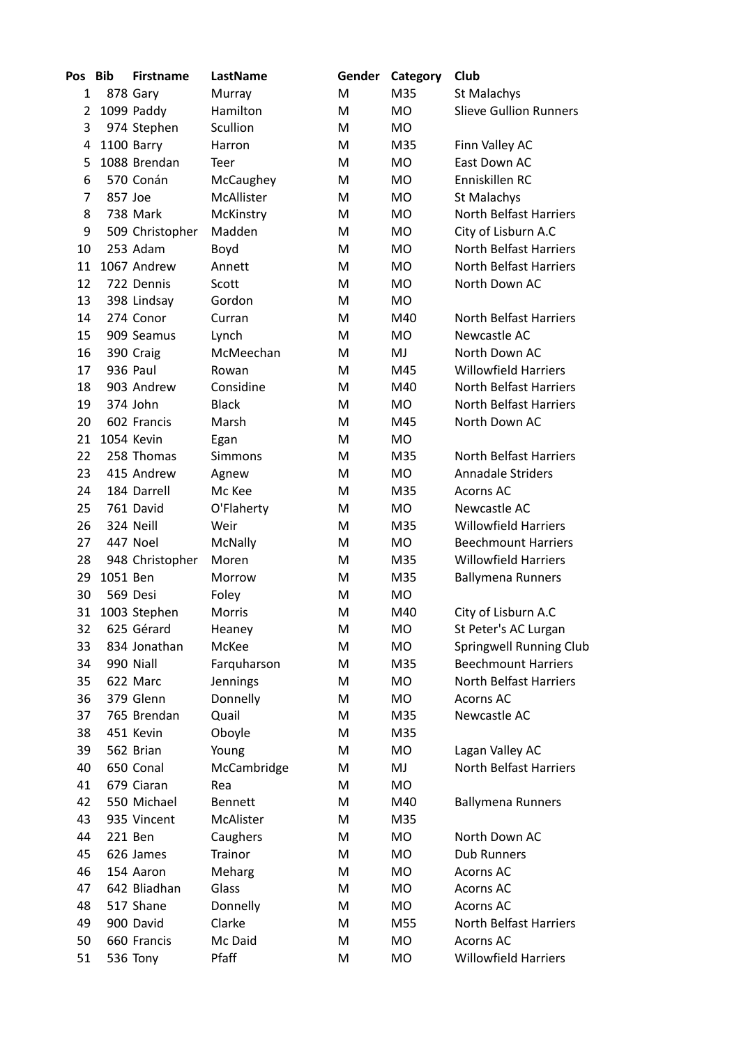| Pos | Bib      | <b>Firstname</b> | LastName            | Gender | Category  | Club                           |
|-----|----------|------------------|---------------------|--------|-----------|--------------------------------|
| 1   |          | 878 Gary         | Murray              | M      | M35       | St Malachys                    |
| 2   |          | 1099 Paddy       | Hamilton            | M      | <b>MO</b> | <b>Slieve Gullion Runners</b>  |
| 3   |          | 974 Stephen      | Scullion            | M      | <b>MO</b> |                                |
| 4   |          | 1100 Barry       | Harron              | M      | M35       | Finn Valley AC                 |
| 5   |          | 1088 Brendan     | Teer                | M      | <b>MO</b> | East Down AC                   |
| 6   |          | 570 Conán        | McCaughey           | M      | <b>MO</b> | Enniskillen RC                 |
| 7   | 857 Joe  |                  | McAllister          | M      | <b>MO</b> | St Malachys                    |
| 8   |          | 738 Mark         | McKinstry           | M      | <b>MO</b> | <b>North Belfast Harriers</b>  |
| 9   |          | 509 Christopher  | Madden              | M      | <b>MO</b> | City of Lisburn A.C            |
| 10  |          | 253 Adam         | Boyd                | M      | <b>MO</b> | <b>North Belfast Harriers</b>  |
| 11  |          | 1067 Andrew      | Annett              | M      | MO        | <b>North Belfast Harriers</b>  |
| 12  |          | 722 Dennis       | Scott               | M      | <b>MO</b> | North Down AC                  |
| 13  |          | 398 Lindsay      | Gordon              | М      | <b>MO</b> |                                |
| 14  |          | 274 Conor        | Curran              | M      | M40       | <b>North Belfast Harriers</b>  |
| 15  |          | 909 Seamus       | Lynch               | M      | <b>MO</b> | Newcastle AC                   |
| 16  |          | 390 Craig        | McMeechan           | M      | MJ        | North Down AC                  |
| 17  |          | 936 Paul         | Rowan               | M      | M45       | <b>Willowfield Harriers</b>    |
| 18  |          | 903 Andrew       | Considine           | M      | M40       | <b>North Belfast Harriers</b>  |
| 19  |          | 374 John         | <b>Black</b>        | M      | MO.       | <b>North Belfast Harriers</b>  |
| 20  |          | 602 Francis      | Marsh               | M      | M45       | North Down AC                  |
| 21  |          | 1054 Kevin       | Egan                | M      | <b>MO</b> |                                |
| 22  |          | 258 Thomas       | <b>Simmons</b>      | M      | M35       | <b>North Belfast Harriers</b>  |
| 23  |          | 415 Andrew       | Agnew               | M      | MO.       | <b>Annadale Striders</b>       |
| 24  |          | 184 Darrell      | Mc Kee              | M      | M35       | Acorns AC                      |
| 25  |          | 761 David        | O'Flaherty          | M      | MO        | Newcastle AC                   |
| 26  |          | 324 Neill        | Weir                | М      | M35       | <b>Willowfield Harriers</b>    |
| 27  |          | 447 Noel         | McNally             | M      | MO        | <b>Beechmount Harriers</b>     |
| 28  |          | 948 Christopher  | Moren               | M      | M35       | <b>Willowfield Harriers</b>    |
| 29  | 1051 Ben |                  | Morrow              | M      | M35       | <b>Ballymena Runners</b>       |
| 30  |          | 569 Desi         | Foley               | M      | MO.       |                                |
| 31  |          | 1003 Stephen     | Morris              | M      | M40       | City of Lisburn A.C            |
| 32  |          | 625 Gérard       | Heaney              | M      | <b>MO</b> | St Peter's AC Lurgan           |
| 33  |          | 834 Jonathan     | McKee               | M      | MO        | <b>Springwell Running Club</b> |
| 34  |          | 990 Niall        | Farquharson         | M      | M35       | <b>Beechmount Harriers</b>     |
| 35  |          | 622 Marc         | Jennings            | Μ      | MO.       | <b>North Belfast Harriers</b>  |
| 36  |          | 379 Glenn        | Donnelly            | M      | <b>MO</b> | <b>Acorns AC</b>               |
| 37  |          | 765 Brendan      | Quail               | M      | M35       | Newcastle AC                   |
| 38  |          | 451 Kevin        | Oboyle              | M      | M35       |                                |
| 39  |          | 562 Brian        | Young               | M      | MO        | Lagan Valley AC                |
| 40  |          | 650 Conal        | McCambridge         | M      | MJ        | <b>North Belfast Harriers</b>  |
| 41  |          | 679 Ciaran       | Rea                 | Μ      | MO        |                                |
| 42  |          | 550 Michael      | <b>Bennett</b>      | M      | M40       | <b>Ballymena Runners</b>       |
| 43  |          | 935 Vincent      | McAlister           | M      | M35       |                                |
| 44  |          | 221 Ben          |                     |        | MO        | North Down AC                  |
|     |          |                  | Caughers<br>Trainor | Μ      |           | <b>Dub Runners</b>             |
| 45  |          | 626 James        |                     | M      | MO        |                                |
| 46  |          | 154 Aaron        | Meharg              | M      | MO        | <b>Acorns AC</b>               |
| 47  |          | 642 Bliadhan     | Glass               | M      | MO        | Acorns AC                      |
| 48  |          | 517 Shane        | Donnelly            | м      | MO        | Acorns AC                      |
| 49  |          | 900 David        | Clarke              | M      | M55       | <b>North Belfast Harriers</b>  |
| 50  |          | 660 Francis      | Mc Daid             | M      | MO        | <b>Acorns AC</b>               |
| 51  |          | 536 Tony         | Pfaff               | M      | <b>MO</b> | <b>Willowfield Harriers</b>    |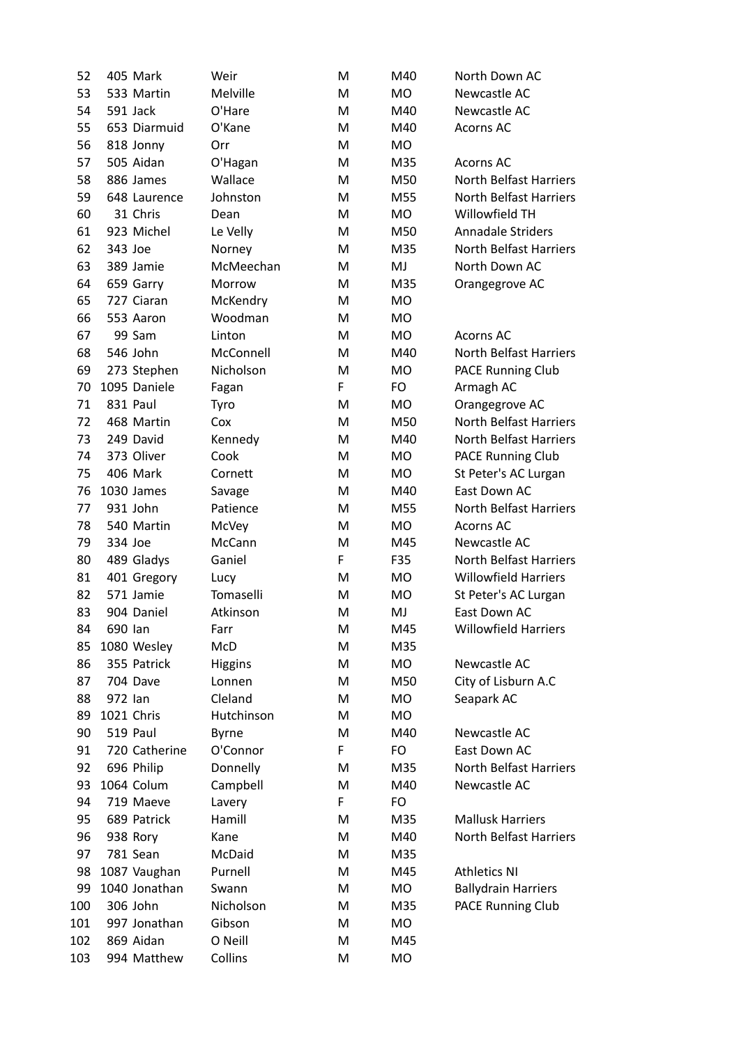| 52  |            | 405 Mark      | Weir           | M  | M40       | North Down AC                 |
|-----|------------|---------------|----------------|----|-----------|-------------------------------|
| 53  |            | 533 Martin    | Melville       | M  | <b>MO</b> | Newcastle AC                  |
| 54  | 591 Jack   |               | O'Hare         | M  | M40       | Newcastle AC                  |
| 55  |            | 653 Diarmuid  | O'Kane         | M  | M40       | <b>Acorns AC</b>              |
| 56  |            | 818 Jonny     | Orr            | M  | <b>MO</b> |                               |
| 57  |            | 505 Aidan     |                |    | M35       |                               |
|     |            |               | O'Hagan        | M  |           | Acorns AC                     |
| 58  |            | 886 James     | Wallace        | M  | M50       | <b>North Belfast Harriers</b> |
| 59  |            | 648 Laurence  | Johnston       | M  | M55       | <b>North Belfast Harriers</b> |
| 60  |            | 31 Chris      | Dean           | M  | <b>MO</b> | Willowfield TH                |
| 61  |            | 923 Michel    | Le Velly       | M  | M50       | Annadale Striders             |
| 62  | 343 Joe    |               | Norney         | M  | M35       | <b>North Belfast Harriers</b> |
| 63  |            | 389 Jamie     | McMeechan      | M  | MJ        | North Down AC                 |
| 64  |            | 659 Garry     | Morrow         | M  | M35       | Orangegrove AC                |
| 65  |            | 727 Ciaran    | McKendry       | M  | <b>MO</b> |                               |
| 66  |            | 553 Aaron     | Woodman        | M  | <b>MO</b> |                               |
| 67  |            | 99 Sam        | Linton         | M  | <b>MO</b> | <b>Acorns AC</b>              |
| 68  |            | 546 John      | McConnell      | M  | M40       | <b>North Belfast Harriers</b> |
| 69  |            | 273 Stephen   | Nicholson      | M  | <b>MO</b> | PACE Running Club             |
| 70  |            | 1095 Daniele  | Fagan          | F  | FO        | Armagh AC                     |
| 71  | 831 Paul   |               | Tyro           | M  | MO        | Orangegrove AC                |
| 72  |            | 468 Martin    | Cox            | M  | M50       | <b>North Belfast Harriers</b> |
| 73  |            | 249 David     | Kennedy        | M  | M40       | <b>North Belfast Harriers</b> |
| 74  |            | 373 Oliver    | Cook           | M  | MO        | PACE Running Club             |
| 75  |            | 406 Mark      | Cornett        | M  | MO.       | St Peter's AC Lurgan          |
| 76  |            | 1030 James    | Savage         | M  | M40       | East Down AC                  |
| 77  |            | 931 John      | Patience       | M  | M55       | <b>North Belfast Harriers</b> |
| 78  |            | 540 Martin    | McVey          | M  | MO        | <b>Acorns AC</b>              |
| 79  | 334 Joe    |               | McCann         | M  | M45       | Newcastle AC                  |
| 80  |            | 489 Gladys    | Ganiel         | F  | F35       | <b>North Belfast Harriers</b> |
| 81  |            | 401 Gregory   | Lucy           | M  | MO        | <b>Willowfield Harriers</b>   |
| 82  |            | 571 Jamie     | Tomaselli      | M  | <b>MO</b> | St Peter's AC Lurgan          |
| 83  |            | 904 Daniel    | Atkinson       | M  | MJ        | East Down AC                  |
| 84  | 690 lan    |               | Farr           | М  | M45       | <b>Willowfield Harriers</b>   |
| 85  |            | 1080 Wesley   | McD            | M  | M35       |                               |
| 86  |            | 355 Patrick   | <b>Higgins</b> | M  | MO        | Newcastle AC                  |
| 87  |            | 704 Dave      | Lonnen         | M  | M50       | City of Lisburn A.C           |
| 88  | 972 lan    |               | Cleland        | M  | MO        | Seapark AC                    |
| 89  | 1021 Chris |               | Hutchinson     | M  | MO        |                               |
| 90  |            | 519 Paul      | <b>Byrne</b>   | M  | M40       | Newcastle AC                  |
| 91  |            | 720 Catherine | O'Connor       | F  | FO        | East Down AC                  |
| 92  |            | 696 Philip    | Donnelly       | M  | M35       | <b>North Belfast Harriers</b> |
| 93  |            | 1064 Colum    | Campbell       | M  | M40       | Newcastle AC                  |
| 94  |            | 719 Maeve     | Lavery         | F. | FO        |                               |
| 95  |            | 689 Patrick   | Hamill         | M  | M35       | <b>Mallusk Harriers</b>       |
| 96  |            | 938 Rory      | Kane           | M  | M40       | <b>North Belfast Harriers</b> |
| 97  |            | 781 Sean      | McDaid         | M  | M35       |                               |
| 98  |            | 1087 Vaughan  | Purnell        | M  | M45       | <b>Athletics NI</b>           |
| 99  |            | 1040 Jonathan | Swann          | M  | MO        | <b>Ballydrain Harriers</b>    |
| 100 |            | 306 John      | Nicholson      | M  | M35       | PACE Running Club             |
| 101 |            | 997 Jonathan  | Gibson         | M  | MO        |                               |
| 102 |            | 869 Aidan     | O Neill        | M  | M45       |                               |
| 103 |            | 994 Matthew   | Collins        | M  | MO        |                               |
|     |            |               |                |    |           |                               |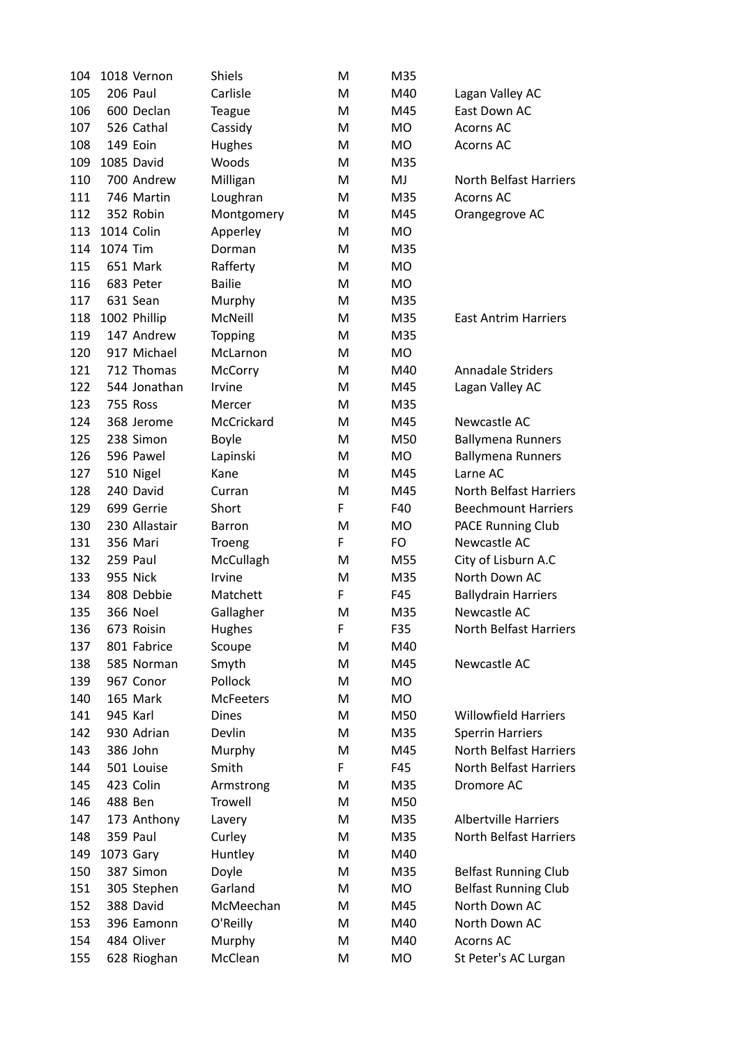| 104 |            | 1018 Vernon     | <b>Shiels</b>    | M | M35 |                               |
|-----|------------|-----------------|------------------|---|-----|-------------------------------|
| 105 |            | 206 Paul        | Carlisle         | M | M40 | Lagan Valley AC               |
| 106 |            | 600 Declan      | <b>Teague</b>    | M | M45 | East Down AC                  |
| 107 |            | 526 Cathal      | Cassidy          | M | MO  | <b>Acorns AC</b>              |
| 108 |            | 149 Eoin        | Hughes           | M | MO  | <b>Acorns AC</b>              |
| 109 |            | 1085 David      | Woods            | M | M35 |                               |
| 110 |            | 700 Andrew      | Milligan         | M | MJ  | North Belfast Harriers        |
| 111 |            | 746 Martin      | Loughran         | M | M35 | <b>Acorns AC</b>              |
| 112 |            | 352 Robin       | Montgomery       | M | M45 | Orangegrove AC                |
| 113 | 1014 Colin |                 | Apperley         | M | MO  |                               |
| 114 | 1074 Tim   |                 | Dorman           | M | M35 |                               |
| 115 |            | 651 Mark        | Rafferty         | M | MO  |                               |
| 116 |            | 683 Peter       | <b>Bailie</b>    | M | MO  |                               |
| 117 |            | 631 Sean        | Murphy           | M | M35 |                               |
| 118 |            | 1002 Phillip    | McNeill          | M | M35 | <b>East Antrim Harriers</b>   |
| 119 |            | 147 Andrew      | Topping          | M | M35 |                               |
| 120 |            | 917 Michael     | McLarnon         | M | MO  |                               |
| 121 |            | 712 Thomas      | McCorry          | M | M40 | <b>Annadale Striders</b>      |
| 122 |            | 544 Jonathan    | Irvine           | M | M45 | Lagan Valley AC               |
| 123 |            | 755 Ross        | Mercer           | M | M35 |                               |
| 124 |            | 368 Jerome      | McCrickard       | M | M45 | Newcastle AC                  |
| 125 |            | 238 Simon       | <b>Boyle</b>     | M | M50 | <b>Ballymena Runners</b>      |
| 126 |            | 596 Pawel       | Lapinski         | M | MO  | <b>Ballymena Runners</b>      |
| 127 |            | 510 Nigel       | Kane             | M | M45 | Larne AC                      |
| 128 |            | 240 David       | Curran           | M | M45 | <b>North Belfast Harriers</b> |
| 129 |            | 699 Gerrie      | Short            | F | F40 | <b>Beechmount Harriers</b>    |
| 130 |            | 230 Allastair   | Barron           | M | MO  | <b>PACE Running Club</b>      |
| 131 |            | 356 Mari        | <b>Troeng</b>    | F | FO  | Newcastle AC                  |
| 132 |            | 259 Paul        | McCullagh        | M | M55 | City of Lisburn A.C           |
| 133 |            | 955 Nick        | Irvine           | M | M35 | North Down AC                 |
| 134 |            | 808 Debbie      | Matchett         | F | F45 | <b>Ballydrain Harriers</b>    |
| 135 |            | <b>366 Noel</b> | Gallagher        | M | M35 | Newcastle AC                  |
| 136 |            | 673 Roisin      | Hughes           | F | F35 | North Belfast Harriers        |
| 137 |            | 801 Fabrice     | Scoupe           | M | M40 |                               |
| 138 |            | 585 Norman      | Smyth            | M | M45 | Newcastle AC                  |
| 139 |            | 967 Conor       | Pollock          | M | MO  |                               |
| 140 |            | 165 Mark        | <b>McFeeters</b> | M | MO  |                               |
| 141 | 945 Karl   |                 | <b>Dines</b>     | M | M50 | <b>Willowfield Harriers</b>   |
| 142 |            | 930 Adrian      | Devlin           | M | M35 | <b>Sperrin Harriers</b>       |
| 143 |            | 386 John        | Murphy           | M | M45 | <b>North Belfast Harriers</b> |
| 144 |            | 501 Louise      | Smith            | F | F45 | <b>North Belfast Harriers</b> |
| 145 |            | 423 Colin       | Armstrong        | M | M35 | Dromore AC                    |
| 146 | 488 Ben    |                 | Trowell          | M | M50 |                               |
| 147 |            | 173 Anthony     | Lavery           | M | M35 | <b>Albertville Harriers</b>   |
| 148 |            | 359 Paul        | Curley           | M | M35 | <b>North Belfast Harriers</b> |
| 149 | 1073 Gary  |                 | Huntley          | M | M40 |                               |
| 150 |            | 387 Simon       | Doyle            | M | M35 | <b>Belfast Running Club</b>   |
| 151 |            | 305 Stephen     | Garland          | M | MO  | <b>Belfast Running Club</b>   |
| 152 |            | 388 David       | McMeechan        | M | M45 | North Down AC                 |
| 153 |            | 396 Eamonn      | O'Reilly         | M | M40 | North Down AC                 |
| 154 |            | 484 Oliver      | Murphy           | M | M40 | <b>Acorns AC</b>              |
| 155 |            | 628 Rioghan     | McClean          | M | MO  | St Peter's AC Lurgan          |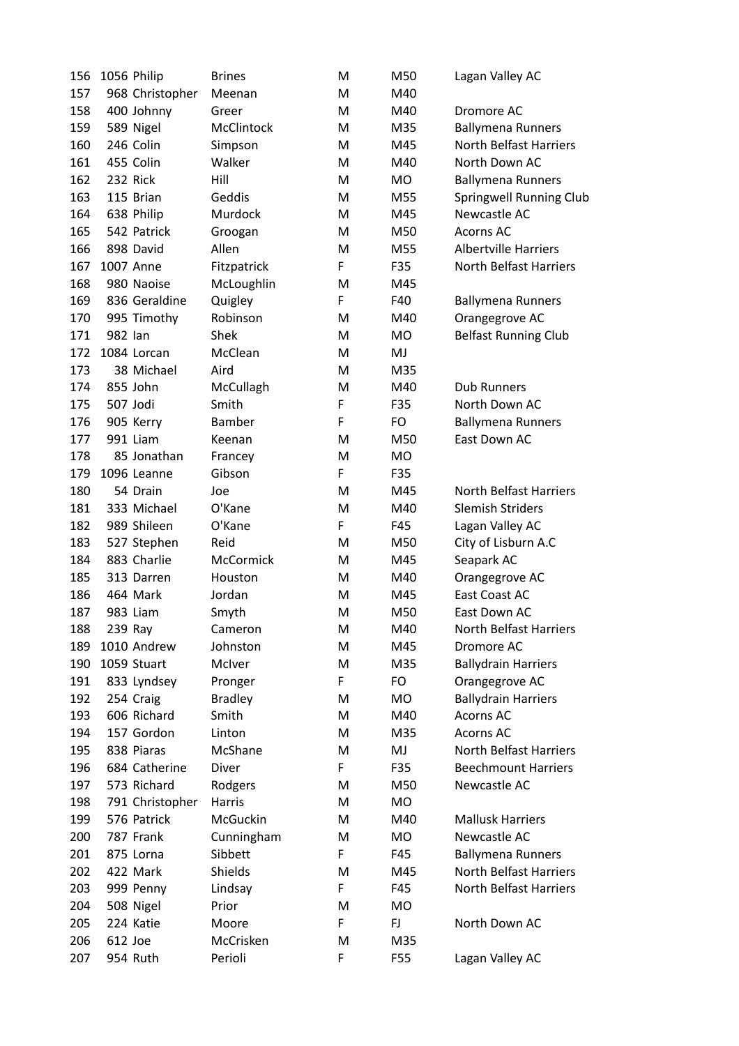| 156 | 1056 Philip     | <b>Brines</b>    | M  | M50       | Lagan Valley AC             |
|-----|-----------------|------------------|----|-----------|-----------------------------|
| 157 | 968 Christopher | Meenan           | M  | M40       |                             |
| 158 | 400 Johnny      | Greer            | M  | M40       | Dromore AC                  |
| 159 | 589 Nigel       | McClintock       | M  | M35       | <b>Ballymena Runners</b>    |
| 160 | 246 Colin       | Simpson          | M  | M45       | North Belfast Harriers      |
| 161 | 455 Colin       | Walker           | M  | M40       | North Down AC               |
| 162 | 232 Rick        | Hill             | M  | MO        | <b>Ballymena Runners</b>    |
| 163 | 115 Brian       | Geddis           | M  | M55       | Springwell Running Club     |
| 164 | 638 Philip      | Murdock          | M  | M45       | Newcastle AC                |
| 165 | 542 Patrick     | Groogan          | M  | M50       | Acorns AC                   |
| 166 | 898 David       | Allen            | M  | M55       | <b>Albertville Harriers</b> |
| 167 | 1007 Anne       | Fitzpatrick      | F  | F35       | North Belfast Harriers      |
| 168 | 980 Naoise      | McLoughlin       | M  | M45       |                             |
| 169 | 836 Geraldine   | Quigley          | F  | F40       | <b>Ballymena Runners</b>    |
| 170 | 995 Timothy     | Robinson         | M  | M40       | Orangegrove AC              |
| 171 | 982 lan         | Shek             | M  | <b>MO</b> | <b>Belfast Running Club</b> |
| 172 | 1084 Lorcan     | McClean          | M  | MJ        |                             |
| 173 | 38 Michael      | Aird             | M  | M35       |                             |
| 174 | 855 John        | McCullagh        | M  | M40       | <b>Dub Runners</b>          |
| 175 | 507 Jodi        | Smith            | F  | F35       | North Down AC               |
| 176 | 905 Kerry       | Bamber           | F  | FO        | <b>Ballymena Runners</b>    |
| 177 | 991 Liam        | Keenan           | M  | M50       | East Down AC                |
| 178 | 85 Jonathan     | Francey          | M  | MO        |                             |
| 179 | 1096 Leanne     | Gibson           | F  | F35       |                             |
| 180 | 54 Drain        | Joe              | M  | M45       | North Belfast Harriers      |
| 181 | 333 Michael     | O'Kane           | M  | M40       | <b>Slemish Striders</b>     |
| 182 | 989 Shileen     | O'Kane           | F  | F45       | Lagan Valley AC             |
| 183 | 527 Stephen     | Reid             | M  | M50       | City of Lisburn A.C         |
| 184 | 883 Charlie     | <b>McCormick</b> | M  | M45       | Seapark AC                  |
| 185 | 313 Darren      | Houston          | M  | M40       | Orangegrove AC              |
| 186 | 464 Mark        | Jordan           | M  | M45       | East Coast AC               |
| 187 | 983 Liam        | Smyth            | M  | M50       | East Down AC                |
| 188 | 239 Ray         | Cameron          | M  | M40       | North Belfast Harriers      |
| 189 | 1010 Andrew     | Johnston         | M  | M45       | Dromore AC                  |
| 190 | 1059 Stuart     | McIver           | M  | M35       | <b>Ballydrain Harriers</b>  |
| 191 | 833 Lyndsey     | Pronger          | F. | FO        | Orangegrove AC              |
| 192 | 254 Craig       | <b>Bradley</b>   | M  | <b>MO</b> | <b>Ballydrain Harriers</b>  |
| 193 | 606 Richard     | Smith            | M  | M40       | Acorns AC                   |
| 194 | 157 Gordon      | Linton           | M  | M35       | Acorns AC                   |
| 195 | 838 Piaras      | McShane          | M  | MJ        | North Belfast Harriers      |
| 196 | 684 Catherine   | Diver            | F  | F35       | <b>Beechmount Harriers</b>  |
| 197 | 573 Richard     | Rodgers          | M  | M50       | Newcastle AC                |
| 198 | 791 Christopher | Harris           | M  | MO        |                             |
| 199 | 576 Patrick     | McGuckin         | M  | M40       | <b>Mallusk Harriers</b>     |
| 200 | 787 Frank       | Cunningham       | M  | MO        | Newcastle AC                |
| 201 | 875 Lorna       | Sibbett          | F  | F45       | <b>Ballymena Runners</b>    |
| 202 | 422 Mark        | Shields          | M  | M45       | North Belfast Harriers      |
| 203 | 999 Penny       | Lindsay          | F  | F45       | North Belfast Harriers      |
| 204 | 508 Nigel       | Prior            | M  | MO        |                             |
| 205 | 224 Katie       | Moore            | F  | FJ        | North Down AC               |
| 206 | 612 Joe         | McCrisken        | M  | M35       |                             |
| 207 | 954 Ruth        | Perioli          | F  | F55       | Lagan Valley AC             |
|     |                 |                  |    |           |                             |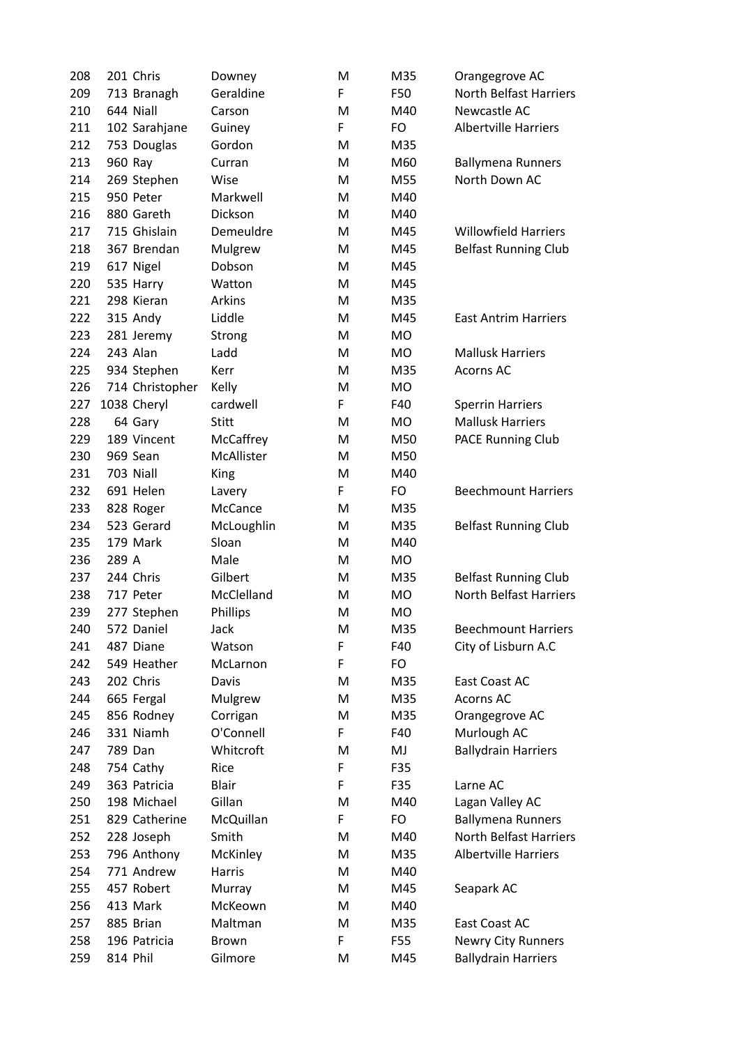| 208 |       | 201 Chris       | Downey       | M | M35       | Orangegrove AC                |
|-----|-------|-----------------|--------------|---|-----------|-------------------------------|
| 209 |       | 713 Branagh     | Geraldine    | F | F50       | North Belfast Harriers        |
| 210 |       | 644 Niall       | Carson       | M | M40       | Newcastle AC                  |
| 211 |       | 102 Sarahjane   | Guiney       | F | FO        | <b>Albertville Harriers</b>   |
| 212 |       | 753 Douglas     | Gordon       | M | M35       |                               |
| 213 |       | 960 Ray         | Curran       | M | M60       | <b>Ballymena Runners</b>      |
| 214 |       | 269 Stephen     | Wise         | M | M55       | North Down AC                 |
| 215 |       | 950 Peter       | Markwell     | M | M40       |                               |
| 216 |       | 880 Gareth      | Dickson      | M | M40       |                               |
| 217 |       | 715 Ghislain    | Demeuldre    | M | M45       | <b>Willowfield Harriers</b>   |
| 218 |       | 367 Brendan     | Mulgrew      | M | M45       | <b>Belfast Running Club</b>   |
| 219 |       | 617 Nigel       | Dobson       | M | M45       |                               |
| 220 |       | 535 Harry       | Watton       | M | M45       |                               |
| 221 |       | 298 Kieran      | Arkins       | M | M35       |                               |
| 222 |       | 315 Andy        | Liddle       | M | M45       | <b>East Antrim Harriers</b>   |
| 223 |       | 281 Jeremy      | Strong       | M | <b>MO</b> |                               |
| 224 |       | 243 Alan        | Ladd         | M | MO        | <b>Mallusk Harriers</b>       |
| 225 |       | 934 Stephen     | Kerr         | M | M35       | <b>Acorns AC</b>              |
| 226 |       | 714 Christopher | Kelly        | M | <b>MO</b> |                               |
| 227 |       | 1038 Cheryl     | cardwell     | F | F40       | <b>Sperrin Harriers</b>       |
| 228 |       | 64 Gary         | <b>Stitt</b> | M | MO        | <b>Mallusk Harriers</b>       |
| 229 |       | 189 Vincent     | McCaffrey    | M | M50       | PACE Running Club             |
| 230 |       | 969 Sean        | McAllister   | M | M50       |                               |
| 231 |       | 703 Niall       | King         | M | M40       |                               |
| 232 |       | 691 Helen       | Lavery       | F | FO        | <b>Beechmount Harriers</b>    |
| 233 |       | 828 Roger       | McCance      | M | M35       |                               |
| 234 |       | 523 Gerard      | McLoughlin   | M | M35       | <b>Belfast Running Club</b>   |
| 235 |       | 179 Mark        | Sloan        | M | M40       |                               |
| 236 | 289 A |                 | Male         | M | MO        |                               |
| 237 |       | 244 Chris       | Gilbert      | M | M35       | <b>Belfast Running Club</b>   |
| 238 |       | 717 Peter       | McClelland   | M | <b>MO</b> | <b>North Belfast Harriers</b> |
| 239 |       | 277 Stephen     | Phillips     | M | <b>MO</b> |                               |
| 240 |       | 572 Daniel      | Jack         | M | M35       | <b>Beechmount Harriers</b>    |
| 241 |       | 487 Diane       | Watson       | F | F40       | City of Lisburn A.C           |
| 242 |       | 549 Heather     | McLarnon     | F | FO        |                               |
| 243 |       | 202 Chris       | Davis        | M | M35       | East Coast AC                 |
| 244 |       | 665 Fergal      | Mulgrew      | M | M35       | <b>Acorns AC</b>              |
| 245 |       | 856 Rodney      | Corrigan     | M | M35       | Orangegrove AC                |
| 246 |       | 331 Niamh       | O'Connell    | F | F40       | Murlough AC                   |
| 247 |       | 789 Dan         | Whitcroft    | M | MJ        | <b>Ballydrain Harriers</b>    |
| 248 |       | 754 Cathy       | Rice         | F | F35       |                               |
| 249 |       | 363 Patricia    | <b>Blair</b> | F | F35       | Larne AC                      |
| 250 |       | 198 Michael     | Gillan       | M | M40       | Lagan Valley AC               |
| 251 |       | 829 Catherine   | McQuillan    | F | FO        | <b>Ballymena Runners</b>      |
| 252 |       | 228 Joseph      | Smith        | M | M40       | <b>North Belfast Harriers</b> |
| 253 |       | 796 Anthony     | McKinley     | M | M35       | <b>Albertville Harriers</b>   |
| 254 |       | 771 Andrew      | Harris       | M | M40       |                               |
| 255 |       | 457 Robert      | Murray       | M | M45       | Seapark AC                    |
| 256 |       | 413 Mark        | McKeown      | M | M40       |                               |
| 257 |       | 885 Brian       | Maltman      | M | M35       | East Coast AC                 |
| 258 |       | 196 Patricia    | <b>Brown</b> | F | F55       | Newry City Runners            |
| 259 |       | 814 Phil        | Gilmore      | M | M45       | <b>Ballydrain Harriers</b>    |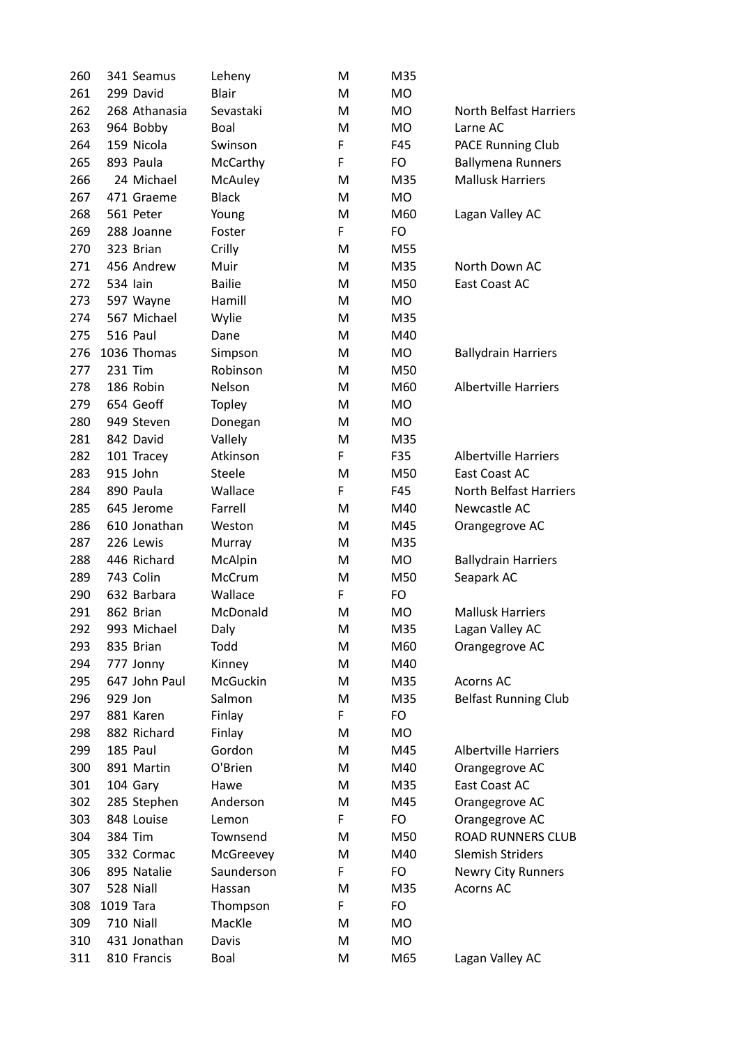| 260        |           | 341 Seamus                | Leheny             | M         | M35       |                                        |
|------------|-----------|---------------------------|--------------------|-----------|-----------|----------------------------------------|
| 261        |           | 299 David                 | <b>Blair</b>       | M         | <b>MO</b> |                                        |
| 262        |           | 268 Athanasia             | Sevastaki          | M         | <b>MO</b> | <b>North Belfast Harriers</b>          |
| 263        |           | 964 Bobby                 | Boal               | M         | <b>MO</b> | Larne AC                               |
| 264        |           | 159 Nicola                | Swinson            | F         | F45       | PACE Running Club                      |
| 265        |           | 893 Paula                 | McCarthy           | F         | FO        | <b>Ballymena Runners</b>               |
| 266        |           | 24 Michael                | McAuley            | M         | M35       | <b>Mallusk Harriers</b>                |
| 267        |           | 471 Graeme                | <b>Black</b>       | M         | <b>MO</b> |                                        |
| 268        |           | 561 Peter                 | Young              | M         | M60       | Lagan Valley AC                        |
| 269        |           | 288 Joanne                | Foster             | F         | FO        |                                        |
| 270        |           | 323 Brian                 | Crilly             | M         | M55       |                                        |
| 271        |           | 456 Andrew                | Muir               | M         | M35       | North Down AC                          |
| 272        |           | 534 Iain                  | <b>Bailie</b>      | M         | M50       | East Coast AC                          |
| 273        |           | 597 Wayne                 | Hamill             | M         | <b>MO</b> |                                        |
| 274        |           | 567 Michael               | Wylie              | ${\sf M}$ | M35       |                                        |
| 275        |           | 516 Paul                  | Dane               | M         | M40       |                                        |
| 276        |           | 1036 Thomas               | Simpson            | M         | MO        | <b>Ballydrain Harriers</b>             |
| 277        |           | 231 Tim                   | Robinson           | M         | M50       |                                        |
| 278        |           | 186 Robin                 | Nelson             | M         | M60       | <b>Albertville Harriers</b>            |
| 279        |           | 654 Geoff                 | <b>Topley</b>      | M         | <b>MO</b> |                                        |
| 280        |           | 949 Steven                | Donegan            | M         | MO        |                                        |
| 281        |           | 842 David                 | Vallely            | M         | M35       |                                        |
| 282        |           | 101 Tracey                | Atkinson           | F         | F35       | <b>Albertville Harriers</b>            |
| 283        |           | 915 John                  | <b>Steele</b>      | M         | M50       | East Coast AC                          |
| 284        |           | 890 Paula                 | Wallace            | F         | F45       | <b>North Belfast Harriers</b>          |
| 285        |           | 645 Jerome                | Farrell            | M         | M40       | Newcastle AC                           |
| 286        |           | 610 Jonathan              | Weston             | M         | M45       | Orangegrove AC                         |
| 287        |           | 226 Lewis                 | Murray             | M         | M35       |                                        |
| 288        |           | 446 Richard               | McAlpin            | M         | MO        | <b>Ballydrain Harriers</b>             |
| 289        |           | 743 Colin                 | McCrum             | M         | M50       | Seapark AC                             |
| 290        |           | 632 Barbara               | Wallace            | F         | FO        |                                        |
| 291        |           | 862 Brian                 | McDonald           | M         | МO        | <b>Mallusk Harriers</b>                |
| 292        |           | 993 Michael               | Daly               | M         | M35       | Lagan Valley AC                        |
| 293        |           | 835 Brian                 | Todd               | M         | M60       | Orangegrove AC                         |
| 294        |           | 777 Jonny                 | Kinney             | M         | M40       |                                        |
| 295        |           | 647 John Paul             | McGuckin           | M         | M35       | <b>Acorns AC</b>                       |
| 296        | 929 Jon   |                           | Salmon             | M         | M35       | <b>Belfast Running Club</b>            |
| 297        |           | 881 Karen                 | Finlay             | F         | FO        |                                        |
| 298        |           | 882 Richard               | Finlay             | M         | <b>MO</b> |                                        |
| 299        |           | 185 Paul                  | Gordon             | M         | M45       | <b>Albertville Harriers</b>            |
| 300        |           | 891 Martin                | O'Brien            | M         | M40       | Orangegrove AC                         |
| 301        |           | 104 Gary                  | Hawe               | M         | M35       | East Coast AC                          |
| 302        |           | 285 Stephen               | Anderson           | M         | M45       | Orangegrove AC                         |
| 303        |           | 848 Louise                | Lemon              | F         | FO        | Orangegrove AC                         |
| 304        |           | 384 Tim                   | Townsend           | M         | M50       | <b>ROAD RUNNERS CLUB</b>               |
| 305        |           | 332 Cormac                | McGreevey          | M         | M40       | <b>Slemish Striders</b>                |
| 306        |           | 895 Natalie               | Saunderson         | F         | FO        |                                        |
| 307        |           | 528 Niall                 |                    |           |           | <b>Newry City Runners</b><br>Acorns AC |
|            |           |                           | Hassan             | M<br>F    | M35<br>FO |                                        |
| 308        | 1019 Tara |                           | Thompson<br>MacKle | M         | <b>MO</b> |                                        |
| 309<br>310 |           | 710 Niall<br>431 Jonathan |                    |           |           |                                        |
|            |           |                           | Davis              | M         | MO        |                                        |
| 311        |           | 810 Francis               | Boal               | M         | M65       | Lagan Valley AC                        |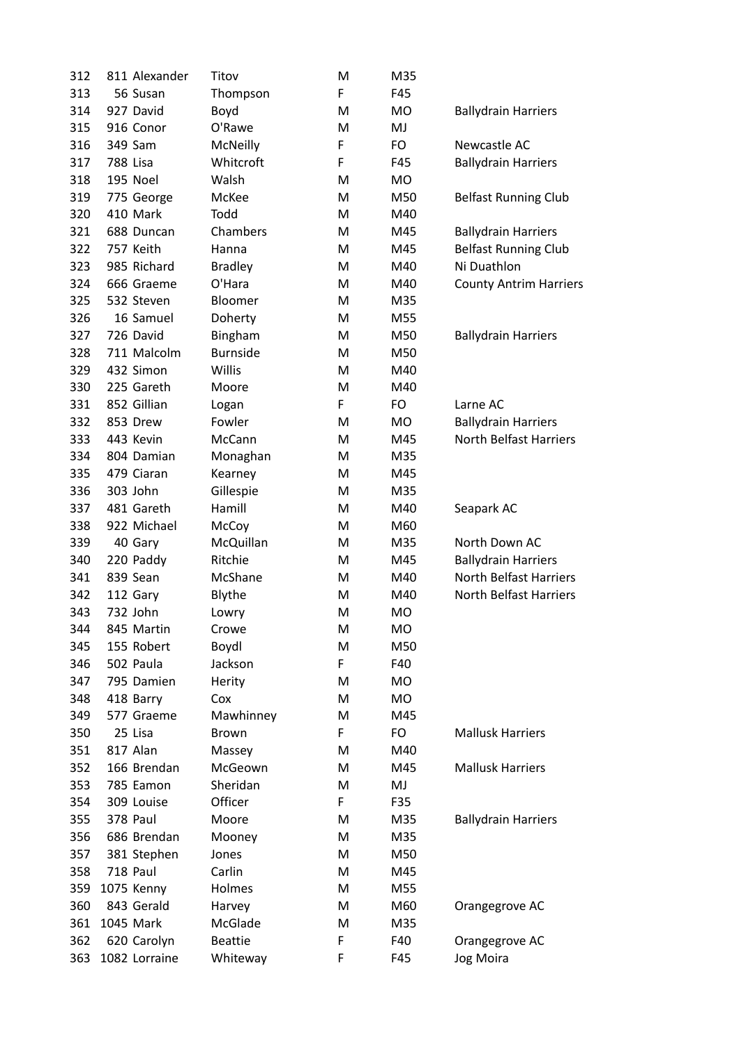| 312 | 811 Alexander | Titov           | M  | M35       |                               |
|-----|---------------|-----------------|----|-----------|-------------------------------|
| 313 | 56 Susan      | Thompson        | F. | F45       |                               |
| 314 | 927 David     | Boyd            | M  | MO        | <b>Ballydrain Harriers</b>    |
| 315 | 916 Conor     | O'Rawe          | M  | MJ        |                               |
| 316 | 349 Sam       | <b>McNeilly</b> | F  | FO        | Newcastle AC                  |
| 317 | 788 Lisa      | Whitcroft       | F  | F45       | <b>Ballydrain Harriers</b>    |
| 318 | 195 Noel      | Walsh           | M  | MO        |                               |
| 319 | 775 George    | McKee           | M  | M50       | <b>Belfast Running Club</b>   |
| 320 | 410 Mark      | Todd            | M  | M40       |                               |
| 321 | 688 Duncan    | Chambers        | M  | M45       | <b>Ballydrain Harriers</b>    |
| 322 | 757 Keith     | Hanna           | M  | M45       | <b>Belfast Running Club</b>   |
| 323 | 985 Richard   | <b>Bradley</b>  | M  | M40       | Ni Duathlon                   |
| 324 | 666 Graeme    | O'Hara          | M  | M40       | <b>County Antrim Harriers</b> |
| 325 | 532 Steven    | <b>Bloomer</b>  | M  | M35       |                               |
| 326 | 16 Samuel     | Doherty         | M  | M55       |                               |
| 327 | 726 David     | Bingham         | M  | M50       | <b>Ballydrain Harriers</b>    |
| 328 | 711 Malcolm   | <b>Burnside</b> | M  | M50       |                               |
| 329 | 432 Simon     | Willis          | M  | M40       |                               |
| 330 | 225 Gareth    | Moore           | M  | M40       |                               |
| 331 | 852 Gillian   | Logan           | F  | FO        | Larne AC                      |
| 332 | 853 Drew      | Fowler          | M  | <b>MO</b> | <b>Ballydrain Harriers</b>    |
| 333 | 443 Kevin     | McCann          | M  | M45       | <b>North Belfast Harriers</b> |
| 334 | 804 Damian    | Monaghan        | M  | M35       |                               |
| 335 | 479 Ciaran    |                 | M  | M45       |                               |
| 336 | 303 John      | Kearney         | M  | M35       |                               |
|     |               | Gillespie       |    |           |                               |
| 337 | 481 Gareth    | Hamill          | M  | M40       | Seapark AC                    |
| 338 | 922 Michael   | McCoy           | M  | M60       |                               |
| 339 | 40 Gary       | McQuillan       | M  | M35       | North Down AC                 |
| 340 | 220 Paddy     | Ritchie         | M  | M45       | <b>Ballydrain Harriers</b>    |
| 341 | 839 Sean      | McShane         | M  | M40       | <b>North Belfast Harriers</b> |
| 342 | 112 Gary      | Blythe          | M  | M40       | North Belfast Harriers        |
| 343 | 732 John      | Lowry           | M  | МO        |                               |
| 344 | 845 Martin    | Crowe           | М  | МO        |                               |
| 345 | 155 Robert    | Boydl           | M  | M50       |                               |
| 346 | 502 Paula     | Jackson         | F  | F40       |                               |
| 347 | 795 Damien    | Herity          | M  | MO        |                               |
| 348 | 418 Barry     | Cox             | M  | MO        |                               |
| 349 | 577 Graeme    | Mawhinney       | M  | M45       |                               |
| 350 | 25 Lisa       | <b>Brown</b>    | F. | FO        | <b>Mallusk Harriers</b>       |
| 351 | 817 Alan      | Massey          | M  | M40       |                               |
| 352 | 166 Brendan   | McGeown         | M  | M45       | <b>Mallusk Harriers</b>       |
| 353 | 785 Eamon     | Sheridan        | M  | MJ        |                               |
| 354 | 309 Louise    | Officer         | F. | F35       |                               |
| 355 | 378 Paul      | Moore           | M  | M35       | <b>Ballydrain Harriers</b>    |
| 356 | 686 Brendan   | Mooney          | M  | M35       |                               |
| 357 | 381 Stephen   | Jones           | M  | M50       |                               |
| 358 | 718 Paul      | Carlin          | M  | M45       |                               |
| 359 | 1075 Kenny    | Holmes          | M  | M55       |                               |
| 360 | 843 Gerald    | Harvey          | M  | M60       | Orangegrove AC                |
| 361 | 1045 Mark     | McGlade         | M  | M35       |                               |
| 362 | 620 Carolyn   | <b>Beattie</b>  | F  | F40       | Orangegrove AC                |
| 363 | 1082 Lorraine | Whiteway        | F  | F45       | Jog Moira                     |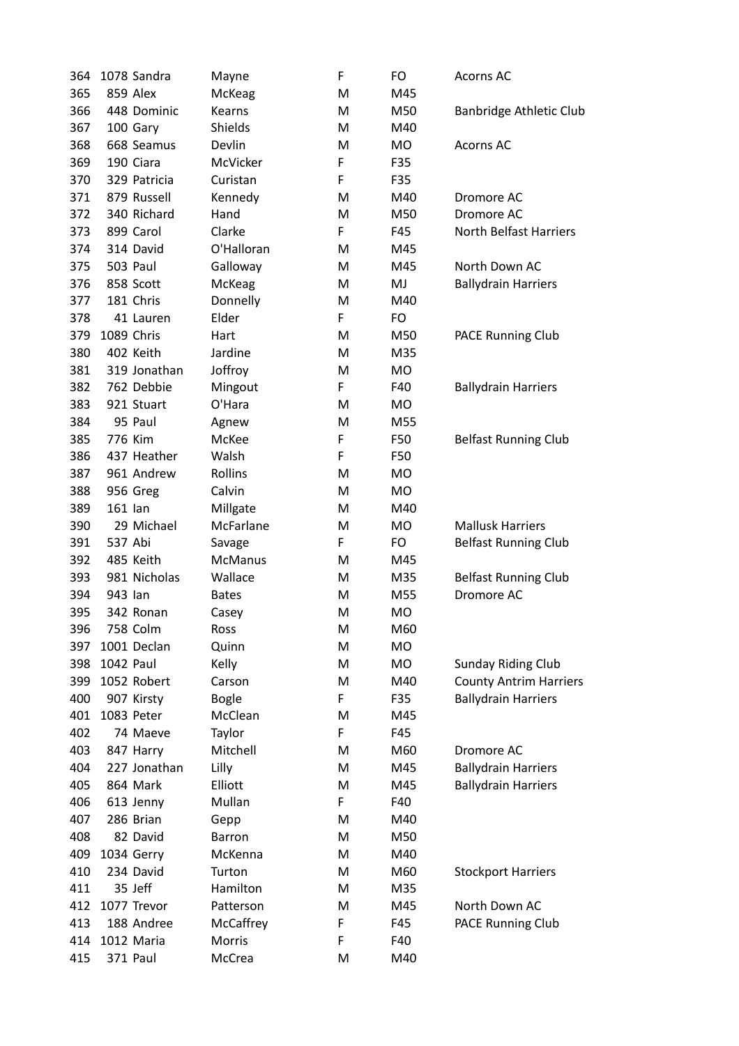| 364 |           | 1078 Sandra  | Mayne          | F  | FO        | Acorns AC                     |
|-----|-----------|--------------|----------------|----|-----------|-------------------------------|
| 365 |           | 859 Alex     | McKeag         | M  | M45       |                               |
| 366 |           | 448 Dominic  | Kearns         | M  | M50       | Banbridge Athletic Club       |
| 367 |           | 100 Gary     | Shields        | M  | M40       |                               |
| 368 |           | 668 Seamus   | Devlin         | M  | MO        | <b>Acorns AC</b>              |
| 369 |           | 190 Ciara    | McVicker       | F  | F35       |                               |
| 370 |           | 329 Patricia | Curistan       | F  | F35       |                               |
| 371 |           | 879 Russell  | Kennedy        | M  | M40       | Dromore AC                    |
| 372 |           | 340 Richard  | Hand           | M  | M50       | Dromore AC                    |
| 373 |           | 899 Carol    | Clarke         | F  | F45       | <b>North Belfast Harriers</b> |
| 374 |           | 314 David    | O'Halloran     | M  | M45       |                               |
| 375 |           | 503 Paul     | Galloway       | M  | M45       | North Down AC                 |
| 376 |           | 858 Scott    | McKeag         | Μ  | MJ        | <b>Ballydrain Harriers</b>    |
| 377 |           | 181 Chris    | Donnelly       | M  | M40       |                               |
| 378 |           | 41 Lauren    | Elder          | F. | FO        |                               |
| 379 |           | 1089 Chris   | Hart           | M  | M50       | <b>PACE Running Club</b>      |
| 380 |           | 402 Keith    | Jardine        | M  | M35       |                               |
| 381 |           | 319 Jonathan | Joffroy        | M  | MO        |                               |
| 382 |           | 762 Debbie   | Mingout        | F  | F40       | <b>Ballydrain Harriers</b>    |
| 383 |           | 921 Stuart   | O'Hara         | M  | MO        |                               |
| 384 |           | 95 Paul      | Agnew          | M  | M55       |                               |
| 385 |           | 776 Kim      | McKee          | F  | F50       | <b>Belfast Running Club</b>   |
| 386 |           | 437 Heather  | Walsh          | F  | F50       |                               |
| 387 |           | 961 Andrew   | Rollins        | M  | MO        |                               |
| 388 |           | 956 Greg     | Calvin         | M  | <b>MO</b> |                               |
| 389 | 161 lan   |              | Millgate       | м  | M40       |                               |
| 390 |           | 29 Michael   | McFarlane      | M  | MO        | <b>Mallusk Harriers</b>       |
| 391 | 537 Abi   |              | Savage         | F  | FO        | <b>Belfast Running Club</b>   |
| 392 |           | 485 Keith    | <b>McManus</b> | M  | M45       |                               |
| 393 |           | 981 Nicholas | Wallace        | M  | M35       | <b>Belfast Running Club</b>   |
| 394 | 943 lan   |              | <b>Bates</b>   | м  | M55       | Dromore AC                    |
| 395 |           | 342 Ronan    | Casey          | Μ  | МO        |                               |
| 396 |           | 758 Colm     | Ross           | M  | M60       |                               |
| 397 |           | 1001 Declan  | Quinn          | M  | <b>MO</b> |                               |
| 398 | 1042 Paul |              | Kelly          | M  | MO        | <b>Sunday Riding Club</b>     |
| 399 |           | 1052 Robert  | Carson         | M  | M40       | <b>County Antrim Harriers</b> |
| 400 |           | 907 Kirsty   | <b>Bogle</b>   | F. | F35       | <b>Ballydrain Harriers</b>    |
| 401 |           | 1083 Peter   | McClean        | M  | M45       |                               |
| 402 |           | 74 Maeve     | Taylor         | F  | F45       |                               |
| 403 |           | 847 Harry    | Mitchell       | M  | M60       | Dromore AC                    |
| 404 |           | 227 Jonathan | Lilly          | M  | M45       | <b>Ballydrain Harriers</b>    |
| 405 |           | 864 Mark     | Elliott        | M  | M45       | <b>Ballydrain Harriers</b>    |
| 406 |           | 613 Jenny    | Mullan         | F. | F40       |                               |
| 407 |           | 286 Brian    | Gepp           | M  | M40       |                               |
| 408 |           | 82 David     | Barron         | M  | M50       |                               |
| 409 |           | 1034 Gerry   | McKenna        | M  | M40       |                               |
| 410 |           | 234 David    | Turton         | M  | M60       | <b>Stockport Harriers</b>     |
| 411 |           | 35 Jeff      | Hamilton       | M  | M35       |                               |
| 412 |           | 1077 Trevor  | Patterson      | M  | M45       | North Down AC                 |
| 413 |           | 188 Andree   | McCaffrey      | F  | F45       | PACE Running Club             |
| 414 |           | 1012 Maria   | Morris         | F  | F40       |                               |
| 415 |           | 371 Paul     | McCrea         | M  | M40       |                               |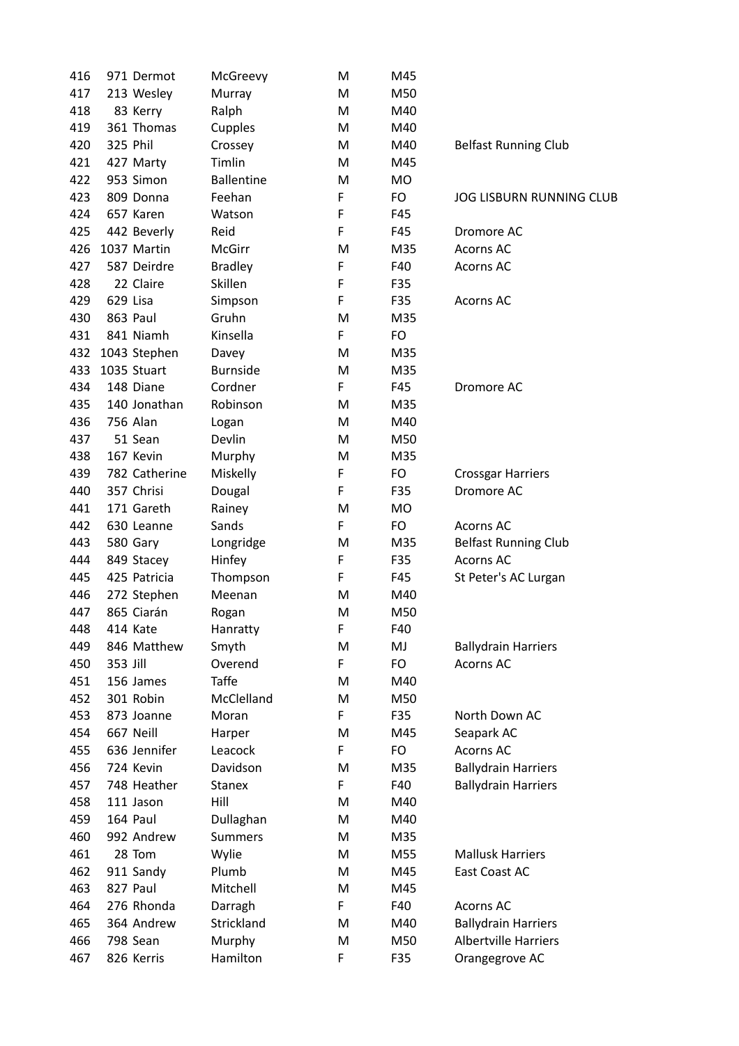| 416 | 971 Dermot            | McGreevy              | M  | M45       |                                 |
|-----|-----------------------|-----------------------|----|-----------|---------------------------------|
| 417 | 213 Wesley            | Murray                | M  | M50       |                                 |
| 418 | 83 Kerry              | Ralph                 | M  | M40       |                                 |
| 419 | 361 Thomas            | Cupples               | M  | M40       |                                 |
| 420 | 325 Phil              | Crossey               | M  | M40       | <b>Belfast Running Club</b>     |
| 421 | 427 Marty             | Timlin                | M  | M45       |                                 |
| 422 | 953 Simon             | <b>Ballentine</b>     | M  | MO        |                                 |
| 423 | 809 Donna             | Feehan                | F  | FO        | <b>JOG LISBURN RUNNING CLUB</b> |
| 424 | 657 Karen             | Watson                | F  | F45       |                                 |
| 425 | 442 Beverly           | Reid                  | F  | F45       | Dromore AC                      |
| 426 | 1037 Martin           | McGirr                | M  | M35       | Acorns AC                       |
| 427 | 587 Deirdre           | <b>Bradley</b>        | F  | F40       | Acorns AC                       |
| 428 | 22 Claire             | Skillen               | F  | F35       |                                 |
| 429 | 629 Lisa              | Simpson               | F  | F35       | <b>Acorns AC</b>                |
| 430 | 863 Paul              | Gruhn                 | M  | M35       |                                 |
| 431 | 841 Niamh             | Kinsella              | F  | <b>FO</b> |                                 |
| 432 | 1043 Stephen          | Davey                 | M  | M35       |                                 |
| 433 | 1035 Stuart           | <b>Burnside</b>       | M  | M35       |                                 |
| 434 | 148 Diane             | Cordner               | F  | F45       | Dromore AC                      |
| 435 | 140 Jonathan          | Robinson              | M  | M35       |                                 |
| 436 | 756 Alan              | Logan                 | M  | M40       |                                 |
| 437 | 51 Sean               | Devlin                | M  | M50       |                                 |
| 438 | 167 Kevin             | Murphy                | M  | M35       |                                 |
| 439 | 782 Catherine         | Miskelly              | F  | FO        | <b>Crossgar Harriers</b>        |
| 440 | 357 Chrisi            | Dougal                | F  | F35       | Dromore AC                      |
| 441 | 171 Gareth            | Rainey                | M  | MO        |                                 |
| 442 | 630 Leanne            | Sands                 | F  | FO        | <b>Acorns AC</b>                |
| 443 | 580 Gary              | Longridge             | M  | M35       | <b>Belfast Running Club</b>     |
| 444 | 849 Stacey            | Hinfey                | F  | F35       | Acorns AC                       |
| 445 | 425 Patricia          | Thompson              | F  | F45       | St Peter's AC Lurgan            |
| 446 | 272 Stephen           | Meenan                | M  | M40       |                                 |
| 447 | 865 Ciarán            | Rogan                 | M  | M50       |                                 |
| 448 | 414 Kate              | Hanratty              | F  | F40       |                                 |
| 449 | 846 Matthew           | Smyth                 | M  | MJ        | <b>Ballydrain Harriers</b>      |
| 450 | 353 Jill              | Overend               | F  | FO        | Acorns AC                       |
| 451 | 156 James             | <b>Taffe</b>          | M  | M40       |                                 |
| 452 | 301 Robin             | McClelland            | M  | M50       |                                 |
| 453 | 873 Joanne            | Moran                 | F  | F35       | North Down AC                   |
| 454 | 667 Neill             | Harper                | M  | M45       | Seapark AC                      |
| 455 | 636 Jennifer          | Leacock               | F  | FO        | Acorns AC                       |
| 456 | 724 Kevin             | Davidson              | M  | M35       | <b>Ballydrain Harriers</b>      |
| 457 | 748 Heather           | <b>Stanex</b>         | F  | F40       | <b>Ballydrain Harriers</b>      |
| 458 | 111 Jason             | Hill                  | M  | M40       |                                 |
| 459 | 164 Paul              | Dullaghan             | M  | M40       |                                 |
| 460 | 992 Andrew            | <b>Summers</b>        | M  | M35       |                                 |
| 461 | 28 Tom                | Wylie                 | M  | M55       | <b>Mallusk Harriers</b>         |
| 462 |                       | Plumb                 | M  | M45       | East Coast AC                   |
| 463 | 911 Sandy<br>827 Paul | Mitchell              | M  | M45       |                                 |
| 464 | 276 Rhonda            |                       | F. | F40       | <b>Acorns AC</b>                |
| 465 | 364 Andrew            | Darragh<br>Strickland | M  | M40       | <b>Ballydrain Harriers</b>      |
| 466 | 798 Sean              |                       | M  | M50       | <b>Albertville Harriers</b>     |
|     |                       | Murphy                | F  |           |                                 |
| 467 | 826 Kerris            | Hamilton              |    | F35       | Orangegrove AC                  |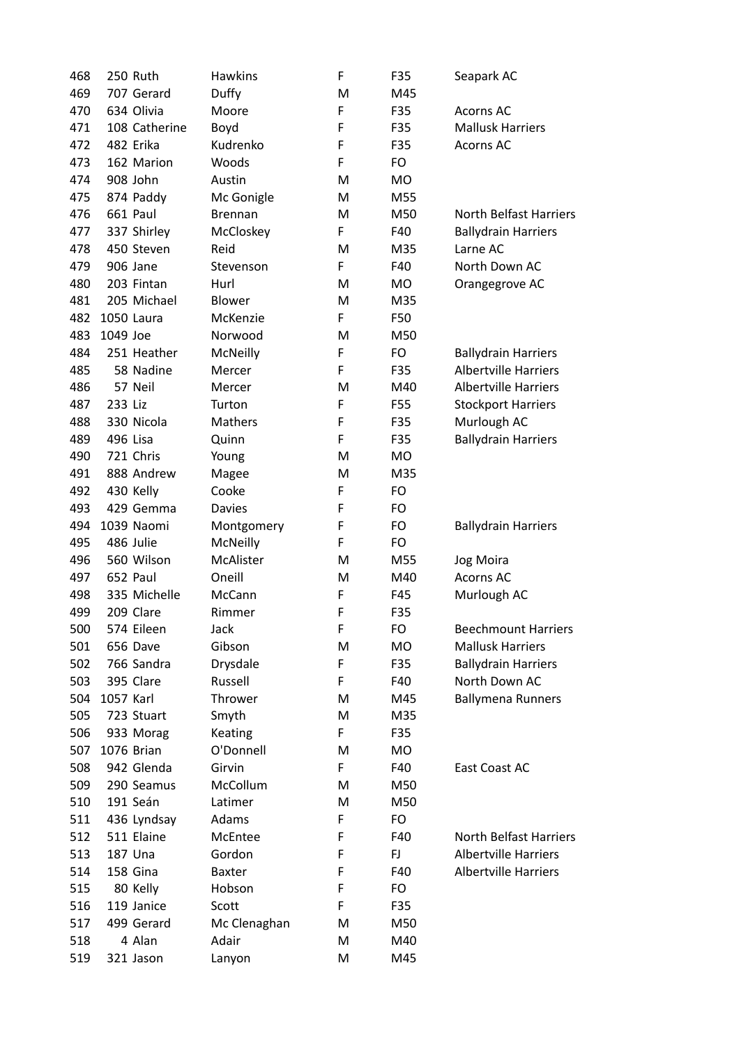| 468 |           | 250 Ruth      | <b>Hawkins</b> | F           | F35 | Seapark AC                    |
|-----|-----------|---------------|----------------|-------------|-----|-------------------------------|
| 469 |           | 707 Gerard    | Duffy          | M           | M45 |                               |
| 470 |           | 634 Olivia    | Moore          | $\mathsf F$ | F35 | <b>Acorns AC</b>              |
| 471 |           | 108 Catherine | Boyd           | F           | F35 | <b>Mallusk Harriers</b>       |
| 472 |           | 482 Erika     | Kudrenko       | F           | F35 | <b>Acorns AC</b>              |
| 473 |           | 162 Marion    | Woods          | $\mathsf F$ | FO  |                               |
| 474 |           | 908 John      | Austin         | M           | MO  |                               |
| 475 |           | 874 Paddy     | Mc Gonigle     | M           | M55 |                               |
| 476 |           | 661 Paul      | Brennan        | M           | M50 | <b>North Belfast Harriers</b> |
| 477 |           | 337 Shirley   | McCloskey      | F           | F40 | <b>Ballydrain Harriers</b>    |
| 478 |           | 450 Steven    | Reid           | M           | M35 | Larne AC                      |
| 479 |           | 906 Jane      | Stevenson      | F           | F40 | North Down AC                 |
| 480 |           | 203 Fintan    | Hurl           | M           | MO. | Orangegrove AC                |
| 481 |           | 205 Michael   | Blower         | M           | M35 |                               |
| 482 |           | 1050 Laura    | McKenzie       | F           | F50 |                               |
| 483 | 1049 Joe  |               | Norwood        | M           | M50 |                               |
| 484 |           | 251 Heather   | McNeilly       | F           | FO  | <b>Ballydrain Harriers</b>    |
| 485 |           | 58 Nadine     | Mercer         | F           | F35 | <b>Albertville Harriers</b>   |
| 486 |           | 57 Neil       | Mercer         | M           | M40 | <b>Albertville Harriers</b>   |
| 487 | 233 Liz   |               | Turton         | F           | F55 | <b>Stockport Harriers</b>     |
| 488 |           | 330 Nicola    | Mathers        | F           | F35 | Murlough AC                   |
| 489 |           | 496 Lisa      | Quinn          | $\mathsf F$ | F35 | <b>Ballydrain Harriers</b>    |
| 490 |           | 721 Chris     | Young          | M           | MO  |                               |
| 491 |           | 888 Andrew    | Magee          | M           | M35 |                               |
| 492 |           | 430 Kelly     | Cooke          | F           | FO  |                               |
| 493 |           | 429 Gemma     | <b>Davies</b>  | F           | FO  |                               |
| 494 |           | 1039 Naomi    | Montgomery     | F           | FO  | <b>Ballydrain Harriers</b>    |
| 495 |           | 486 Julie     | McNeilly       | $\mathsf F$ | FO  |                               |
| 496 |           | 560 Wilson    | McAlister      | M           | M55 | Jog Moira                     |
| 497 |           | 652 Paul      | Oneill         | M           | M40 | <b>Acorns AC</b>              |
| 498 |           | 335 Michelle  | McCann         | F           | F45 | Murlough AC                   |
| 499 |           | 209 Clare     | Rimmer         | F           | F35 |                               |
| 500 |           | 574 Eileen    | Jack           | F           | FO  | <b>Beechmount Harriers</b>    |
| 501 |           | 656 Dave      | Gibson         | M           | MO  | <b>Mallusk Harriers</b>       |
| 502 |           | 766 Sandra    | Drysdale       | F           | F35 | <b>Ballydrain Harriers</b>    |
| 503 |           | 395 Clare     | Russell        | F           | F40 | North Down AC                 |
| 504 | 1057 Karl |               | Thrower        | M           | M45 | <b>Ballymena Runners</b>      |
| 505 |           | 723 Stuart    | Smyth          | M           | M35 |                               |
| 506 |           | 933 Morag     | Keating        | F           | F35 |                               |
| 507 |           | 1076 Brian    | O'Donnell      | M           | MO  |                               |
| 508 |           | 942 Glenda    | Girvin         | F           | F40 | East Coast AC                 |
| 509 |           | 290 Seamus    | McCollum       | M           | M50 |                               |
| 510 |           | 191 Seán      | Latimer        | M           | M50 |                               |
| 511 |           | 436 Lyndsay   | Adams          | F           | FO  |                               |
| 512 |           | 511 Elaine    | McEntee        | F           | F40 | <b>North Belfast Harriers</b> |
| 513 |           | 187 Una       | Gordon         | F           | FJ  | <b>Albertville Harriers</b>   |
| 514 |           | 158 Gina      | <b>Baxter</b>  | F           | F40 | <b>Albertville Harriers</b>   |
| 515 |           | 80 Kelly      | Hobson         | F           | FO  |                               |
| 516 |           | 119 Janice    | Scott          | F           | F35 |                               |
| 517 |           | 499 Gerard    | Mc Clenaghan   | M           | M50 |                               |
| 518 |           | 4 Alan        | Adair          | M           | M40 |                               |
| 519 |           | 321 Jason     | Lanyon         | M           | M45 |                               |
|     |           |               |                |             |     |                               |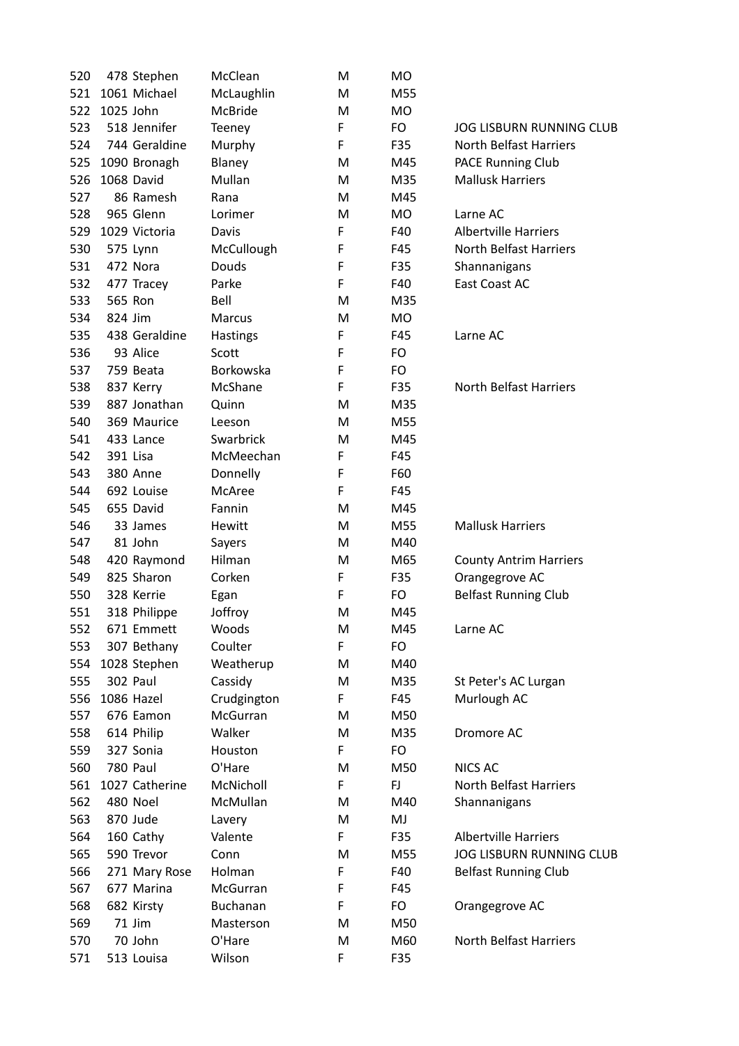| 520 |           | 478 Stephen    | McClean            | M      | MO        |                                 |
|-----|-----------|----------------|--------------------|--------|-----------|---------------------------------|
| 521 |           | 1061 Michael   | McLaughlin         | м      | M55       |                                 |
| 522 | 1025 John |                | McBride            | м      | MO        |                                 |
| 523 |           | 518 Jennifer   | Teeney             | F      | FO        | <b>JOG LISBURN RUNNING CLUB</b> |
| 524 |           | 744 Geraldine  | Murphy             | F      | F35       | <b>North Belfast Harriers</b>   |
| 525 |           | 1090 Bronagh   | Blaney             | M      | M45       | <b>PACE Running Club</b>        |
| 526 |           | 1068 David     | Mullan             | М      | M35       | <b>Mallusk Harriers</b>         |
| 527 |           | 86 Ramesh      | Rana               | м      | M45       |                                 |
| 528 |           | 965 Glenn      | Lorimer            | м      | MO        | Larne AC                        |
| 529 |           | 1029 Victoria  | Davis              | F      | F40       | <b>Albertville Harriers</b>     |
| 530 |           | 575 Lynn       | McCullough         | F      | F45       | <b>North Belfast Harriers</b>   |
| 531 |           | 472 Nora       | Douds              | F      | F35       | Shannanigans                    |
| 532 |           | 477 Tracey     | Parke              | F      | F40       | East Coast AC                   |
| 533 | 565 Ron   |                | Bell               | м      | M35       |                                 |
| 534 | 824 Jim   |                | Marcus             | м      | <b>MO</b> |                                 |
| 535 |           | 438 Geraldine  | <b>Hastings</b>    | F      | F45       | Larne AC                        |
| 536 |           | 93 Alice       | Scott              | F      | FO        |                                 |
| 537 |           | 759 Beata      | Borkowska          | F      | FO.       |                                 |
| 538 |           | 837 Kerry      | McShane            | F      | F35       | <b>North Belfast Harriers</b>   |
| 539 |           | 887 Jonathan   | Quinn              | M      | M35       |                                 |
| 540 |           | 369 Maurice    | Leeson             | м      | M55       |                                 |
| 541 |           | 433 Lance      | Swarbrick          | м      | M45       |                                 |
|     |           |                |                    |        |           |                                 |
| 542 | 391 Lisa  |                | McMeechan          | F      | F45       |                                 |
| 543 |           | 380 Anne       | Donnelly<br>McAree | F<br>F | F60       |                                 |
| 544 |           | 692 Louise     |                    |        | F45       |                                 |
| 545 |           | 655 David      | Fannin             | M      | M45       |                                 |
| 546 |           | 33 James       | Hewitt             | м      | M55       | <b>Mallusk Harriers</b>         |
| 547 |           | 81 John        | Sayers             | M      | M40       |                                 |
| 548 |           | 420 Raymond    | Hilman             | M      | M65       | <b>County Antrim Harriers</b>   |
| 549 |           | 825 Sharon     | Corken             | F      | F35       | Orangegrove AC                  |
| 550 |           | 328 Kerrie     | Egan               | F      | FO        | <b>Belfast Running Club</b>     |
| 551 |           | 318 Philippe   | Joffroy            | M      | M45       |                                 |
| 552 |           | 671 Emmett     | Woods              | M      | M45       | Larne AC                        |
| 553 |           | 307 Bethany    | Coulter            | F      | FO        |                                 |
| 554 |           | 1028 Stephen   | Weatherup          | M      | M40       |                                 |
| 555 |           | 302 Paul       | Cassidy            | M      | M35       | St Peter's AC Lurgan            |
| 556 |           | 1086 Hazel     | Crudgington        | F      | F45       | Murlough AC                     |
| 557 |           | 676 Eamon      | McGurran           | м      | M50       |                                 |
| 558 |           | 614 Philip     | Walker             | M      | M35       | Dromore AC                      |
| 559 |           | 327 Sonia      | Houston            | F      | FO        |                                 |
| 560 |           | 780 Paul       | O'Hare             | м      | M50       | <b>NICS AC</b>                  |
| 561 |           | 1027 Catherine | McNicholl          | F      | FJ.       | North Belfast Harriers          |
| 562 |           | 480 Noel       | McMullan           | м      | M40       | Shannanigans                    |
| 563 |           | 870 Jude       | Lavery             | М      | MJ        |                                 |
| 564 |           | 160 Cathy      | Valente            | F      | F35       | <b>Albertville Harriers</b>     |
| 565 |           | 590 Trevor     | Conn               | M      | M55       | <b>JOG LISBURN RUNNING CLUB</b> |
| 566 |           | 271 Mary Rose  | Holman             | F      | F40       | <b>Belfast Running Club</b>     |
| 567 |           | 677 Marina     | McGurran           | F      | F45       |                                 |
| 568 |           | 682 Kirsty     | Buchanan           | F      | FO        | Orangegrove AC                  |
| 569 |           | 71 Jim         | Masterson          | м      | M50       |                                 |
| 570 |           | 70 John        | O'Hare             | M      | M60       | North Belfast Harriers          |
| 571 |           | 513 Louisa     | Wilson             | F      | F35       |                                 |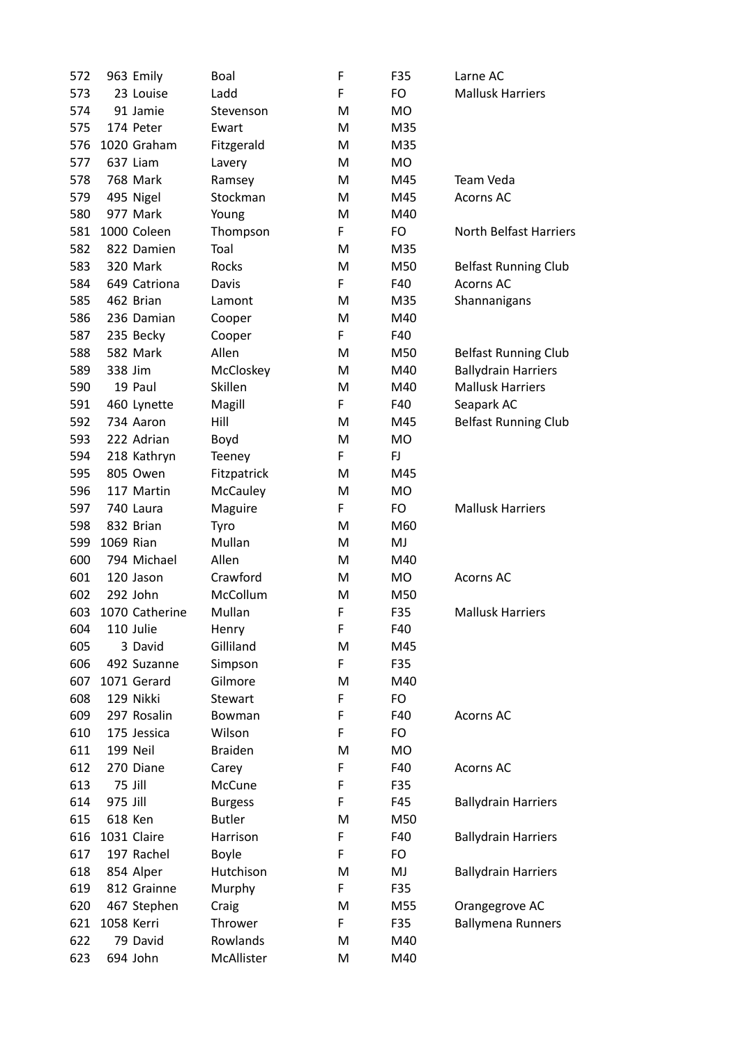| 572 |           | 963 Emily            | Boal            | F      | F35       | Larne AC                      |
|-----|-----------|----------------------|-----------------|--------|-----------|-------------------------------|
| 573 |           | 23 Louise            | Ladd            | F      | FO        | <b>Mallusk Harriers</b>       |
| 574 |           | 91 Jamie             | Stevenson       | M      | MO        |                               |
| 575 |           | 174 Peter            | Ewart           | м      | M35       |                               |
| 576 |           | 1020 Graham          | Fitzgerald      | M      | M35       |                               |
| 577 |           | 637 Liam             | Lavery          | M      | <b>MO</b> |                               |
| 578 |           | 768 Mark             | Ramsey          | м      | M45       | Team Veda                     |
| 579 |           | 495 Nigel            | Stockman        | м      | M45       | <b>Acorns AC</b>              |
| 580 |           | 977 Mark             | Young           | M      | M40       |                               |
| 581 |           | 1000 Coleen          | Thompson        | F      | FO        | <b>North Belfast Harriers</b> |
| 582 |           | 822 Damien           | Toal            | м      | M35       |                               |
| 583 |           | 320 Mark             | Rocks           | M      | M50       | <b>Belfast Running Club</b>   |
| 584 |           | 649 Catriona         | Davis           | F      | F40       | <b>Acorns AC</b>              |
| 585 |           | 462 Brian            | Lamont          | м      | M35       | Shannanigans                  |
| 586 |           | 236 Damian           | Cooper          | M      | M40       |                               |
| 587 |           | 235 Becky            | Cooper          | F      | F40       |                               |
| 588 |           | 582 Mark             | Allen           | м      | M50       | <b>Belfast Running Club</b>   |
| 589 | 338 Jim   |                      | McCloskey       | м      | M40       | <b>Ballydrain Harriers</b>    |
| 590 |           | 19 Paul              | Skillen         | M      | M40       | <b>Mallusk Harriers</b>       |
| 591 |           | 460 Lynette          | Magill          | F      | F40       | Seapark AC                    |
| 592 |           | 734 Aaron            | Hill            | M      | M45       | <b>Belfast Running Club</b>   |
| 593 |           | 222 Adrian           | Boyd            | M      | <b>MO</b> |                               |
| 594 |           | 218 Kathryn          | Teeney          | F      | FJ        |                               |
| 595 |           | 805 Owen             | Fitzpatrick     | M      | M45       |                               |
| 596 |           | 117 Martin           | <b>McCauley</b> | M      | <b>MO</b> |                               |
| 597 |           | 740 Laura            | Maguire         | F      | FO        | <b>Mallusk Harriers</b>       |
| 598 |           | 832 Brian            | Tyro            | M      | M60       |                               |
| 599 | 1069 Rian |                      | Mullan          | м      | MJ        |                               |
| 600 |           | 794 Michael          | Allen           | м      | M40       |                               |
| 601 |           | 120 Jason            | Crawford        |        | MO        | <b>Acorns AC</b>              |
| 602 |           | 292 John             | McCollum        | M      | M50       |                               |
|     |           | 1070 Catherine       | Mullan          | M<br>F |           |                               |
| 603 |           |                      |                 |        | F35       | <b>Mallusk Harriers</b>       |
| 604 |           | 110 Julie<br>3 David | Henry           | F      | F40       |                               |
| 605 |           |                      | Gilliland       | M<br>F | M45       |                               |
| 606 |           | 492 Suzanne          | Simpson         |        | F35       |                               |
| 607 |           | 1071 Gerard          | Gilmore         | M      | M40       |                               |
| 608 |           | 129 Nikki            | Stewart         | F      | FO        |                               |
| 609 |           | 297 Rosalin          | Bowman          | F      | F40       | <b>Acorns AC</b>              |
| 610 |           | 175 Jessica          | Wilson          | F      | FO        |                               |
| 611 |           | 199 Neil             | <b>Braiden</b>  | M      | MO        |                               |
| 612 |           | 270 Diane            | Carey           | F      | F40       | <b>Acorns AC</b>              |
| 613 |           | 75 Jill              | McCune          | F      | F35       |                               |
| 614 | 975 Jill  |                      | <b>Burgess</b>  | F      | F45       | <b>Ballydrain Harriers</b>    |
| 615 |           | 618 Ken              | <b>Butler</b>   | M      | M50       |                               |
| 616 |           | 1031 Claire          | Harrison        | F      | F40       | <b>Ballydrain Harriers</b>    |
| 617 |           | 197 Rachel           | <b>Boyle</b>    | F      | FO        |                               |
| 618 |           | 854 Alper            | Hutchison       | M      | MJ        | <b>Ballydrain Harriers</b>    |
| 619 |           | 812 Grainne          | Murphy          | F      | F35       |                               |
| 620 |           | 467 Stephen          | Craig           | M      | M55       | Orangegrove AC                |
| 621 |           | 1058 Kerri           | Thrower         | F      | F35       | <b>Ballymena Runners</b>      |
| 622 |           | 79 David             | Rowlands        | M      | M40       |                               |
| 623 |           | 694 John             | McAllister      | M      | M40       |                               |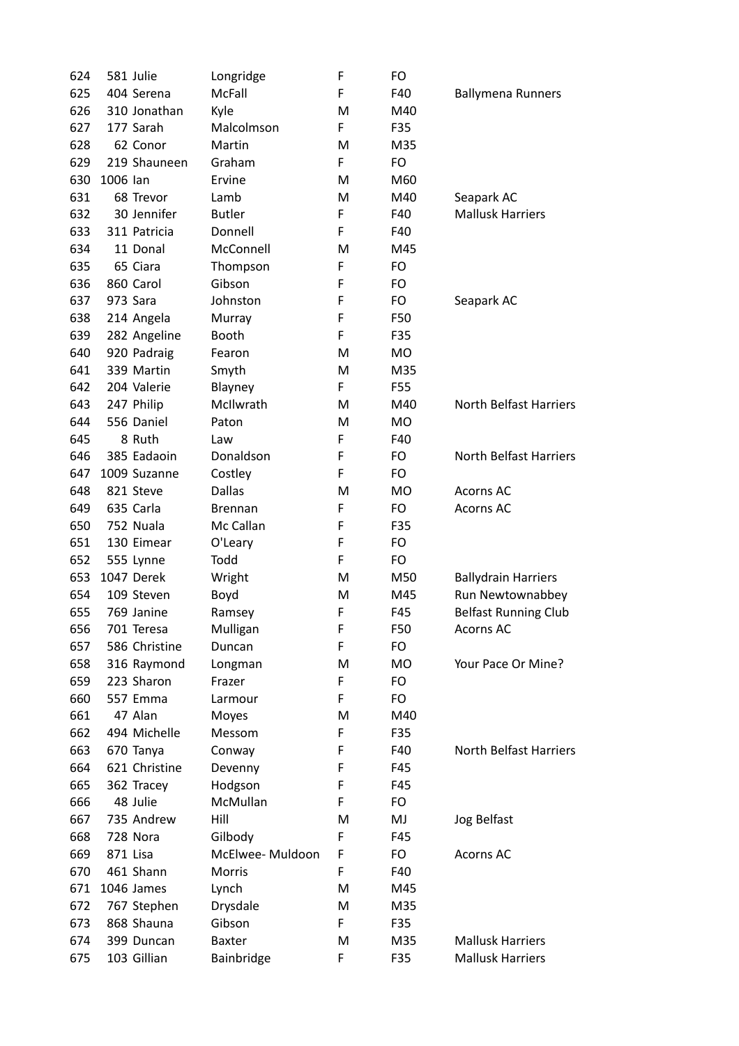| 624 |          | 581 Julie     | Longridge       | F | FO  |                               |
|-----|----------|---------------|-----------------|---|-----|-------------------------------|
| 625 |          | 404 Serena    | McFall          | F | F40 | <b>Ballymena Runners</b>      |
| 626 |          | 310 Jonathan  | Kyle            | M | M40 |                               |
| 627 |          | 177 Sarah     | Malcolmson      | F | F35 |                               |
| 628 |          | 62 Conor      | Martin          | M | M35 |                               |
| 629 |          | 219 Shauneen  | Graham          | F | FO  |                               |
| 630 | 1006 lan |               | Ervine          | M | M60 |                               |
| 631 |          | 68 Trevor     | Lamb            | M | M40 | Seapark AC                    |
| 632 |          | 30 Jennifer   | <b>Butler</b>   | F | F40 | <b>Mallusk Harriers</b>       |
| 633 |          | 311 Patricia  | Donnell         | F | F40 |                               |
| 634 |          | 11 Donal      | McConnell       | M | M45 |                               |
| 635 |          | 65 Ciara      | Thompson        | F | FO  |                               |
| 636 |          | 860 Carol     | Gibson          | F | FO  |                               |
| 637 |          | 973 Sara      | Johnston        | F | FO  | Seapark AC                    |
| 638 |          | 214 Angela    | Murray          | F | F50 |                               |
| 639 |          | 282 Angeline  | Booth           | F | F35 |                               |
| 640 |          | 920 Padraig   | Fearon          | M | MO  |                               |
| 641 |          | 339 Martin    | Smyth           | M | M35 |                               |
| 642 |          | 204 Valerie   | Blayney         | F | F55 |                               |
| 643 |          | 247 Philip    | McIlwrath       | M | M40 | <b>North Belfast Harriers</b> |
| 644 |          | 556 Daniel    | Paton           | M | MO  |                               |
| 645 |          | 8 Ruth        | Law             | F | F40 |                               |
| 646 |          | 385 Eadaoin   | Donaldson       | F | FO  | <b>North Belfast Harriers</b> |
| 647 |          | 1009 Suzanne  | Costley         | F | FO  |                               |
| 648 |          | 821 Steve     | <b>Dallas</b>   | M | MO  | Acorns AC                     |
| 649 |          | 635 Carla     | <b>Brennan</b>  | F | FO  | <b>Acorns AC</b>              |
| 650 |          | 752 Nuala     | Mc Callan       | F | F35 |                               |
| 651 |          | 130 Eimear    | O'Leary         | F | FO  |                               |
| 652 |          | 555 Lynne     | Todd            | F | FO  |                               |
| 653 |          | 1047 Derek    | Wright          | M | M50 | <b>Ballydrain Harriers</b>    |
| 654 |          | 109 Steven    | Boyd            | M | M45 | Run Newtownabbey              |
| 655 |          | 769 Janine    | Ramsey          | F | F45 | <b>Belfast Running Club</b>   |
| 656 |          | 701 Teresa    | Mulligan        | F | F50 | <b>Acorns AC</b>              |
| 657 |          | 586 Christine | Duncan          | F | FO  |                               |
| 658 |          | 316 Raymond   | Longman         | M | MO  | Your Pace Or Mine?            |
| 659 |          | 223 Sharon    | Frazer          | F | FO  |                               |
| 660 |          | 557 Emma      | Larmour         | F | FO  |                               |
| 661 |          | 47 Alan       | Moyes           | M | M40 |                               |
| 662 |          | 494 Michelle  | Messom          | F | F35 |                               |
| 663 |          | 670 Tanya     | Conway          | F | F40 | <b>North Belfast Harriers</b> |
| 664 |          | 621 Christine | Devenny         | F | F45 |                               |
| 665 |          | 362 Tracey    | Hodgson         | F | F45 |                               |
| 666 |          | 48 Julie      | McMullan        | F | FO  |                               |
| 667 |          | 735 Andrew    | Hill            | M | MJ  | Jog Belfast                   |
| 668 |          | 728 Nora      | Gilbody         | F | F45 |                               |
| 669 |          | 871 Lisa      | McElwee-Muldoon | F | FO  | <b>Acorns AC</b>              |
| 670 |          | 461 Shann     | Morris          | F | F40 |                               |
| 671 |          | 1046 James    | Lynch           | M | M45 |                               |
| 672 |          | 767 Stephen   | Drysdale        | M | M35 |                               |
| 673 |          | 868 Shauna    | Gibson          | F | F35 |                               |
| 674 |          | 399 Duncan    | <b>Baxter</b>   | M | M35 | <b>Mallusk Harriers</b>       |
| 675 |          | 103 Gillian   | Bainbridge      | F | F35 | <b>Mallusk Harriers</b>       |
|     |          |               |                 |   |     |                               |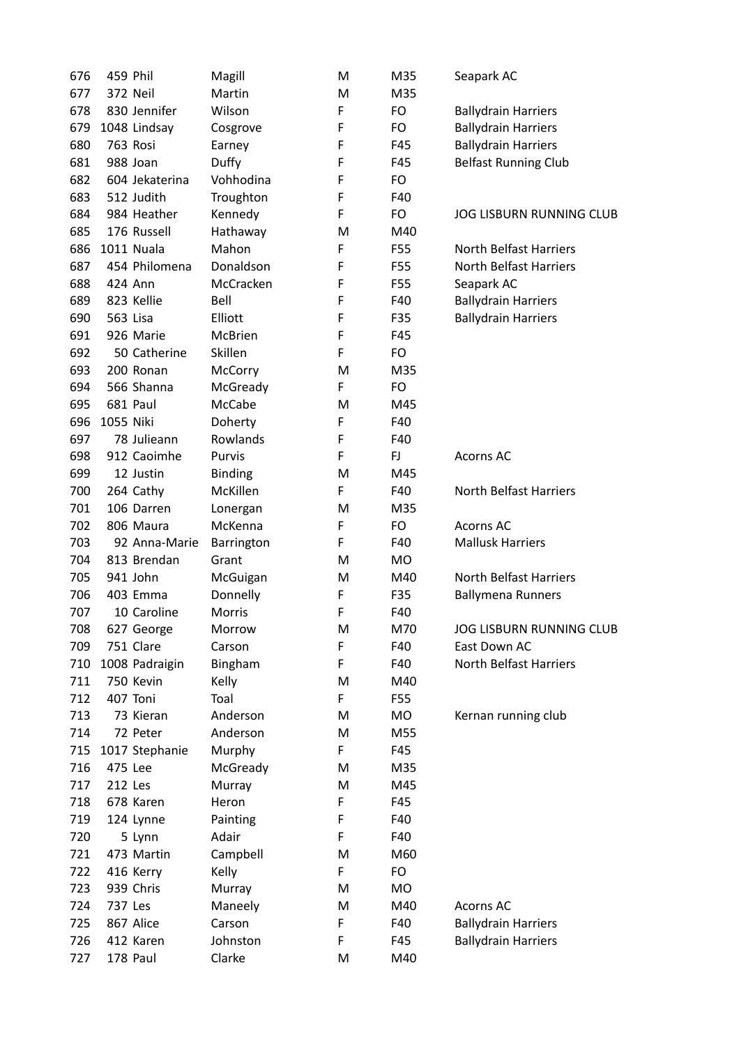| 676 | 459 Phil  |                   | Magill              | M      | M35 | Seapark AC                                    |
|-----|-----------|-------------------|---------------------|--------|-----|-----------------------------------------------|
| 677 |           | <b>372 Neil</b>   | Martin              | M      | M35 |                                               |
| 678 |           | 830 Jennifer      | Wilson              | F      | FO  | <b>Ballydrain Harriers</b>                    |
| 679 |           | 1048 Lindsay      | Cosgrove            | F      | FO  | <b>Ballydrain Harriers</b>                    |
| 680 |           | 763 Rosi          | Earney              | F      | F45 | <b>Ballydrain Harriers</b>                    |
| 681 |           | 988 Joan          | Duffy               | F      | F45 | <b>Belfast Running Club</b>                   |
| 682 |           | 604 Jekaterina    | Vohhodina           | F      | FO  |                                               |
| 683 |           | 512 Judith        | Troughton           | F      | F40 |                                               |
| 684 |           | 984 Heather       | Kennedy             | F      | FO  | <b>JOG LISBURN RUNNING CLUB</b>               |
| 685 |           | 176 Russell       | Hathaway            | M      | M40 |                                               |
| 686 |           | <b>1011 Nuala</b> | Mahon               | F      | F55 | <b>North Belfast Harriers</b>                 |
| 687 |           | 454 Philomena     | Donaldson           | F      | F55 | <b>North Belfast Harriers</b>                 |
| 688 |           | 424 Ann           | McCracken           | F      | F55 | Seapark AC                                    |
| 689 |           | 823 Kellie        | Bell                | F      | F40 | <b>Ballydrain Harriers</b>                    |
| 690 | 563 Lisa  |                   | Elliott             | F      | F35 | <b>Ballydrain Harriers</b>                    |
| 691 |           | 926 Marie         | McBrien             | F      | F45 |                                               |
| 692 |           | 50 Catherine      | Skillen             | F      | FO  |                                               |
| 693 |           | 200 Ronan         | McCorry             | M      | M35 |                                               |
| 694 |           | 566 Shanna        | McGready            | F      | FO  |                                               |
| 695 |           | 681 Paul          | McCabe              | M      | M45 |                                               |
| 696 | 1055 Niki |                   | Doherty             | F      | F40 |                                               |
| 697 |           | 78 Julieann       | Rowlands            | F      | F40 |                                               |
| 698 |           | 912 Caoimhe       | Purvis              | F      | FJ  | <b>Acorns AC</b>                              |
| 699 |           | 12 Justin         | <b>Binding</b>      | M      | M45 |                                               |
| 700 |           | 264 Cathy         | McKillen            | F      | F40 | North Belfast Harriers                        |
| 701 |           | 106 Darren        | Lonergan            | M      | M35 |                                               |
| 702 |           | 806 Maura         | McKenna             | F      | FO  | <b>Acorns AC</b>                              |
| 703 |           | 92 Anna-Marie     |                     | F      | F40 | <b>Mallusk Harriers</b>                       |
| 704 |           | 813 Brendan       | Barrington<br>Grant |        |     |                                               |
|     |           | 941 John          |                     | M      | MO. | <b>North Belfast Harriers</b>                 |
| 705 |           |                   | McGuigan            | M<br>F | M40 |                                               |
| 706 |           | 403 Emma          | Donnelly            | F      | F35 | <b>Ballymena Runners</b>                      |
| 707 |           | 10 Caroline       | Morris              |        | F40 |                                               |
| 708 |           | 627 George        | Morrow              | M<br>F | M70 | JOG LISBURN RUNNING CLUB                      |
| 709 |           | 751 Clare         | Carson              |        | F40 | East Down AC<br><b>North Belfast Harriers</b> |
| 710 |           | 1008 Padraigin    | Bingham             | F      | F40 |                                               |
| 711 |           | 750 Kevin         | Kelly               | M      | M40 |                                               |
| 712 |           | 407 Toni          | Toal                | F      | F55 |                                               |
| 713 |           | 73 Kieran         | Anderson            | M      | MO  | Kernan running club                           |
| 714 |           | 72 Peter          | Anderson            | M      | M55 |                                               |
| 715 |           | 1017 Stephanie    | Murphy              | F      | F45 |                                               |
| 716 | 475 Lee   |                   | McGready            | М      | M35 |                                               |
| 717 | 212 Les   |                   | Murray              | М      | M45 |                                               |
| 718 |           | 678 Karen         | Heron               | F      | F45 |                                               |
| 719 |           | 124 Lynne         | Painting            | F      | F40 |                                               |
| 720 |           | 5 Lynn            | Adair               | F      | F40 |                                               |
| 721 |           | 473 Martin        | Campbell            | M      | M60 |                                               |
| 722 |           | 416 Kerry         | Kelly               | F      | FO  |                                               |
| 723 |           | 939 Chris         | Murray              | M      | MO  |                                               |
| 724 | 737 Les   |                   | Maneely             | М      | M40 | <b>Acorns AC</b>                              |
| 725 |           | 867 Alice         | Carson              | F      | F40 | <b>Ballydrain Harriers</b>                    |
| 726 |           | 412 Karen         | Johnston            | F      | F45 | <b>Ballydrain Harriers</b>                    |
| 727 |           | 178 Paul          | Clarke              | M      | M40 |                                               |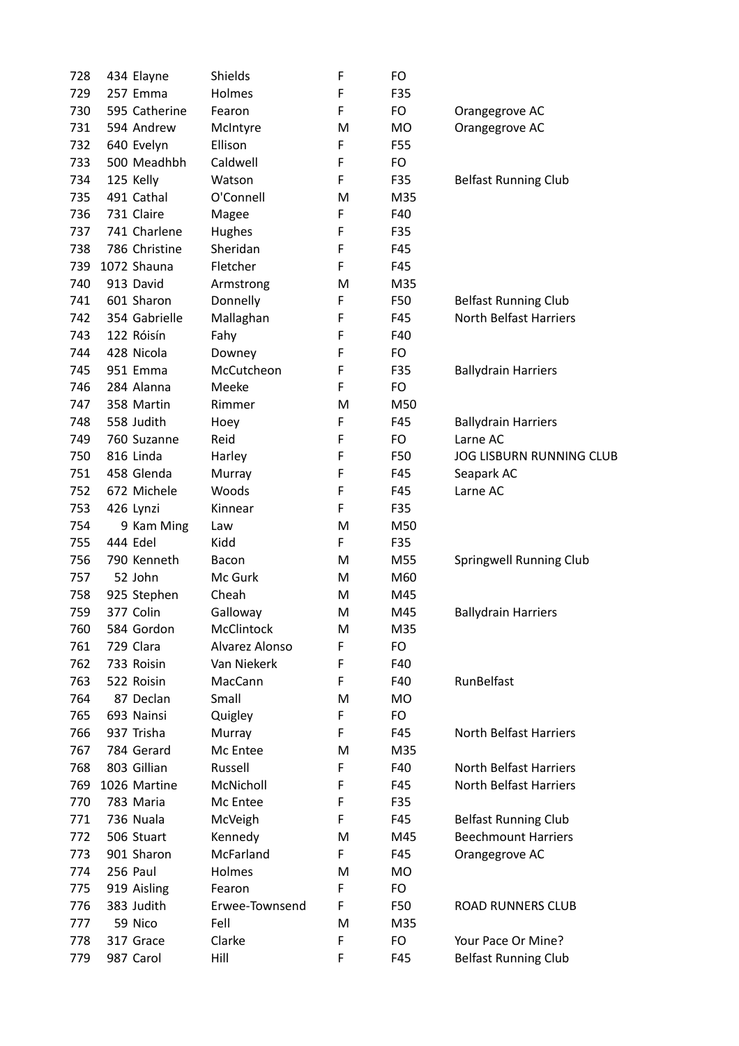| 728 | 434 Elayne    | <b>Shields</b>     | F | FO        |                                 |
|-----|---------------|--------------------|---|-----------|---------------------------------|
| 729 | 257 Emma      | Holmes             | F | F35       |                                 |
| 730 | 595 Catherine | Fearon             | F | FO        | Orangegrove AC                  |
| 731 | 594 Andrew    | McIntyre           | M | <b>MO</b> | Orangegrove AC                  |
| 732 | 640 Evelyn    | Ellison            | F | F55       |                                 |
| 733 | 500 Meadhbh   | Caldwell           | F | FO        |                                 |
| 734 | 125 Kelly     | Watson             | F | F35       | <b>Belfast Running Club</b>     |
| 735 | 491 Cathal    | O'Connell          | м | M35       |                                 |
| 736 | 731 Claire    | Magee              | F | F40       |                                 |
| 737 | 741 Charlene  | Hughes             | F | F35       |                                 |
| 738 | 786 Christine | Sheridan           | F | F45       |                                 |
| 739 | 1072 Shauna   | Fletcher           | F | F45       |                                 |
| 740 | 913 David     | Armstrong          | M | M35       |                                 |
| 741 | 601 Sharon    | Donnelly           | F | F50       | <b>Belfast Running Club</b>     |
| 742 | 354 Gabrielle | Mallaghan          | F | F45       | <b>North Belfast Harriers</b>   |
| 743 | 122 Róisín    | Fahy               | F | F40       |                                 |
| 744 | 428 Nicola    | Downey             | F | FO        |                                 |
| 745 | 951 Emma      | McCutcheon         | F | F35       | <b>Ballydrain Harriers</b>      |
| 746 | 284 Alanna    | Meeke              | F | FO        |                                 |
| 747 | 358 Martin    | Rimmer             | M | M50       |                                 |
| 748 | 558 Judith    | Hoey               | F | F45       | <b>Ballydrain Harriers</b>      |
| 749 | 760 Suzanne   | Reid               | F | FO        | Larne AC                        |
| 750 | 816 Linda     | Harley             | F | F50       | <b>JOG LISBURN RUNNING CLUB</b> |
| 751 | 458 Glenda    | Murray             | F | F45       | Seapark AC                      |
| 752 | 672 Michele   | Woods              | F | F45       | Larne AC                        |
| 753 | 426 Lynzi     | Kinnear            | F | F35       |                                 |
| 754 | 9 Kam Ming    | Law                | м | M50       |                                 |
| 755 | 444 Edel      | Kidd               | F | F35       |                                 |
| 756 | 790 Kenneth   | Bacon              | м | M55       | Springwell Running Club         |
| 757 | 52 John       | Mc Gurk            | M | M60       |                                 |
| 758 | 925 Stephen   | Cheah              | M | M45       |                                 |
| 759 | 377 Colin     | Galloway           | M | M45       | <b>Ballydrain Harriers</b>      |
| 760 | 584 Gordon    | McClintock         | M | M35       |                                 |
| 761 | 729 Clara     | Alvarez Alonso     | F | FO        |                                 |
| 762 | 733 Roisin    | Van Niekerk        | F | F40       |                                 |
| 763 | 522 Roisin    | MacCann            | F | F40       | RunBelfast                      |
| 764 | 87 Declan     | Small              | M | MO        |                                 |
| 765 | 693 Nainsi    |                    | F | FO        |                                 |
| 766 | 937 Trisha    | Quigley            | F | F45       | <b>North Belfast Harriers</b>   |
| 767 | 784 Gerard    | Murray<br>Mc Entee | M | M35       |                                 |
| 768 | 803 Gillian   | Russell            | F | F40       | <b>North Belfast Harriers</b>   |
| 769 | 1026 Martine  | McNicholl          | F | F45       | <b>North Belfast Harriers</b>   |
| 770 | 783 Maria     | Mc Entee           | F | F35       |                                 |
|     |               |                    | F | F45       |                                 |
| 771 | 736 Nuala     | McVeigh            |   |           | <b>Belfast Running Club</b>     |
| 772 | 506 Stuart    | Kennedy            | м | M45       | <b>Beechmount Harriers</b>      |
| 773 | 901 Sharon    | McFarland          | F | F45       | Orangegrove AC                  |
| 774 | 256 Paul      | Holmes             | M | <b>MO</b> |                                 |
| 775 | 919 Aisling   | Fearon             | F | FO        |                                 |
| 776 | 383 Judith    | Erwee-Townsend     | F | F50       | ROAD RUNNERS CLUB               |
| 777 | 59 Nico       | Fell               | M | M35       |                                 |
| 778 | 317 Grace     | Clarke             | F | FO        | Your Pace Or Mine?              |
| 779 | 987 Carol     | Hill               | F | F45       | <b>Belfast Running Club</b>     |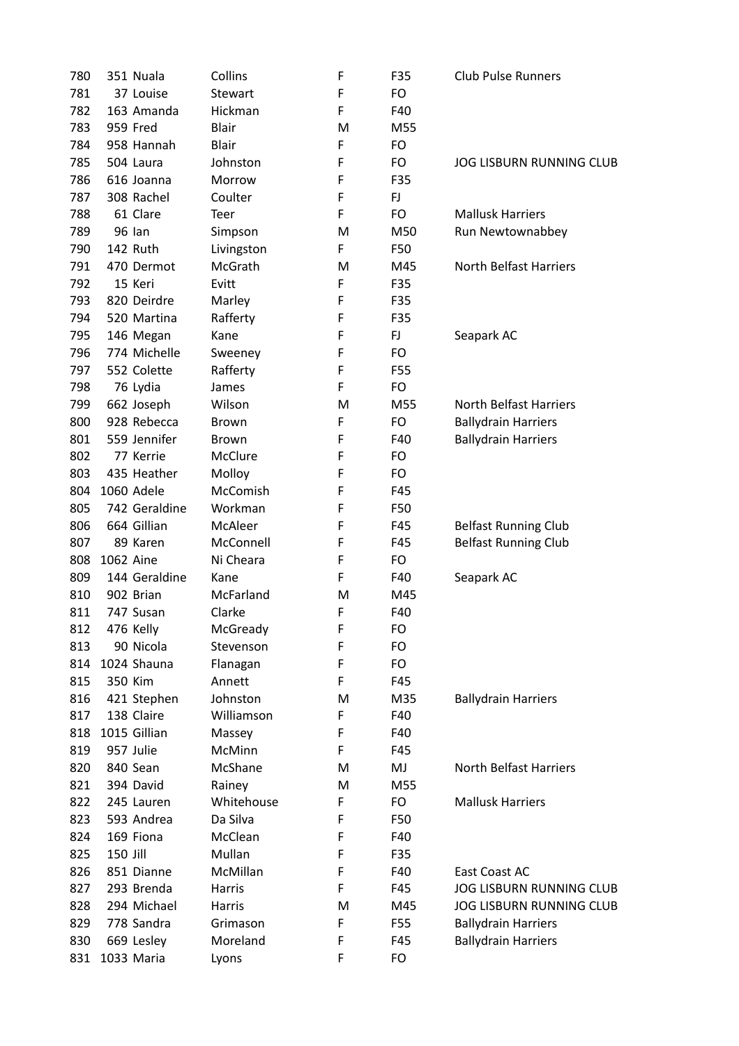| 780 |           | 351 Nuala       | Collins        | F | F35 | <b>Club Pulse Runners</b>       |
|-----|-----------|-----------------|----------------|---|-----|---------------------------------|
| 781 |           | 37 Louise       | <b>Stewart</b> | F | FO  |                                 |
| 782 |           | 163 Amanda      | Hickman        | F | F40 |                                 |
| 783 |           | 959 Fred        | <b>Blair</b>   | M | M55 |                                 |
| 784 |           | 958 Hannah      | Blair          | F | FO  |                                 |
| 785 |           | 504 Laura       | Johnston       | F | FO  | <b>JOG LISBURN RUNNING CLUB</b> |
| 786 |           | 616 Joanna      | Morrow         | F | F35 |                                 |
| 787 |           | 308 Rachel      | Coulter        | F | FJ. |                                 |
| 788 |           | 61 Clare        | Teer           | F | FO  | <b>Mallusk Harriers</b>         |
| 789 |           | 96 Ian          | Simpson        | M | M50 | Run Newtownabbey                |
| 790 |           | <b>142 Ruth</b> | Livingston     | F | F50 |                                 |
| 791 |           | 470 Dermot      | McGrath        | M | M45 | <b>North Belfast Harriers</b>   |
| 792 |           | 15 Keri         | Evitt          | F | F35 |                                 |
| 793 |           | 820 Deirdre     | Marley         | F | F35 |                                 |
| 794 |           | 520 Martina     | Rafferty       | F | F35 |                                 |
| 795 |           | 146 Megan       | Kane           | F | FJ. | Seapark AC                      |
| 796 |           | 774 Michelle    | Sweeney        | F | FO  |                                 |
| 797 |           | 552 Colette     | Rafferty       | F | F55 |                                 |
| 798 |           | 76 Lydia        | James          | F | FO  |                                 |
| 799 |           | 662 Joseph      | Wilson         | M | M55 | <b>North Belfast Harriers</b>   |
| 800 |           | 928 Rebecca     | <b>Brown</b>   | F | FO  | <b>Ballydrain Harriers</b>      |
| 801 |           | 559 Jennifer    | <b>Brown</b>   | F | F40 | <b>Ballydrain Harriers</b>      |
| 802 |           | 77 Kerrie       | McClure        | F | FO  |                                 |
| 803 |           | 435 Heather     | Molloy         | F | FO  |                                 |
| 804 |           | 1060 Adele      | McComish       | F | F45 |                                 |
| 805 |           | 742 Geraldine   | Workman        | F | F50 |                                 |
| 806 |           | 664 Gillian     | McAleer        | F | F45 | <b>Belfast Running Club</b>     |
| 807 |           | 89 Karen        | McConnell      | F | F45 | <b>Belfast Running Club</b>     |
| 808 | 1062 Aine |                 | Ni Cheara      | F | FO  |                                 |
| 809 |           | 144 Geraldine   | Kane           | F | F40 | Seapark AC                      |
| 810 |           | 902 Brian       | McFarland      | M | M45 |                                 |
| 811 |           | 747 Susan       | Clarke         | F | F40 |                                 |
| 812 |           | 476 Kelly       | McGready       | F | FO  |                                 |
| 813 |           | 90 Nicola       | Stevenson      | F | FO  |                                 |
| 814 |           | 1024 Shauna     | Flanagan       | F | FO  |                                 |
| 815 | 350 Kim   |                 | Annett         | F | F45 |                                 |
| 816 |           | 421 Stephen     | Johnston       | M | M35 | <b>Ballydrain Harriers</b>      |
| 817 |           | 138 Claire      | Williamson     | F | F40 |                                 |
| 818 |           | 1015 Gillian    | Massey         | F | F40 |                                 |
| 819 |           | 957 Julie       | McMinn         | F | F45 |                                 |
| 820 |           | 840 Sean        | McShane        | M | MJ  | North Belfast Harriers          |
| 821 |           | 394 David       | Rainey         | М | M55 |                                 |
| 822 |           | 245 Lauren      | Whitehouse     | F | FO  | <b>Mallusk Harriers</b>         |
| 823 |           | 593 Andrea      | Da Silva       | F | F50 |                                 |
| 824 |           | 169 Fiona       | McClean        | F | F40 |                                 |
| 825 | 150 Jill  |                 | Mullan         | F | F35 |                                 |
| 826 |           | 851 Dianne      | McMillan       | F | F40 | East Coast AC                   |
| 827 |           | 293 Brenda      | Harris         | F | F45 | <b>JOG LISBURN RUNNING CLUB</b> |
| 828 |           | 294 Michael     | Harris         | M | M45 | <b>JOG LISBURN RUNNING CLUB</b> |
| 829 |           | 778 Sandra      | Grimason       | F | F55 | <b>Ballydrain Harriers</b>      |
| 830 |           | 669 Lesley      | Moreland       | F | F45 | <b>Ballydrain Harriers</b>      |
| 831 |           | 1033 Maria      | Lyons          | F | FO  |                                 |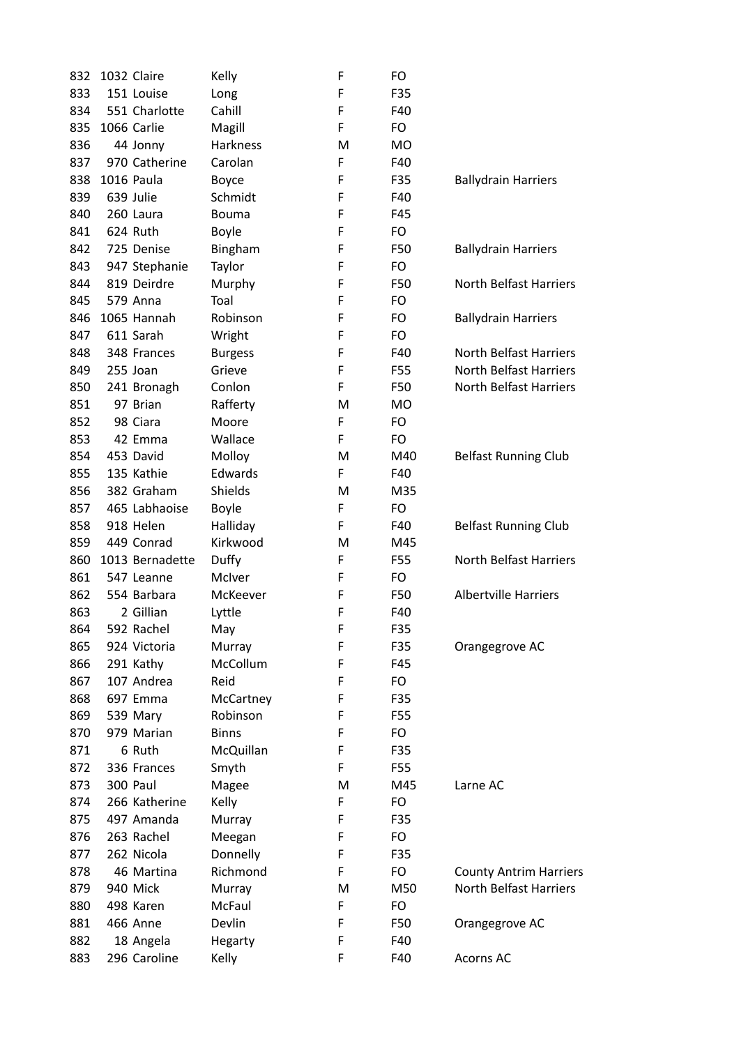| 832 | 1032 Claire       | Kelly          | F | FO.       |                                                                |
|-----|-------------------|----------------|---|-----------|----------------------------------------------------------------|
| 833 | 151 Louise        | Long           | F | F35       |                                                                |
| 834 | 551 Charlotte     | Cahill         | F | F40       |                                                                |
| 835 | 1066 Carlie       | Magill         | F | FO        |                                                                |
| 836 | 44 Jonny          | Harkness       | M | <b>MO</b> |                                                                |
| 837 | 970 Catherine     | Carolan        | F | F40       |                                                                |
| 838 | <b>1016 Paula</b> | Boyce          | F | F35       | <b>Ballydrain Harriers</b>                                     |
| 839 | 639 Julie         | Schmidt        | F | F40       |                                                                |
| 840 | 260 Laura         | <b>Bouma</b>   | F | F45       |                                                                |
| 841 | 624 Ruth          | Boyle          | F | FO        |                                                                |
| 842 | 725 Denise        | Bingham        | F | F50       | <b>Ballydrain Harriers</b>                                     |
| 843 | 947 Stephanie     | Taylor         | F | FO        |                                                                |
| 844 | 819 Deirdre       | Murphy         | F | F50       | <b>North Belfast Harriers</b>                                  |
| 845 | 579 Anna          | Toal           | F | FO        |                                                                |
| 846 | 1065 Hannah       | Robinson       | F | FO        | <b>Ballydrain Harriers</b>                                     |
| 847 | 611 Sarah         | Wright         | F | FO        |                                                                |
| 848 | 348 Frances       | <b>Burgess</b> | F | F40       | <b>North Belfast Harriers</b>                                  |
| 849 | 255 Joan          | Grieve         | F | F55       | <b>North Belfast Harriers</b>                                  |
| 850 | 241 Bronagh       | Conlon         | F | F50       | <b>North Belfast Harriers</b>                                  |
| 851 | 97 Brian          | Rafferty       | M | <b>MO</b> |                                                                |
| 852 | 98 Ciara          | Moore          | F | FO        |                                                                |
| 853 | 42 Emma           | Wallace        | F | FO        |                                                                |
| 854 | 453 David         | Molloy         | M | M40       | <b>Belfast Running Club</b>                                    |
| 855 | 135 Kathie        | Edwards        | F | F40       |                                                                |
| 856 | 382 Graham        | Shields        | М | M35       |                                                                |
| 857 | 465 Labhaoise     | <b>Boyle</b>   | F | FO        |                                                                |
| 858 | 918 Helen         | Halliday       | F | F40       | <b>Belfast Running Club</b>                                    |
| 859 | 449 Conrad        | Kirkwood       | M | M45       |                                                                |
| 860 | 1013 Bernadette   | Duffy          | F | F55       | <b>North Belfast Harriers</b>                                  |
| 861 | 547 Leanne        | McIver         | F | FO        |                                                                |
| 862 | 554 Barbara       | McKeever       | F | F50       | <b>Albertville Harriers</b>                                    |
| 863 | 2 Gillian         | Lyttle         | F | F40       |                                                                |
| 864 | 592 Rachel        | May            | F | F35       |                                                                |
| 865 | 924 Victoria      | Murray         | F | F35       | Orangegrove AC                                                 |
| 866 | 291 Kathy         | McCollum       | F | F45       |                                                                |
| 867 | 107 Andrea        | Reid           | F | FO        |                                                                |
| 868 | 697 Emma          | McCartney      | F | F35       |                                                                |
| 869 | 539 Mary          | Robinson       | F | F55       |                                                                |
| 870 | 979 Marian        | <b>Binns</b>   | F | FO        |                                                                |
| 871 | 6 Ruth            | McQuillan      | F | F35       |                                                                |
| 872 | 336 Frances       | Smyth          | F | F55       |                                                                |
| 873 | 300 Paul          | Magee          | M | M45       | Larne AC                                                       |
| 874 | 266 Katherine     | Kelly          | F | FO        |                                                                |
| 875 | 497 Amanda        | Murray         | F | F35       |                                                                |
| 876 | 263 Rachel        | Meegan         | F | FO        |                                                                |
| 877 | 262 Nicola        | Donnelly       | F | F35       |                                                                |
| 878 | 46 Martina        | Richmond       | F | FO        |                                                                |
| 879 | 940 Mick          | Murray         | M | M50       | <b>County Antrim Harriers</b><br><b>North Belfast Harriers</b> |
| 880 | 498 Karen         | McFaul         | F | FO        |                                                                |
| 881 | 466 Anne          | Devlin         | F | F50       | Orangegrove AC                                                 |
| 882 | 18 Angela         | Hegarty        | F | F40       |                                                                |
| 883 | 296 Caroline      |                | F | F40       | <b>Acorns AC</b>                                               |
|     |                   | Kelly          |   |           |                                                                |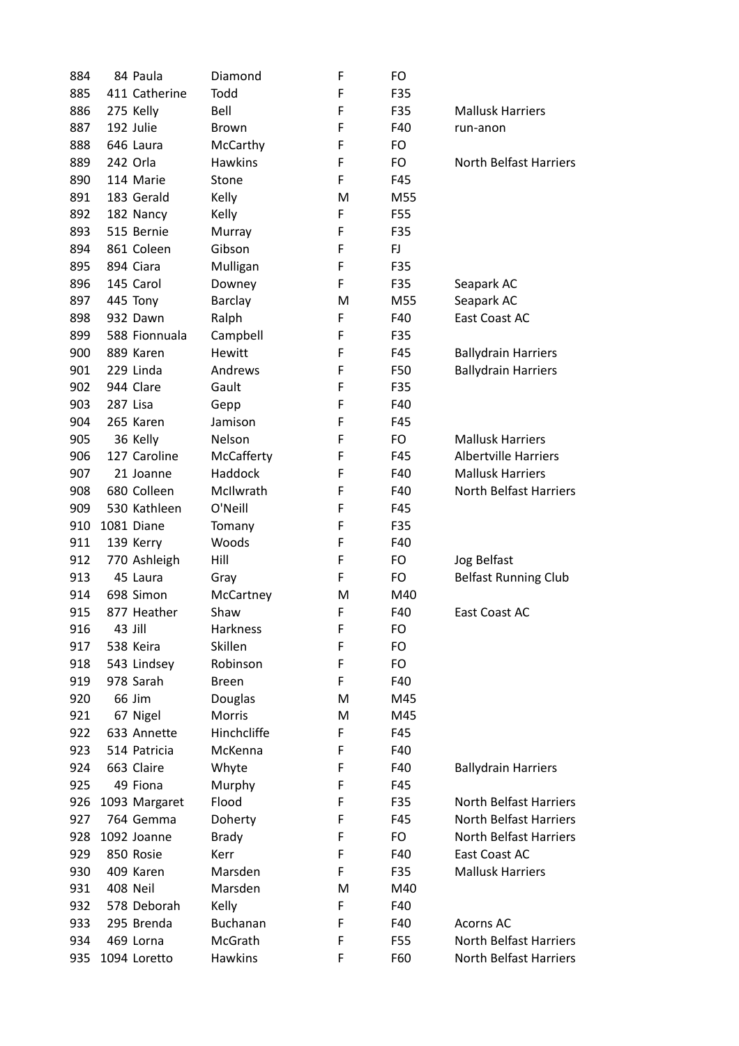| 884 | 84 Paula                | Diamond           | F | FO  |                               |
|-----|-------------------------|-------------------|---|-----|-------------------------------|
| 885 | 411 Catherine           | Todd              | F | F35 |                               |
| 886 | 275 Kelly               | Bell              | F | F35 | <b>Mallusk Harriers</b>       |
| 887 | 192 Julie               | <b>Brown</b>      | F | F40 | run-anon                      |
| 888 | 646 Laura               | McCarthy          | F | FO  |                               |
| 889 | 242 Orla                | <b>Hawkins</b>    | F | FO  | <b>North Belfast Harriers</b> |
| 890 | 114 Marie               | Stone             | F | F45 |                               |
| 891 | 183 Gerald              | Kelly             | M | M55 |                               |
| 892 | 182 Nancy               | Kelly             | F | F55 |                               |
| 893 | 515 Bernie              | Murray            | F | F35 |                               |
| 894 | 861 Coleen              | Gibson            | F | FJ  |                               |
| 895 | 894 Ciara               | Mulligan          | F | F35 |                               |
| 896 | 145 Carol               | Downey            | F | F35 | Seapark AC                    |
| 897 | 445 Tony                | <b>Barclay</b>    | M | M55 | Seapark AC                    |
| 898 | 932 Dawn                | Ralph             | F | F40 | East Coast AC                 |
| 899 | 588 Fionnuala           | Campbell          | F | F35 |                               |
| 900 | 889 Karen               | <b>Hewitt</b>     | F | F45 | <b>Ballydrain Harriers</b>    |
| 901 | 229 Linda               | Andrews           | F | F50 | <b>Ballydrain Harriers</b>    |
| 902 | 944 Clare               | Gault             | F | F35 |                               |
| 903 | 287 Lisa                | Gepp              | F | F40 |                               |
| 904 | 265 Karen               | Jamison           | F | F45 |                               |
| 905 | 36 Kelly                | Nelson            | F | FO  | <b>Mallusk Harriers</b>       |
| 906 | 127 Caroline            | McCafferty        | F | F45 | <b>Albertville Harriers</b>   |
| 907 | 21 Joanne               | Haddock           | F | F40 | <b>Mallusk Harriers</b>       |
| 908 | 680 Colleen             | McIlwrath         | F | F40 | <b>North Belfast Harriers</b> |
| 909 | 530 Kathleen            | O'Neill           | F | F45 |                               |
| 910 | 1081 Diane              | Tomany            | F | F35 |                               |
| 911 | 139 Kerry               | Woods             | F | F40 |                               |
| 912 | 770 Ashleigh            | Hill              | F | FO  | Jog Belfast                   |
| 913 | 45 Laura                | Gray              | F | FO  | <b>Belfast Running Club</b>   |
| 914 | 698 Simon               | McCartney         | M | M40 |                               |
| 915 | 877 Heather             | Shaw              | F | F40 | East Coast AC                 |
| 916 | 43 Jill                 | Harkness          | F | FO  |                               |
| 917 | 538 Keira               | Skillen           | F | FO  |                               |
| 918 | 543 Lindsey             | Robinson          | F | FO  |                               |
| 919 | 978 Sarah               | <b>Breen</b>      | F | F40 |                               |
|     | 66 Jim                  |                   | м | M45 |                               |
| 920 |                         | Douglas<br>Morris | м | M45 |                               |
| 921 | 67 Nigel<br>633 Annette | Hinchcliffe       |   | F45 |                               |
| 922 |                         |                   | F |     |                               |
| 923 | 514 Patricia            | McKenna           | F | F40 |                               |
| 924 | 663 Claire              | Whyte             | F | F40 | <b>Ballydrain Harriers</b>    |
| 925 | 49 Fiona                | Murphy            | F | F45 |                               |
| 926 | 1093 Margaret           | Flood             | F | F35 | <b>North Belfast Harriers</b> |
| 927 | 764 Gemma               | Doherty           | F | F45 | <b>North Belfast Harriers</b> |
| 928 | 1092 Joanne             | <b>Brady</b>      | F | FO  | <b>North Belfast Harriers</b> |
| 929 | 850 Rosie               | Kerr              | F | F40 | East Coast AC                 |
| 930 | 409 Karen               | Marsden           | F | F35 | <b>Mallusk Harriers</b>       |
| 931 | 408 Neil                | Marsden           | M | M40 |                               |
| 932 | 578 Deborah             | Kelly             | F | F40 |                               |
| 933 | 295 Brenda              | Buchanan          | F | F40 | Acorns AC                     |
| 934 | 469 Lorna               | McGrath           | F | F55 | <b>North Belfast Harriers</b> |
| 935 | 1094 Loretto            | <b>Hawkins</b>    | F | F60 | <b>North Belfast Harriers</b> |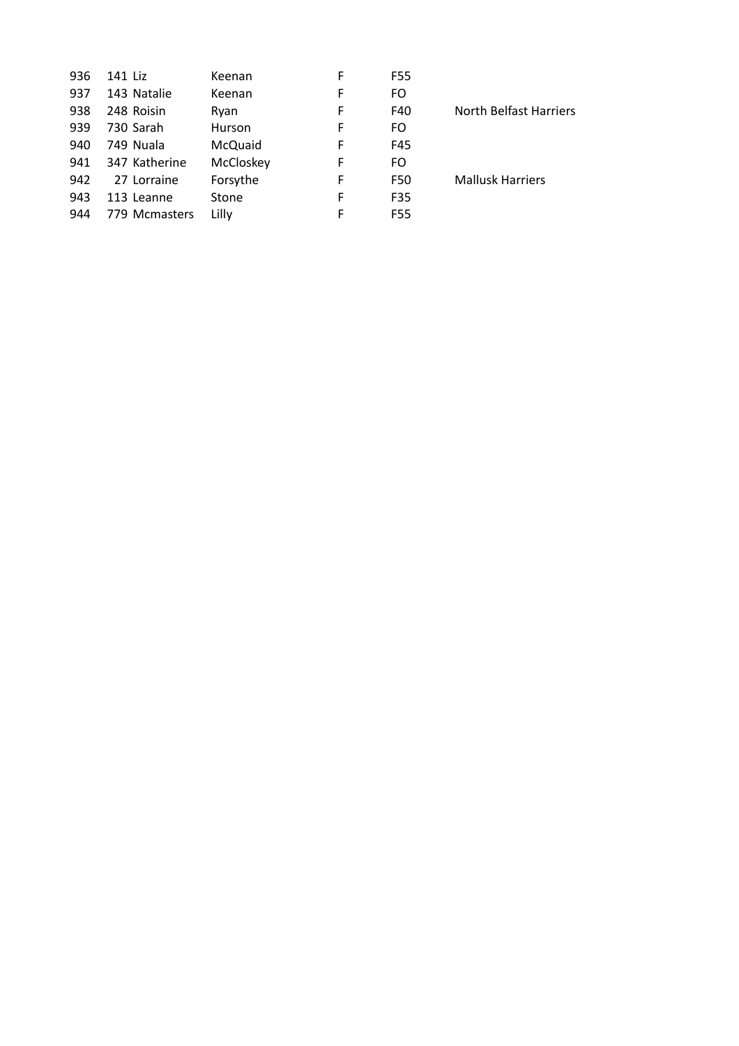| 141 Liz       | Keenan    | F | F55 |                         |
|---------------|-----------|---|-----|-------------------------|
| 143 Natalie   | Keenan    | F | FO  |                         |
| 248 Roisin    | Ryan      | F | F40 | North Belfast Harriers  |
| 730 Sarah     | Hurson    | F | FO  |                         |
| 749 Nuala     | McQuaid   | F | F45 |                         |
| 347 Katherine | McCloskey | F | FO  |                         |
| 27 Lorraine   | Forsythe  | F | F50 | <b>Mallusk Harriers</b> |
| 113 Leanne    | Stone     | F | F35 |                         |
| 779 Mcmasters | Lilly     | F | F55 |                         |
|               |           |   |     |                         |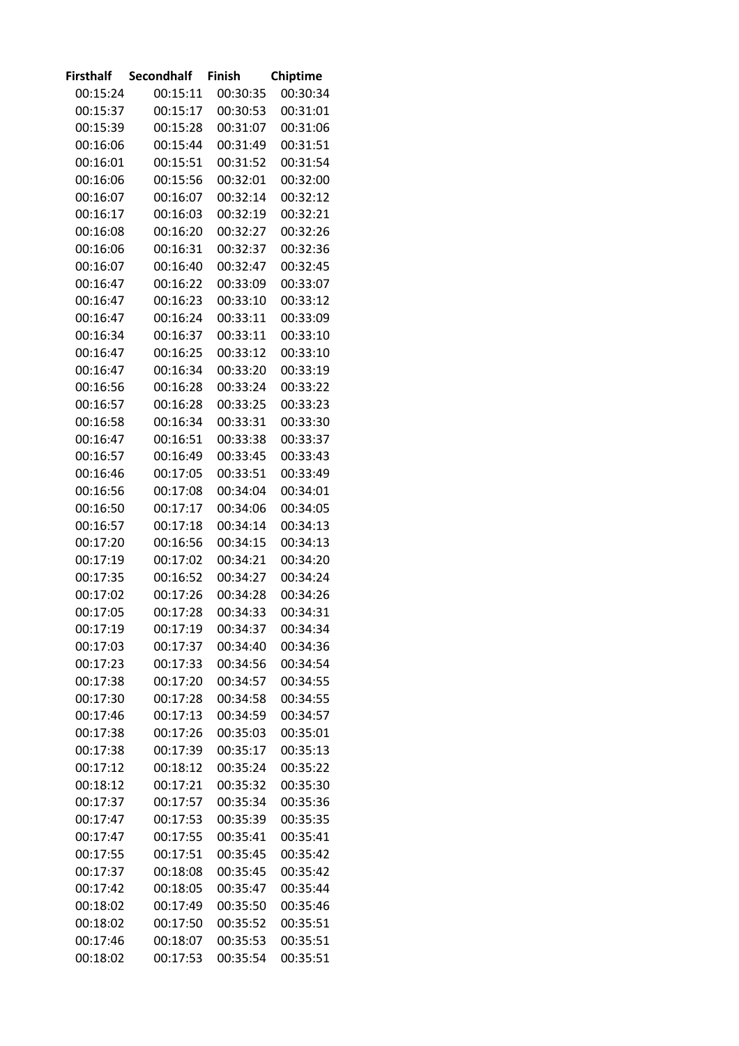| Firsthalf | <b>Secondhalf</b> | <b>Finish</b> | Chiptime |
|-----------|-------------------|---------------|----------|
| 00:15:24  | 00:15:11          | 00:30:35      | 00:30:34 |
| 00:15:37  | 00:15:17          | 00:30:53      | 00:31:01 |
| 00:15:39  | 00:15:28          | 00:31:07      | 00:31:06 |
| 00:16:06  | 00:15:44          | 00:31:49      | 00:31:51 |
| 00:16:01  | 00:15:51          | 00:31:52      | 00:31:54 |
| 00:16:06  | 00:15:56          | 00:32:01      | 00:32:00 |
| 00:16:07  | 00:16:07          | 00:32:14      | 00:32:12 |
| 00:16:17  | 00:16:03          | 00:32:19      | 00:32:21 |
| 00:16:08  | 00:16:20          | 00:32:27      | 00:32:26 |
| 00:16:06  | 00:16:31          | 00:32:37      | 00:32:36 |
| 00:16:07  | 00:16:40          | 00:32:47      | 00:32:45 |
| 00:16:47  | 00:16:22          | 00:33:09      | 00:33:07 |
| 00:16:47  | 00:16:23          | 00:33:10      | 00:33:12 |
| 00:16:47  | 00:16:24          | 00:33:11      | 00:33:09 |
| 00:16:34  | 00:16:37          | 00:33:11      | 00:33:10 |
| 00:16:47  | 00:16:25          | 00:33:12      | 00:33:10 |
| 00:16:47  | 00:16:34          | 00:33:20      | 00:33:19 |
| 00:16:56  | 00:16:28          | 00:33:24      | 00:33:22 |
| 00:16:57  | 00:16:28          | 00:33:25      | 00:33:23 |
| 00:16:58  | 00:16:34          | 00:33:31      | 00:33:30 |
| 00:16:47  | 00:16:51          | 00:33:38      | 00:33:37 |
| 00:16:57  | 00:16:49          | 00:33:45      | 00:33:43 |
| 00:16:46  | 00:17:05          | 00:33:51      | 00:33:49 |
| 00:16:56  | 00:17:08          | 00:34:04      | 00:34:01 |
| 00:16:50  | 00:17:17          | 00:34:06      | 00:34:05 |
| 00:16:57  | 00:17:18          | 00:34:14      | 00:34:13 |
| 00:17:20  | 00:16:56          | 00:34:15      | 00:34:13 |
| 00:17:19  | 00:17:02          | 00:34:21      | 00:34:20 |
| 00:17:35  | 00:16:52          | 00:34:27      | 00:34:24 |
| 00:17:02  | 00:17:26          | 00:34:28      | 00:34:26 |
| 00:17:05  | 00:17:28          | 00:34:33      | 00:34:31 |
| 00:17:19  | 00:17:19          | 00:34:37      | 00:34:34 |
| 00:17:03  | 00:17:37          | 00:34:40      | 00:34:36 |
| 00:17:23  | 00:17:33          | 00:34:56      | 00:34:54 |
| 00:17:38  | 00:17:20          | 00:34:57      | 00:34:55 |
| 00:17:30  | 00:17:28          | 00:34:58      | 00:34:55 |
| 00:17:46  | 00:17:13          | 00:34:59      | 00:34:57 |
| 00:17:38  | 00:17:26          | 00:35:03      | 00:35:01 |
| 00:17:38  | 00:17:39          | 00:35:17      | 00:35:13 |
| 00:17:12  | 00:18:12          | 00:35:24      | 00:35:22 |
| 00:18:12  | 00:17:21          | 00:35:32      | 00:35:30 |
| 00:17:37  | 00:17:57          | 00:35:34      | 00:35:36 |
| 00:17:47  | 00:17:53          | 00:35:39      | 00:35:35 |
| 00:17:47  | 00:17:55          | 00:35:41      | 00:35:41 |
| 00:17:55  | 00:17:51          | 00:35:45      | 00:35:42 |
| 00:17:37  | 00:18:08          | 00:35:45      | 00:35:42 |
| 00:17:42  | 00:18:05          | 00:35:47      | 00:35:44 |
| 00:18:02  | 00:17:49          | 00:35:50      | 00:35:46 |
| 00:18:02  | 00:17:50          | 00:35:52      | 00:35:51 |
| 00:17:46  | 00:18:07          | 00:35:53      | 00:35:51 |
| 00:18:02  | 00:17:53          | 00:35:54      | 00:35:51 |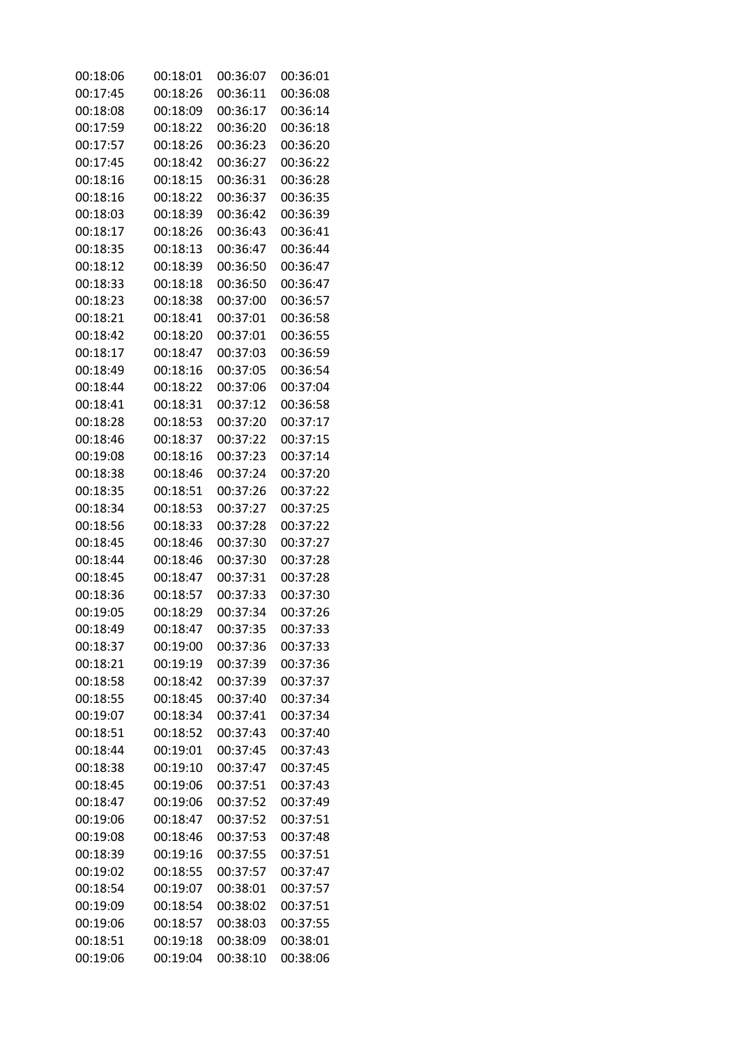| 00:18:06 | 00:18:01 | 00:36:07 | 00:36:01 |
|----------|----------|----------|----------|
| 00:17:45 | 00:18:26 | 00:36:11 | 00:36:08 |
| 00:18:08 | 00:18:09 | 00:36:17 | 00:36:14 |
| 00:17:59 | 00:18:22 | 00:36:20 | 00:36:18 |
| 00:17:57 | 00:18:26 | 00:36:23 | 00:36:20 |
| 00:17:45 | 00:18:42 | 00:36:27 | 00:36:22 |
| 00:18:16 | 00:18:15 | 00:36:31 | 00:36:28 |
| 00:18:16 | 00:18:22 | 00:36:37 | 00:36:35 |
| 00:18:03 | 00:18:39 | 00:36:42 | 00:36:39 |
| 00:18:17 | 00:18:26 | 00:36:43 | 00:36:41 |
| 00:18:35 | 00:18:13 | 00:36:47 | 00:36:44 |
| 00:18:12 | 00:18:39 | 00:36:50 | 00:36:47 |
| 00:18:33 | 00:18:18 | 00:36:50 | 00:36:47 |
| 00:18:23 | 00:18:38 | 00:37:00 | 00:36:57 |
| 00:18:21 | 00:18:41 | 00:37:01 | 00:36:58 |
| 00:18:42 | 00:18:20 | 00:37:01 | 00:36:55 |
| 00:18:17 | 00:18:47 | 00:37:03 | 00:36:59 |
| 00:18:49 | 00:18:16 | 00:37:05 | 00:36:54 |
| 00:18:44 | 00:18:22 | 00:37:06 | 00:37:04 |
| 00:18:41 | 00:18:31 | 00:37:12 | 00:36:58 |
| 00:18:28 | 00:18:53 | 00:37:20 | 00:37:17 |
| 00:18:46 | 00:18:37 | 00:37:22 | 00:37:15 |
| 00:19:08 | 00:18:16 | 00:37:23 | 00:37:14 |
| 00:18:38 | 00:18:46 | 00:37:24 | 00:37:20 |
| 00:18:35 | 00:18:51 | 00:37:26 | 00:37:22 |
| 00:18:34 | 00:18:53 | 00:37:27 | 00:37:25 |
| 00:18:56 | 00:18:33 | 00:37:28 | 00:37:22 |
| 00:18:45 | 00:18:46 | 00:37:30 | 00:37:27 |
| 00:18:44 | 00:18:46 | 00:37:30 | 00:37:28 |
| 00:18:45 | 00:18:47 | 00:37:31 | 00:37:28 |
| 00:18:36 | 00:18:57 | 00:37:33 | 00:37:30 |
| 00:19:05 | 00:18:29 | 00:37:34 | 00:37:26 |
| 00:18:49 | 00:18:47 | 00:37:35 | 00:37:33 |
| 00:18:37 | 00:19:00 | 00:37:36 | 00:37:33 |
| 00:18:21 | 00:19:19 | 00:37:39 | 00:37:36 |
| 00:18:58 | 00:18:42 | 00:37:39 | 00:37:37 |
| 00:18:55 | 00:18:45 | 00:37:40 | 00:37:34 |
| 00:19:07 | 00:18:34 | 00:37:41 | 00:37:34 |
| 00:18:51 | 00:18:52 | 00:37:43 | 00:37:40 |
| 00:18:44 | 00:19:01 | 00:37:45 | 00:37:43 |
| 00:18:38 | 00:19:10 | 00:37:47 | 00:37:45 |
| 00:18:45 | 00:19:06 | 00:37:51 | 00:37:43 |
| 00:18:47 | 00:19:06 | 00:37:52 | 00:37:49 |
| 00:19:06 | 00:18:47 | 00:37:52 | 00:37:51 |
| 00:19:08 | 00:18:46 | 00:37:53 | 00:37:48 |
| 00:18:39 | 00:19:16 | 00:37:55 | 00:37:51 |
| 00:19:02 | 00:18:55 | 00:37:57 | 00:37:47 |
| 00:18:54 | 00:19:07 | 00:38:01 | 00:37:57 |
| 00:19:09 | 00:18:54 | 00:38:02 | 00:37:51 |
| 00:19:06 | 00:18:57 | 00:38:03 | 00:37:55 |
| 00:18:51 | 00:19:18 | 00:38:09 | 00:38:01 |
| 00:19:06 | 00:19:04 | 00:38:10 | 00:38:06 |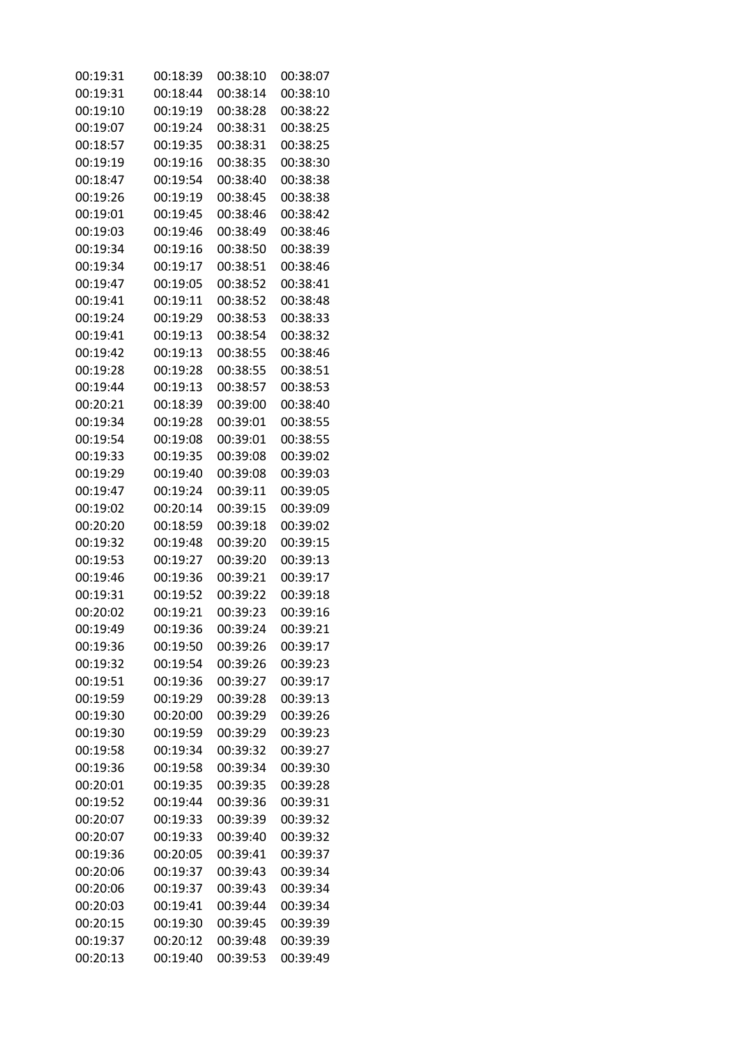| 00:19:31 | 00:18:39 | 00:38:10 | 00:38:07 |
|----------|----------|----------|----------|
| 00:19:31 | 00:18:44 | 00:38:14 | 00:38:10 |
| 00:19:10 | 00:19:19 | 00:38:28 | 00:38:22 |
| 00:19:07 | 00:19:24 | 00:38:31 | 00:38:25 |
| 00:18:57 | 00:19:35 | 00:38:31 | 00:38:25 |
| 00:19:19 | 00:19:16 | 00:38:35 | 00:38:30 |
| 00:18:47 | 00:19:54 | 00:38:40 | 00:38:38 |
| 00:19:26 | 00:19:19 | 00:38:45 | 00:38:38 |
| 00:19:01 | 00:19:45 | 00:38:46 | 00:38:42 |
| 00:19:03 | 00:19:46 | 00:38:49 | 00:38:46 |
| 00:19:34 | 00:19:16 | 00:38:50 | 00:38:39 |
| 00:19:34 | 00:19:17 | 00:38:51 | 00:38:46 |
| 00:19:47 | 00:19:05 | 00:38:52 | 00:38:41 |
| 00:19:41 | 00:19:11 | 00:38:52 | 00:38:48 |
| 00:19:24 | 00:19:29 | 00:38:53 | 00:38:33 |
| 00:19:41 | 00:19:13 | 00:38:54 | 00:38:32 |
| 00:19:42 | 00:19:13 | 00:38:55 | 00:38:46 |
| 00:19:28 | 00:19:28 | 00:38:55 | 00:38:51 |
| 00:19:44 | 00:19:13 | 00:38:57 | 00:38:53 |
| 00:20:21 | 00:18:39 | 00:39:00 | 00:38:40 |
| 00:19:34 | 00:19:28 | 00:39:01 | 00:38:55 |
| 00:19:54 | 00:19:08 | 00:39:01 | 00:38:55 |
| 00:19:33 | 00:19:35 | 00:39:08 | 00:39:02 |
| 00:19:29 | 00:19:40 | 00:39:08 | 00:39:03 |
| 00:19:47 | 00:19:24 | 00:39:11 | 00:39:05 |
| 00:19:02 | 00:20:14 | 00:39:15 | 00:39:09 |
| 00:20:20 | 00:18:59 | 00:39:18 | 00:39:02 |
| 00:19:32 | 00:19:48 | 00:39:20 | 00:39:15 |
| 00:19:53 | 00:19:27 | 00:39:20 | 00:39:13 |
| 00:19:46 | 00:19:36 | 00:39:21 | 00:39:17 |
| 00:19:31 | 00:19:52 | 00:39:22 | 00:39:18 |
| 00:20:02 | 00:19:21 | 00:39:23 | 00:39:16 |
| 00:19:49 | 00:19:36 | 00:39:24 | 00:39:21 |
| 00:19:36 | 00:19:50 | 00:39:26 | 00:39:17 |
| 00:19:32 | 00:19:54 | 00:39:26 | 00:39:23 |
| 00:19:51 | 00:19:36 | 00:39:27 | 00:39:17 |
| 00:19:59 | 00:19:29 | 00:39:28 | 00:39:13 |
| 00:19:30 | 00:20:00 | 00:39:29 | 00:39:26 |
| 00:19:30 | 00:19:59 | 00:39:29 | 00:39:23 |
| 00:19:58 | 00:19:34 | 00:39:32 | 00:39:27 |
| 00:19:36 | 00:19:58 | 00:39:34 | 00:39:30 |
| 00:20:01 | 00:19:35 | 00:39:35 | 00:39:28 |
| 00:19:52 | 00:19:44 | 00:39:36 | 00:39:31 |
| 00:20:07 | 00:19:33 | 00:39:39 | 00:39:32 |
| 00:20:07 | 00:19:33 | 00:39:40 | 00:39:32 |
| 00:19:36 | 00:20:05 | 00:39:41 | 00:39:37 |
| 00:20:06 | 00:19:37 | 00:39:43 | 00:39:34 |
| 00:20:06 | 00:19:37 | 00:39:43 | 00:39:34 |
| 00:20:03 | 00:19:41 | 00:39:44 | 00:39:34 |
| 00:20:15 | 00:19:30 | 00:39:45 | 00:39:39 |
| 00:19:37 | 00:20:12 | 00:39:48 | 00:39:39 |
| 00:20:13 | 00:19:40 | 00:39:53 | 00:39:49 |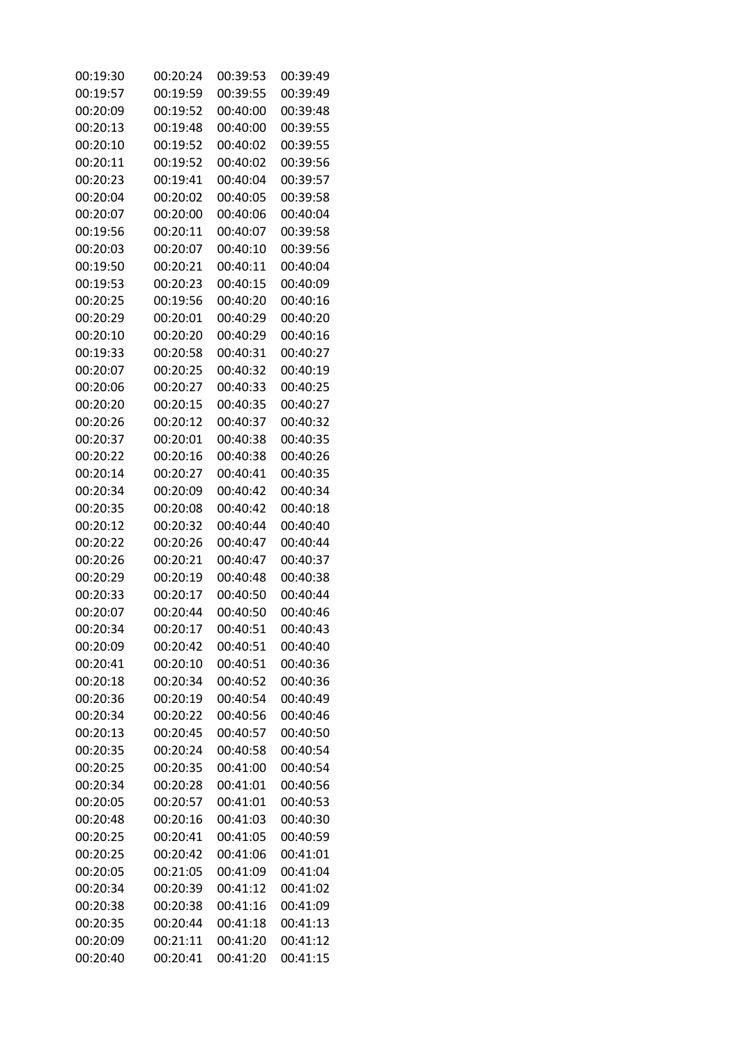| 00:19:30 | 00:20:24 | 00:39:53 | 00:39:49 |
|----------|----------|----------|----------|
| 00:19:57 | 00:19:59 | 00:39:55 | 00:39:49 |
| 00:20:09 | 00:19:52 | 00:40:00 | 00:39:48 |
| 00:20:13 | 00:19:48 | 00:40:00 | 00:39:55 |
| 00:20:10 | 00:19:52 | 00:40:02 | 00:39:55 |
| 00:20:11 | 00:19:52 | 00:40:02 | 00:39:56 |
| 00:20:23 | 00:19:41 | 00:40:04 | 00:39:57 |
| 00:20:04 | 00:20:02 | 00:40:05 | 00:39:58 |
| 00:20:07 | 00:20:00 | 00:40:06 | 00:40:04 |
| 00:19:56 | 00:20:11 | 00:40:07 | 00:39:58 |
| 00:20:03 | 00:20:07 | 00:40:10 | 00:39:56 |
| 00:19:50 | 00:20:21 | 00:40:11 | 00:40:04 |
| 00:19:53 | 00:20:23 | 00:40:15 | 00:40:09 |
| 00:20:25 | 00:19:56 | 00:40:20 | 00:40:16 |
| 00:20:29 | 00:20:01 | 00:40:29 | 00:40:20 |
| 00:20:10 | 00:20:20 | 00:40:29 | 00:40:16 |
| 00:19:33 | 00:20:58 | 00:40:31 | 00:40:27 |
| 00:20:07 | 00:20:25 | 00:40:32 | 00:40:19 |
| 00:20:06 | 00:20:27 | 00:40:33 | 00:40:25 |
| 00:20:20 | 00:20:15 | 00:40:35 | 00:40:27 |
| 00:20:26 | 00:20:12 | 00:40:37 | 00:40:32 |
| 00:20:37 | 00:20:01 | 00:40:38 | 00:40:35 |
| 00:20:22 | 00:20:16 | 00:40:38 | 00:40:26 |
| 00:20:14 | 00:20:27 | 00:40:41 | 00:40:35 |
| 00:20:34 | 00:20:09 | 00:40:42 | 00:40:34 |
| 00:20:35 | 00:20:08 | 00:40:42 | 00:40:18 |
| 00:20:12 | 00:20:32 | 00:40:44 | 00:40:40 |
| 00:20:22 | 00:20:26 | 00:40:47 | 00:40:44 |
| 00:20:26 | 00:20:21 | 00:40:47 | 00:40:37 |
| 00:20:29 | 00:20:19 | 00:40:48 | 00:40:38 |
| 00:20:33 | 00:20:17 | 00:40:50 | 00:40:44 |
| 00:20:07 | 00:20:44 | 00:40:50 | 00:40:46 |
| 00:20:34 | 00:20:17 | 00:40:51 | 00:40:43 |
| 00:20:09 | 00:20:42 | 00:40:51 | 00:40:40 |
| 00:20:41 | 00:20:10 | 00:40:51 | 00:40:36 |
| 00:20:18 | 00:20:34 | 00:40:52 | 00:40:36 |
| 00:20:36 | 00:20:19 | 00:40:54 | 00:40:49 |
| 00:20:34 | 00:20:22 | 00:40:56 | 00:40:46 |
| 00:20:13 | 00:20:45 | 00:40:57 | 00:40:50 |
| 00:20:35 | 00:20:24 | 00:40:58 | 00:40:54 |
| 00:20:25 | 00:20:35 | 00:41:00 | 00:40:54 |
| 00:20:34 | 00:20:28 | 00:41:01 | 00:40:56 |
| 00:20:05 | 00:20:57 | 00:41:01 | 00:40:53 |
| 00:20:48 | 00:20:16 | 00:41:03 | 00:40:30 |
| 00:20:25 | 00:20:41 | 00:41:05 | 00:40:59 |
| 00:20:25 | 00:20:42 | 00:41:06 | 00:41:01 |
| 00:20:05 | 00:21:05 | 00:41:09 | 00:41:04 |
| 00:20:34 | 00:20:39 | 00:41:12 | 00:41:02 |
| 00:20:38 | 00:20:38 | 00:41:16 | 00:41:09 |
| 00:20:35 | 00:20:44 | 00:41:18 | 00:41:13 |
| 00:20:09 | 00:21:11 | 00:41:20 | 00:41:12 |
| 00:20:40 | 00:20:41 | 00:41:20 | 00:41:15 |
|          |          |          |          |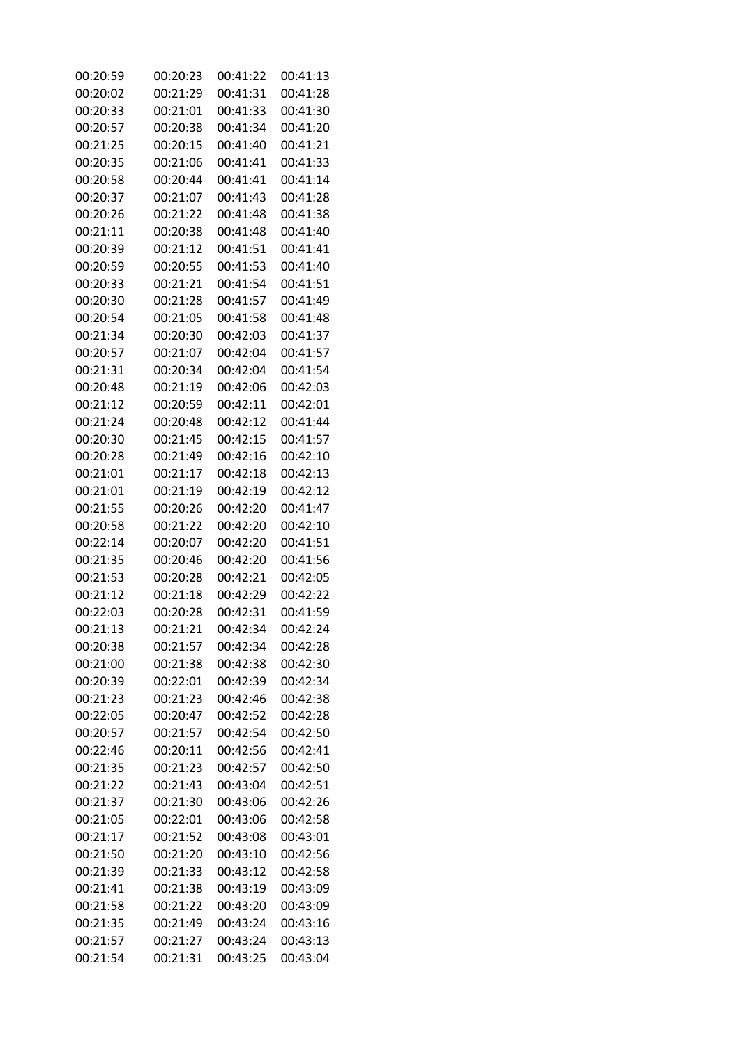| 00:20:59 | 00:20:23 | 00:41:22 | 00:41:13 |
|----------|----------|----------|----------|
| 00:20:02 | 00:21:29 | 00:41:31 | 00:41:28 |
| 00:20:33 | 00:21:01 | 00:41:33 | 00:41:30 |
| 00:20:57 | 00:20:38 | 00:41:34 | 00:41:20 |
| 00:21:25 | 00:20:15 | 00:41:40 | 00:41:21 |
| 00:20:35 | 00:21:06 | 00:41:41 | 00:41:33 |
| 00:20:58 | 00:20:44 | 00:41:41 | 00:41:14 |
| 00:20:37 | 00:21:07 | 00:41:43 | 00:41:28 |
| 00:20:26 | 00:21:22 | 00:41:48 | 00:41:38 |
| 00:21:11 | 00:20:38 | 00:41:48 | 00:41:40 |
| 00:20:39 | 00:21:12 | 00:41:51 | 00:41:41 |
| 00:20:59 | 00:20:55 | 00:41:53 | 00:41:40 |
| 00:20:33 | 00:21:21 | 00:41:54 | 00:41:51 |
| 00:20:30 | 00:21:28 | 00:41:57 | 00:41:49 |
| 00:20:54 | 00:21:05 | 00:41:58 | 00:41:48 |
| 00:21:34 | 00:20:30 | 00:42:03 | 00:41:37 |
| 00:20:57 | 00:21:07 | 00:42:04 | 00:41:57 |
| 00:21:31 | 00:20:34 | 00:42:04 | 00:41:54 |
| 00:20:48 | 00:21:19 | 00:42:06 | 00:42:03 |
| 00:21:12 | 00:20:59 | 00:42:11 | 00:42:01 |
| 00:21:24 | 00:20:48 | 00:42:12 | 00:41:44 |
| 00:20:30 | 00:21:45 | 00:42:15 | 00:41:57 |
| 00:20:28 | 00:21:49 | 00:42:16 | 00:42:10 |
| 00:21:01 | 00:21:17 | 00:42:18 | 00:42:13 |
| 00:21:01 | 00:21:19 | 00:42:19 | 00:42:12 |
| 00:21:55 | 00:20:26 | 00:42:20 | 00:41:47 |
| 00:20:58 | 00:21:22 | 00:42:20 | 00:42:10 |
| 00:22:14 | 00:20:07 | 00:42:20 | 00:41:51 |
| 00:21:35 | 00:20:46 | 00:42:20 | 00:41:56 |
| 00:21:53 | 00:20:28 | 00:42:21 | 00:42:05 |
| 00:21:12 | 00:21:18 | 00:42:29 | 00:42:22 |
| 00:22:03 | 00:20:28 | 00:42:31 | 00:41:59 |
| 00:21:13 | 00:21:21 | 00:42:34 | 00:42:24 |
| 00:20:38 | 00:21:57 | 00:42:34 | 00:42:28 |
| 00:21:00 | 00:21:38 | 00:42:38 | 00:42:30 |
| 00:20:39 | 00:22:01 | 00:42:39 | 00:42:34 |
| 00:21:23 | 00:21:23 | 00:42:46 | 00:42:38 |
| 00:22:05 | 00:20:47 | 00:42:52 | 00:42:28 |
| 00:20:57 | 00:21:57 | 00:42:54 | 00:42:50 |
| 00:22:46 | 00:20:11 | 00:42:56 | 00:42:41 |
| 00:21:35 | 00:21:23 | 00:42:57 | 00:42:50 |
| 00:21:22 | 00:21:43 | 00:43:04 | 00:42:51 |
| 00:21:37 | 00:21:30 | 00:43:06 | 00:42:26 |
| 00:21:05 | 00:22:01 | 00:43:06 | 00:42:58 |
| 00:21:17 | 00:21:52 | 00:43:08 | 00:43:01 |
| 00:21:50 | 00:21:20 | 00:43:10 | 00:42:56 |
| 00:21:39 | 00:21:33 | 00:43:12 | 00:42:58 |
| 00:21:41 | 00:21:38 | 00:43:19 | 00:43:09 |
| 00:21:58 | 00:21:22 | 00:43:20 | 00:43:09 |
| 00:21:35 | 00:21:49 | 00:43:24 | 00:43:16 |
| 00:21:57 | 00:21:27 | 00:43:24 | 00:43:13 |
| 00:21:54 | 00:21:31 | 00:43:25 | 00:43:04 |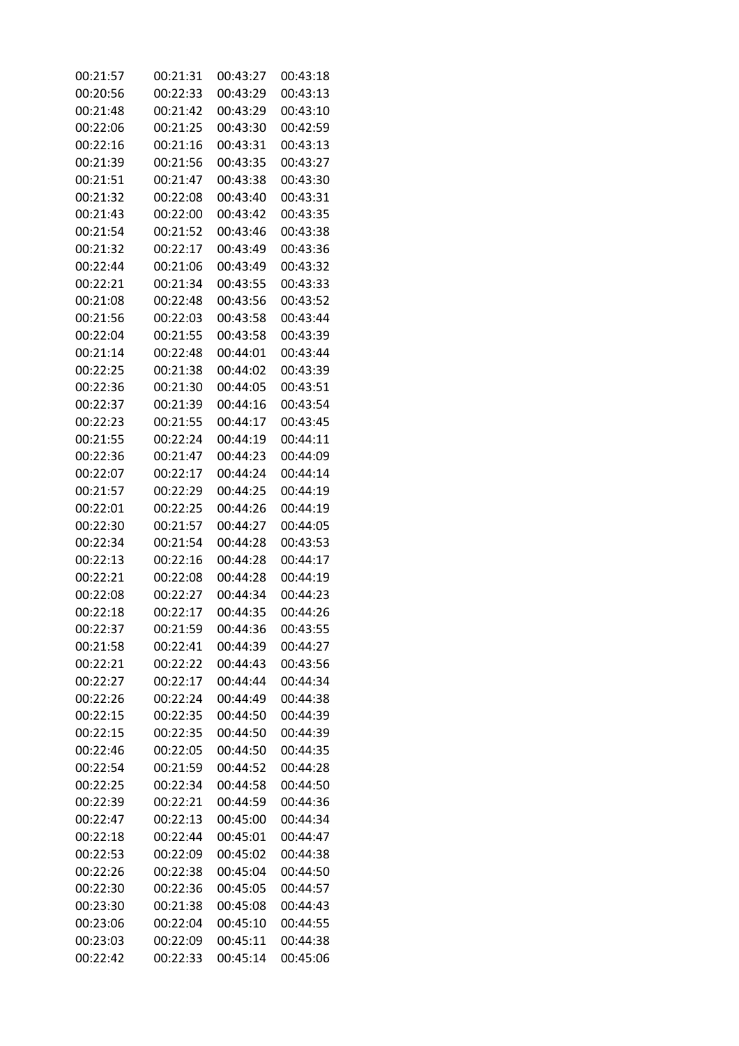| 00:21:57 | 00:21:31 | 00:43:27 | 00:43:18 |
|----------|----------|----------|----------|
| 00:20:56 | 00:22:33 | 00:43:29 | 00:43:13 |
| 00:21:48 | 00:21:42 | 00:43:29 | 00:43:10 |
| 00:22:06 | 00:21:25 | 00:43:30 | 00:42:59 |
| 00:22:16 | 00:21:16 | 00:43:31 | 00:43:13 |
| 00:21:39 | 00:21:56 | 00:43:35 | 00:43:27 |
| 00:21:51 | 00:21:47 | 00:43:38 | 00:43:30 |
| 00:21:32 | 00:22:08 | 00:43:40 | 00:43:31 |
| 00:21:43 | 00:22:00 | 00:43:42 | 00:43:35 |
| 00:21:54 | 00:21:52 | 00:43:46 | 00:43:38 |
| 00:21:32 | 00:22:17 | 00:43:49 | 00:43:36 |
| 00:22:44 | 00:21:06 | 00:43:49 | 00:43:32 |
| 00:22:21 | 00:21:34 | 00:43:55 | 00:43:33 |
| 00:21:08 | 00:22:48 | 00:43:56 | 00:43:52 |
| 00:21:56 | 00:22:03 | 00:43:58 | 00:43:44 |
| 00:22:04 | 00:21:55 | 00:43:58 | 00:43:39 |
| 00:21:14 | 00:22:48 | 00:44:01 | 00:43:44 |
| 00:22:25 | 00:21:38 | 00:44:02 | 00:43:39 |
| 00:22:36 | 00:21:30 | 00:44:05 | 00:43:51 |
| 00:22:37 | 00:21:39 | 00:44:16 | 00:43:54 |
| 00:22:23 | 00:21:55 | 00:44:17 | 00:43:45 |
| 00:21:55 | 00:22:24 | 00:44:19 | 00:44:11 |
| 00:22:36 | 00:21:47 | 00:44:23 | 00:44:09 |
| 00:22:07 | 00:22:17 | 00:44:24 | 00:44:14 |
| 00:21:57 | 00:22:29 | 00:44:25 | 00:44:19 |
| 00:22:01 | 00:22:25 | 00:44:26 | 00:44:19 |
| 00:22:30 | 00:21:57 | 00:44:27 | 00:44:05 |
| 00:22:34 | 00:21:54 | 00:44:28 | 00:43:53 |
| 00:22:13 | 00:22:16 | 00:44:28 | 00:44:17 |
| 00:22:21 | 00:22:08 | 00:44:28 | 00:44:19 |
| 00:22:08 | 00:22:27 | 00:44:34 | 00:44:23 |
| 00:22:18 | 00:22:17 | 00:44:35 | 00:44:26 |
| 00:22:37 | 00:21:59 | 00:44:36 | 00:43:55 |
| 00:21:58 | 00:22:41 | 00:44:39 | 00:44:27 |
| 00:22:21 | 00:22:22 | 00:44:43 | 00:43:56 |
| 00:22:27 | 00:22:17 | 00:44:44 | 00:44:34 |
| 00:22:26 | 00:22:24 | 00:44:49 | 00:44:38 |
| 00:22:15 | 00:22:35 | 00:44:50 | 00:44:39 |
| 00:22:15 | 00:22:35 | 00:44:50 | 00:44:39 |
| 00:22:46 | 00:22:05 | 00:44:50 | 00:44:35 |
| 00:22:54 | 00:21:59 | 00:44:52 | 00:44:28 |
| 00:22:25 | 00:22:34 | 00:44:58 | 00:44:50 |
| 00:22:39 | 00:22:21 | 00:44:59 | 00:44:36 |
| 00:22:47 | 00:22:13 | 00:45:00 | 00:44:34 |
| 00:22:18 | 00:22:44 | 00:45:01 | 00:44:47 |
| 00:22:53 | 00:22:09 | 00:45:02 | 00:44:38 |
| 00:22:26 | 00:22:38 | 00:45:04 | 00:44:50 |
| 00:22:30 | 00:22:36 | 00:45:05 | 00:44:57 |
| 00:23:30 | 00:21:38 | 00:45:08 | 00:44:43 |
| 00:23:06 | 00:22:04 | 00:45:10 | 00:44:55 |
| 00:23:03 | 00:22:09 | 00:45:11 | 00:44:38 |
| 00:22:42 | 00:22:33 | 00:45:14 | 00:45:06 |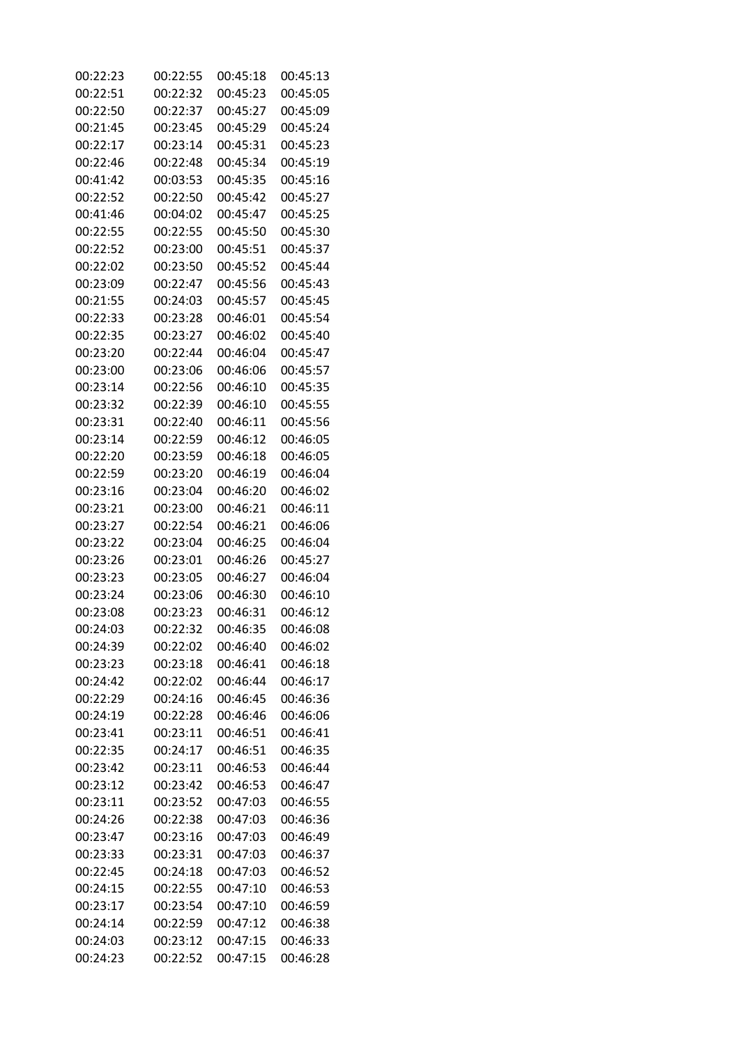| 00:22:23 | 00:22:55 | 00:45:18 | 00:45:13 |
|----------|----------|----------|----------|
| 00:22:51 | 00:22:32 | 00:45:23 | 00:45:05 |
| 00:22:50 | 00:22:37 | 00:45:27 | 00:45:09 |
| 00:21:45 | 00:23:45 | 00:45:29 | 00:45:24 |
| 00:22:17 | 00:23:14 | 00:45:31 | 00:45:23 |
| 00:22:46 | 00:22:48 | 00:45:34 | 00:45:19 |
| 00:41:42 | 00:03:53 | 00:45:35 | 00:45:16 |
| 00:22:52 | 00:22:50 | 00:45:42 | 00:45:27 |
| 00:41:46 | 00:04:02 | 00:45:47 | 00:45:25 |
| 00:22:55 | 00:22:55 | 00:45:50 | 00:45:30 |
| 00:22:52 | 00:23:00 | 00:45:51 | 00:45:37 |
| 00:22:02 | 00:23:50 | 00:45:52 | 00:45:44 |
| 00:23:09 | 00:22:47 | 00:45:56 | 00:45:43 |
| 00:21:55 | 00:24:03 | 00:45:57 | 00:45:45 |
| 00:22:33 | 00:23:28 | 00:46:01 | 00:45:54 |
| 00:22:35 | 00:23:27 | 00:46:02 | 00:45:40 |
| 00:23:20 | 00:22:44 | 00:46:04 | 00:45:47 |
| 00:23:00 | 00:23:06 | 00:46:06 | 00:45:57 |
| 00:23:14 | 00:22:56 | 00:46:10 | 00:45:35 |
| 00:23:32 | 00:22:39 | 00:46:10 | 00:45:55 |
| 00:23:31 | 00:22:40 | 00:46:11 | 00:45:56 |
| 00:23:14 | 00:22:59 | 00:46:12 | 00:46:05 |
| 00:22:20 | 00:23:59 | 00:46:18 | 00:46:05 |
| 00:22:59 | 00:23:20 | 00:46:19 | 00:46:04 |
| 00:23:16 | 00:23:04 | 00:46:20 | 00:46:02 |
| 00:23:21 | 00:23:00 | 00:46:21 | 00:46:11 |
| 00:23:27 | 00:22:54 | 00:46:21 | 00:46:06 |
| 00:23:22 | 00:23:04 | 00:46:25 | 00:46:04 |
| 00:23:26 | 00:23:01 | 00:46:26 | 00:45:27 |
| 00:23:23 | 00:23:05 | 00:46:27 | 00:46:04 |
| 00:23:24 | 00:23:06 | 00:46:30 | 00:46:10 |
| 00:23:08 | 00:23:23 | 00:46:31 | 00:46:12 |
| 00:24:03 | 00:22:32 | 00:46:35 | 00:46:08 |
| 00:24:39 | 00:22:02 | 00:46:40 | 00:46:02 |
| 00:23:23 | 00:23:18 | 00:46:41 | 00:46:18 |
| 00:24:42 | 00:22:02 | 00:46:44 | 00:46:17 |
| 00:22:29 | 00:24:16 | 00:46:45 | 00:46:36 |
| 00:24:19 | 00:22:28 | 00:46:46 | 00:46:06 |
| 00:23:41 | 00:23:11 | 00:46:51 | 00:46:41 |
| 00:22:35 | 00:24:17 | 00:46:51 | 00:46:35 |
| 00:23:42 | 00:23:11 | 00:46:53 | 00:46:44 |
| 00:23:12 | 00:23:42 | 00:46:53 | 00:46:47 |
| 00:23:11 | 00:23:52 | 00:47:03 | 00:46:55 |
| 00:24:26 | 00:22:38 | 00:47:03 | 00:46:36 |
| 00:23:47 | 00:23:16 | 00:47:03 | 00:46:49 |
| 00:23:33 | 00:23:31 | 00:47:03 | 00:46:37 |
| 00:22:45 | 00:24:18 | 00:47:03 | 00:46:52 |
| 00:24:15 | 00:22:55 | 00:47:10 | 00:46:53 |
| 00:23:17 | 00:23:54 | 00:47:10 | 00:46:59 |
| 00:24:14 | 00:22:59 | 00:47:12 | 00:46:38 |
| 00:24:03 | 00:23:12 | 00:47:15 | 00:46:33 |
| 00:24:23 | 00:22:52 | 00:47:15 | 00:46:28 |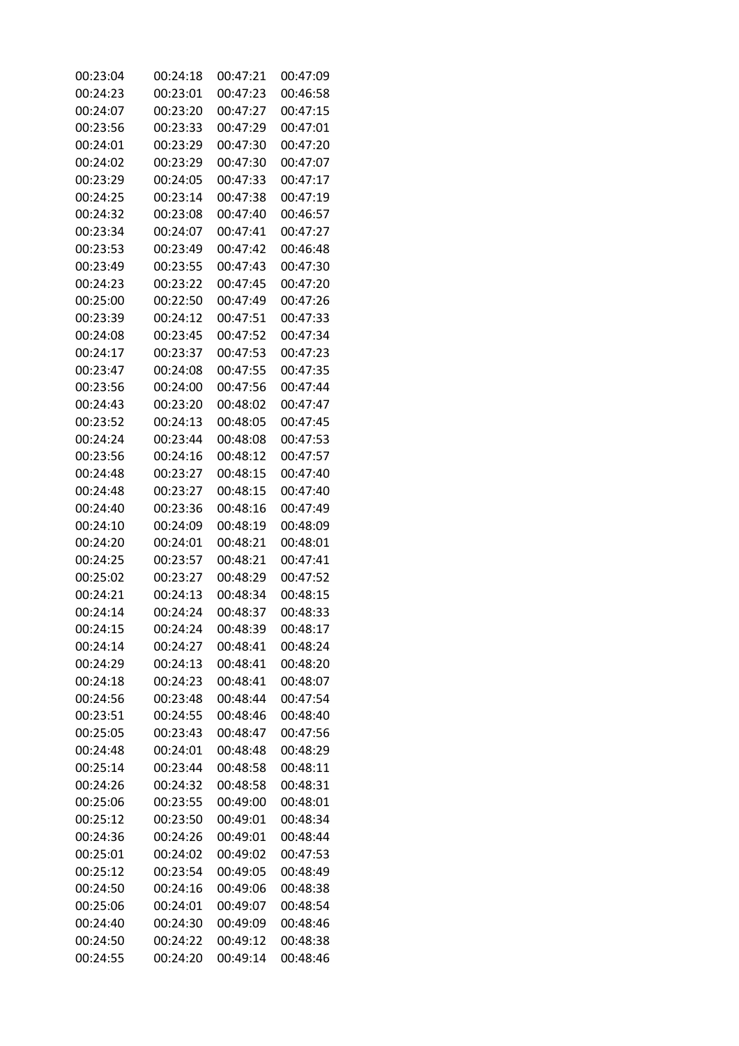| 00:23:04 | 00:24:18 | 00:47:21 | 00:47:09 |
|----------|----------|----------|----------|
| 00:24:23 | 00:23:01 | 00:47:23 | 00:46:58 |
| 00:24:07 | 00:23:20 | 00:47:27 | 00:47:15 |
| 00:23:56 | 00:23:33 | 00:47:29 | 00:47:01 |
| 00:24:01 | 00:23:29 | 00:47:30 | 00:47:20 |
| 00:24:02 | 00:23:29 | 00:47:30 | 00:47:07 |
| 00:23:29 | 00:24:05 | 00:47:33 | 00:47:17 |
| 00:24:25 | 00:23:14 | 00:47:38 | 00:47:19 |
| 00:24:32 | 00:23:08 | 00:47:40 | 00:46:57 |
| 00:23:34 | 00:24:07 | 00:47:41 | 00:47:27 |
| 00:23:53 | 00:23:49 | 00:47:42 | 00:46:48 |
| 00:23:49 | 00:23:55 | 00:47:43 | 00:47:30 |
| 00:24:23 | 00:23:22 | 00:47:45 | 00:47:20 |
| 00:25:00 | 00:22:50 | 00:47:49 | 00:47:26 |
| 00:23:39 | 00:24:12 | 00:47:51 | 00:47:33 |
| 00:24:08 | 00:23:45 | 00:47:52 | 00:47:34 |
| 00:24:17 | 00:23:37 | 00:47:53 | 00:47:23 |
| 00:23:47 | 00:24:08 | 00:47:55 | 00:47:35 |
| 00:23:56 | 00:24:00 | 00:47:56 | 00:47:44 |
| 00:24:43 | 00:23:20 | 00:48:02 | 00:47:47 |
| 00:23:52 | 00:24:13 | 00:48:05 | 00:47:45 |
| 00:24:24 | 00:23:44 | 00:48:08 | 00:47:53 |
| 00:23:56 | 00:24:16 | 00:48:12 | 00:47:57 |
| 00:24:48 | 00:23:27 | 00:48:15 | 00:47:40 |
| 00:24:48 | 00:23:27 | 00:48:15 | 00:47:40 |
| 00:24:40 | 00:23:36 | 00:48:16 | 00:47:49 |
| 00:24:10 | 00:24:09 | 00:48:19 | 00:48:09 |
| 00:24:20 | 00:24:01 | 00:48:21 | 00:48:01 |
| 00:24:25 | 00:23:57 | 00:48:21 | 00:47:41 |
| 00:25:02 | 00:23:27 | 00:48:29 | 00:47:52 |
| 00:24:21 | 00:24:13 | 00:48:34 | 00:48:15 |
| 00:24:14 | 00:24:24 | 00:48:37 | 00:48:33 |
| 00:24:15 | 00:24:24 | 00:48:39 | 00:48:17 |
| 00:24:14 | 00:24:27 | 00:48:41 | 00:48:24 |
| 00:24:29 | 00:24:13 | 00:48:41 | 00:48:20 |
| 00:24:18 | 00:24:23 | 00:48:41 | 00:48:07 |
| 00:24:56 | 00:23:48 | 00:48:44 | 00:47:54 |
| 00:23:51 | 00:24:55 | 00:48:46 | 00:48:40 |
| 00:25:05 | 00:23:43 | 00:48:47 | 00:47:56 |
| 00:24:48 | 00:24:01 | 00:48:48 | 00:48:29 |
| 00:25:14 | 00:23:44 | 00:48:58 | 00:48:11 |
| 00:24:26 | 00:24:32 | 00:48:58 | 00:48:31 |
| 00:25:06 | 00:23:55 | 00:49:00 | 00:48:01 |
| 00:25:12 | 00:23:50 | 00:49:01 | 00:48:34 |
| 00:24:36 | 00:24:26 | 00:49:01 | 00:48:44 |
| 00:25:01 | 00:24:02 | 00:49:02 | 00:47:53 |
| 00:25:12 | 00:23:54 | 00:49:05 | 00:48:49 |
| 00:24:50 | 00:24:16 | 00:49:06 | 00:48:38 |
| 00:25:06 | 00:24:01 | 00:49:07 | 00:48:54 |
| 00:24:40 | 00:24:30 | 00:49:09 | 00:48:46 |
| 00:24:50 | 00:24:22 | 00:49:12 | 00:48:38 |
| 00:24:55 | 00:24:20 | 00:49:14 | 00:48:46 |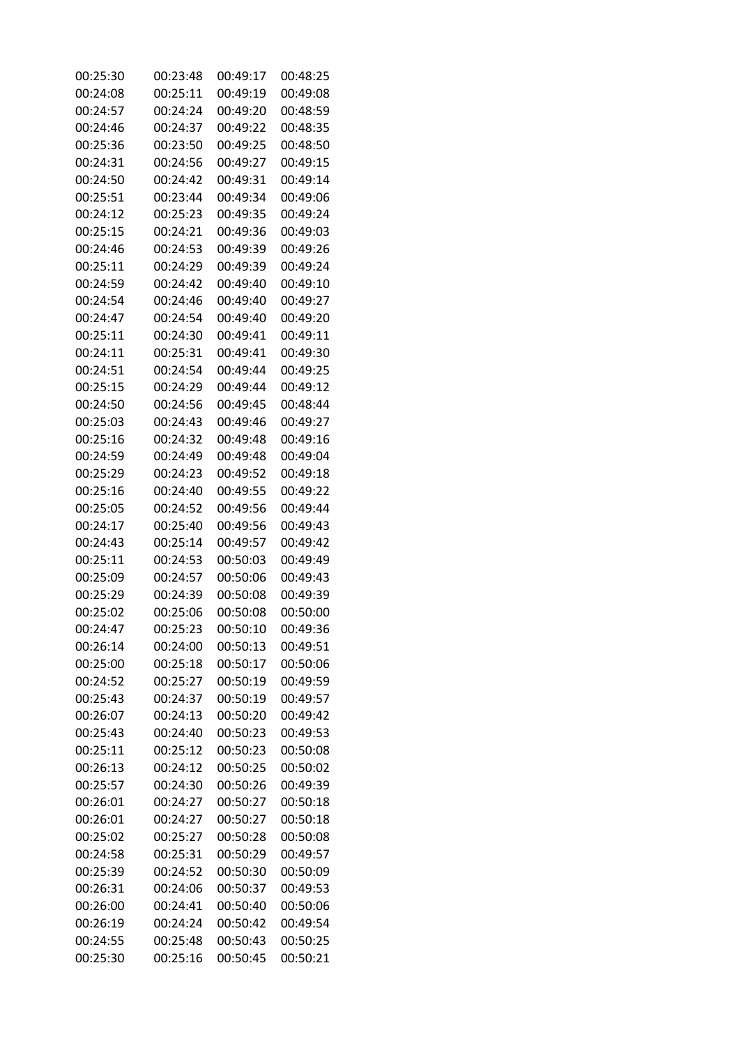| 00:25:30 | 00:23:48 | 00:49:17 | 00:48:25 |
|----------|----------|----------|----------|
| 00:24:08 | 00:25:11 | 00:49:19 | 00:49:08 |
| 00:24:57 | 00:24:24 | 00:49:20 | 00:48:59 |
| 00:24:46 | 00:24:37 | 00:49:22 | 00:48:35 |
| 00:25:36 | 00:23:50 | 00:49:25 | 00:48:50 |
| 00:24:31 | 00:24:56 | 00:49:27 | 00:49:15 |
| 00:24:50 | 00:24:42 | 00:49:31 | 00:49:14 |
| 00:25:51 | 00:23:44 | 00:49:34 | 00:49:06 |
| 00:24:12 | 00:25:23 | 00:49:35 | 00:49:24 |
| 00:25:15 | 00:24:21 | 00:49:36 | 00:49:03 |
| 00:24:46 | 00:24:53 | 00:49:39 | 00:49:26 |
| 00:25:11 | 00:24:29 | 00:49:39 | 00:49:24 |
| 00:24:59 | 00:24:42 | 00:49:40 | 00:49:10 |
| 00:24:54 | 00:24:46 | 00:49:40 | 00:49:27 |
| 00:24:47 | 00:24:54 | 00:49:40 | 00:49:20 |
| 00:25:11 | 00:24:30 | 00:49:41 | 00:49:11 |
| 00:24:11 | 00:25:31 | 00:49:41 | 00:49:30 |
| 00:24:51 | 00:24:54 | 00:49:44 | 00:49:25 |
| 00:25:15 | 00:24:29 | 00:49:44 | 00:49:12 |
| 00:24:50 | 00:24:56 | 00:49:45 | 00:48:44 |
| 00:25:03 | 00:24:43 | 00:49:46 | 00:49:27 |
| 00:25:16 | 00:24:32 | 00:49:48 | 00:49:16 |
| 00:24:59 | 00:24:49 | 00:49:48 | 00:49:04 |
| 00:25:29 | 00:24:23 | 00:49:52 | 00:49:18 |
| 00:25:16 | 00:24:40 | 00:49:55 | 00:49:22 |
| 00:25:05 | 00:24:52 | 00:49:56 | 00:49:44 |
| 00:24:17 | 00:25:40 | 00:49:56 | 00:49:43 |
| 00:24:43 | 00:25:14 | 00:49:57 | 00:49:42 |
| 00:25:11 | 00:24:53 | 00:50:03 | 00:49:49 |
| 00:25:09 | 00:24:57 | 00:50:06 | 00:49:43 |
| 00:25:29 | 00:24:39 | 00:50:08 | 00:49:39 |
| 00:25:02 | 00:25:06 | 00:50:08 | 00:50:00 |
| 00:24:47 | 00:25:23 | 00:50:10 | 00:49:36 |
| 00:26:14 | 00:24:00 | 00:50:13 | 00:49:51 |
| 00:25:00 | 00:25:18 | 00:50:17 | 00:50:06 |
| 00:24:52 | 00:25:27 | 00:50:19 | 00:49:59 |
| 00:25:43 | 00:24:37 | 00:50:19 | 00:49:57 |
| 00:26:07 | 00:24:13 | 00:50:20 | 00:49:42 |
| 00:25:43 | 00:24:40 | 00:50:23 | 00:49:53 |
| 00:25:11 | 00:25:12 | 00:50:23 | 00:50:08 |
| 00:26:13 | 00:24:12 | 00:50:25 | 00:50:02 |
| 00:25:57 | 00:24:30 | 00:50:26 | 00:49:39 |
| 00:26:01 | 00:24:27 | 00:50:27 | 00:50:18 |
| 00:26:01 | 00:24:27 | 00:50:27 | 00:50:18 |
| 00:25:02 | 00:25:27 | 00:50:28 | 00:50:08 |
| 00:24:58 | 00:25:31 | 00:50:29 | 00:49:57 |
| 00:25:39 | 00:24:52 | 00:50:30 | 00:50:09 |
| 00:26:31 | 00:24:06 | 00:50:37 | 00:49:53 |
| 00:26:00 | 00:24:41 | 00:50:40 | 00:50:06 |
| 00:26:19 | 00:24:24 | 00:50:42 | 00:49:54 |
| 00:24:55 | 00:25:48 | 00:50:43 | 00:50:25 |
| 00:25:30 | 00:25:16 | 00:50:45 | 00:50:21 |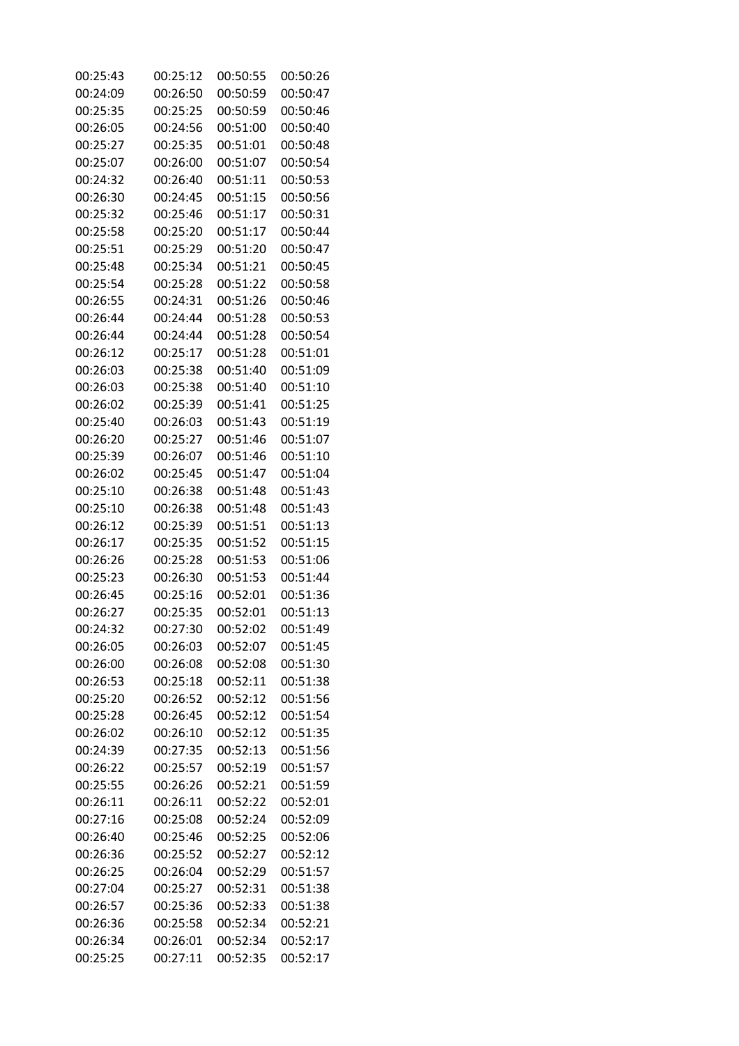| 00:25:43 | 00:25:12 | 00:50:55 | 00:50:26 |
|----------|----------|----------|----------|
| 00:24:09 | 00:26:50 | 00:50:59 | 00:50:47 |
| 00:25:35 | 00:25:25 | 00:50:59 | 00:50:46 |
| 00:26:05 | 00:24:56 | 00:51:00 | 00:50:40 |
| 00:25:27 | 00:25:35 | 00:51:01 | 00:50:48 |
| 00:25:07 | 00:26:00 | 00:51:07 | 00:50:54 |
| 00:24:32 | 00:26:40 | 00:51:11 | 00:50:53 |
| 00:26:30 | 00:24:45 | 00:51:15 | 00:50:56 |
| 00:25:32 | 00:25:46 | 00:51:17 | 00:50:31 |
| 00:25:58 | 00:25:20 | 00:51:17 | 00:50:44 |
| 00:25:51 | 00:25:29 | 00:51:20 | 00:50:47 |
| 00:25:48 | 00:25:34 | 00:51:21 | 00:50:45 |
| 00:25:54 | 00:25:28 | 00:51:22 | 00:50:58 |
| 00:26:55 | 00:24:31 | 00:51:26 | 00:50:46 |
| 00:26:44 | 00:24:44 | 00:51:28 | 00:50:53 |
| 00:26:44 | 00:24:44 | 00:51:28 | 00:50:54 |
| 00:26:12 | 00:25:17 | 00:51:28 | 00:51:01 |
| 00:26:03 | 00:25:38 | 00:51:40 | 00:51:09 |
| 00:26:03 | 00:25:38 | 00:51:40 | 00:51:10 |
| 00:26:02 | 00:25:39 | 00:51:41 | 00:51:25 |
| 00:25:40 | 00:26:03 | 00:51:43 | 00:51:19 |
| 00:26:20 | 00:25:27 | 00:51:46 | 00:51:07 |
| 00:25:39 | 00:26:07 | 00:51:46 | 00:51:10 |
| 00:26:02 | 00:25:45 | 00:51:47 | 00:51:04 |
| 00:25:10 | 00:26:38 | 00:51:48 | 00:51:43 |
| 00:25:10 | 00:26:38 | 00:51:48 | 00:51:43 |
| 00:26:12 | 00:25:39 | 00:51:51 | 00:51:13 |
| 00:26:17 | 00:25:35 | 00:51:52 | 00:51:15 |
| 00:26:26 | 00:25:28 | 00:51:53 | 00:51:06 |
| 00:25:23 | 00:26:30 | 00:51:53 | 00:51:44 |
| 00:26:45 | 00:25:16 | 00:52:01 | 00:51:36 |
| 00:26:27 | 00:25:35 | 00:52:01 | 00:51:13 |
| 00:24:32 | 00:27:30 | 00:52:02 | 00:51:49 |
| 00:26:05 | 00:26:03 | 00:52:07 | 00:51:45 |
| 00:26:00 | 00:26:08 | 00:52:08 | 00:51:30 |
| 00:26:53 | 00:25:18 | 00:52:11 | 00:51:38 |
| 00:25:20 | 00:26:52 | 00:52:12 | 00:51:56 |
| 00:25:28 | 00:26:45 | 00:52:12 | 00:51:54 |
| 00:26:02 | 00:26:10 | 00:52:12 | 00:51:35 |
| 00:24:39 | 00:27:35 | 00:52:13 | 00:51:56 |
| 00:26:22 | 00:25:57 | 00:52:19 | 00:51:57 |
| 00:25:55 | 00:26:26 | 00:52:21 | 00:51:59 |
| 00:26:11 | 00:26:11 | 00:52:22 | 00:52:01 |
| 00:27:16 | 00:25:08 | 00:52:24 | 00:52:09 |
| 00:26:40 | 00:25:46 | 00:52:25 | 00:52:06 |
| 00:26:36 | 00:25:52 | 00:52:27 | 00:52:12 |
| 00:26:25 | 00:26:04 | 00:52:29 | 00:51:57 |
| 00:27:04 | 00:25:27 | 00:52:31 | 00:51:38 |
| 00:26:57 | 00:25:36 | 00:52:33 | 00:51:38 |
| 00:26:36 | 00:25:58 | 00:52:34 | 00:52:21 |
| 00:26:34 | 00:26:01 | 00:52:34 | 00:52:17 |
| 00:25:25 | 00:27:11 | 00:52:35 | 00:52:17 |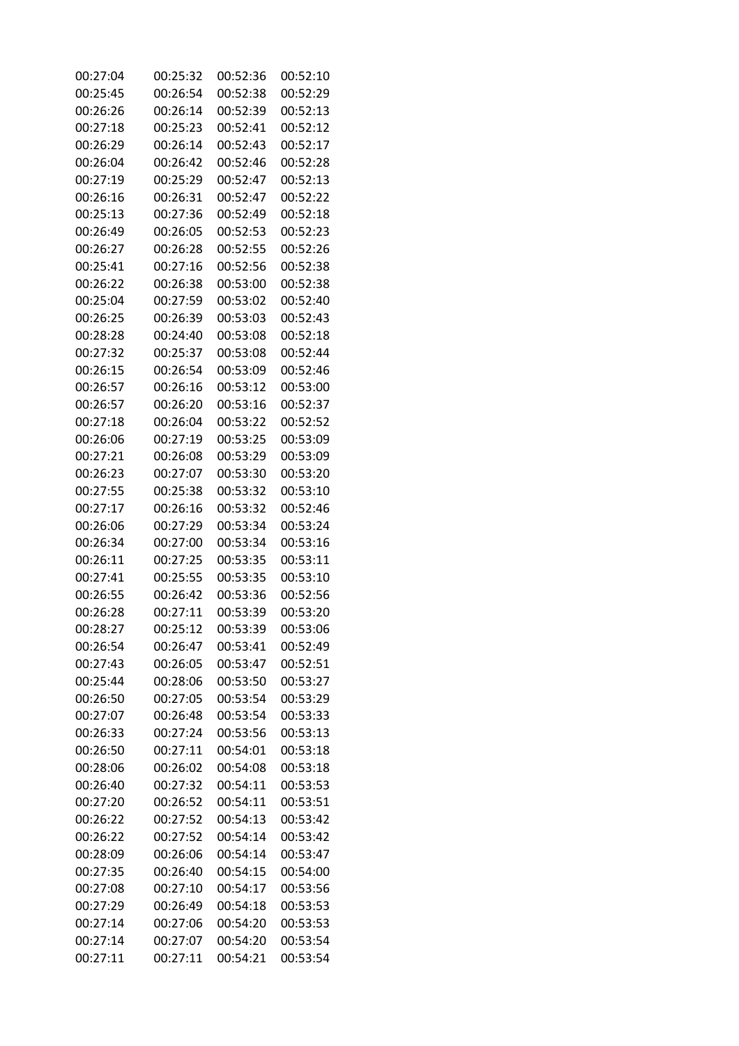| 00:27:04 | 00:25:32 | 00:52:36 | 00:52:10 |
|----------|----------|----------|----------|
| 00:25:45 | 00:26:54 | 00:52:38 | 00:52:29 |
| 00:26:26 | 00:26:14 | 00:52:39 | 00:52:13 |
| 00:27:18 | 00:25:23 | 00:52:41 | 00:52:12 |
| 00:26:29 | 00:26:14 | 00:52:43 | 00:52:17 |
| 00:26:04 | 00:26:42 | 00:52:46 | 00:52:28 |
| 00:27:19 | 00:25:29 | 00:52:47 | 00:52:13 |
| 00:26:16 | 00:26:31 | 00:52:47 | 00:52:22 |
| 00:25:13 | 00:27:36 | 00:52:49 | 00:52:18 |
| 00:26:49 | 00:26:05 | 00:52:53 | 00:52:23 |
| 00:26:27 | 00:26:28 | 00:52:55 | 00:52:26 |
| 00:25:41 | 00:27:16 | 00:52:56 | 00:52:38 |
| 00:26:22 | 00:26:38 | 00:53:00 | 00:52:38 |
| 00:25:04 | 00:27:59 | 00:53:02 | 00:52:40 |
| 00:26:25 | 00:26:39 | 00:53:03 | 00:52:43 |
| 00:28:28 | 00:24:40 | 00:53:08 | 00:52:18 |
| 00:27:32 | 00:25:37 | 00:53:08 | 00:52:44 |
| 00:26:15 | 00:26:54 | 00:53:09 | 00:52:46 |
| 00:26:57 | 00:26:16 | 00:53:12 | 00:53:00 |
| 00:26:57 | 00:26:20 | 00:53:16 | 00:52:37 |
| 00:27:18 | 00:26:04 | 00:53:22 | 00:52:52 |
| 00:26:06 | 00:27:19 | 00:53:25 | 00:53:09 |
| 00:27:21 | 00:26:08 | 00:53:29 | 00:53:09 |
| 00:26:23 | 00:27:07 | 00:53:30 | 00:53:20 |
| 00:27:55 | 00:25:38 | 00:53:32 | 00:53:10 |
| 00:27:17 | 00:26:16 | 00:53:32 | 00:52:46 |
| 00:26:06 | 00:27:29 | 00:53:34 | 00:53:24 |
| 00:26:34 | 00:27:00 | 00:53:34 | 00:53:16 |
| 00:26:11 | 00:27:25 | 00:53:35 | 00:53:11 |
| 00:27:41 | 00:25:55 | 00:53:35 | 00:53:10 |
| 00:26:55 | 00:26:42 | 00:53:36 | 00:52:56 |
| 00:26:28 | 00:27:11 | 00:53:39 | 00:53:20 |
| 00:28:27 | 00:25:12 | 00:53:39 | 00:53:06 |
| 00:26:54 | 00:26:47 | 00:53:41 | 00:52:49 |
| 00:27:43 | 00:26:05 | 00:53:47 | 00:52:51 |
| 00:25:44 | 00:28:06 | 00:53:50 | 00:53:27 |
| 00:26:50 | 00:27:05 | 00:53:54 | 00:53:29 |
| 00:27:07 | 00:26:48 | 00:53:54 | 00:53:33 |
| 00:26:33 | 00:27:24 | 00:53:56 | 00:53:13 |
| 00:26:50 | 00:27:11 | 00:54:01 | 00:53:18 |
| 00:28:06 | 00:26:02 | 00:54:08 | 00:53:18 |
| 00:26:40 | 00:27:32 | 00:54:11 | 00:53:53 |
| 00:27:20 | 00:26:52 | 00:54:11 | 00:53:51 |
| 00:26:22 | 00:27:52 | 00:54:13 | 00:53:42 |
| 00:26:22 | 00:27:52 | 00:54:14 | 00:53:42 |
| 00:28:09 | 00:26:06 | 00:54:14 | 00:53:47 |
| 00:27:35 | 00:26:40 | 00:54:15 | 00:54:00 |
| 00:27:08 | 00:27:10 | 00:54:17 | 00:53:56 |
| 00:27:29 | 00:26:49 | 00:54:18 | 00:53:53 |
| 00:27:14 | 00:27:06 | 00:54:20 | 00:53:53 |
| 00:27:14 | 00:27:07 | 00:54:20 | 00:53:54 |
| 00:27:11 | 00:27:11 | 00:54:21 | 00:53:54 |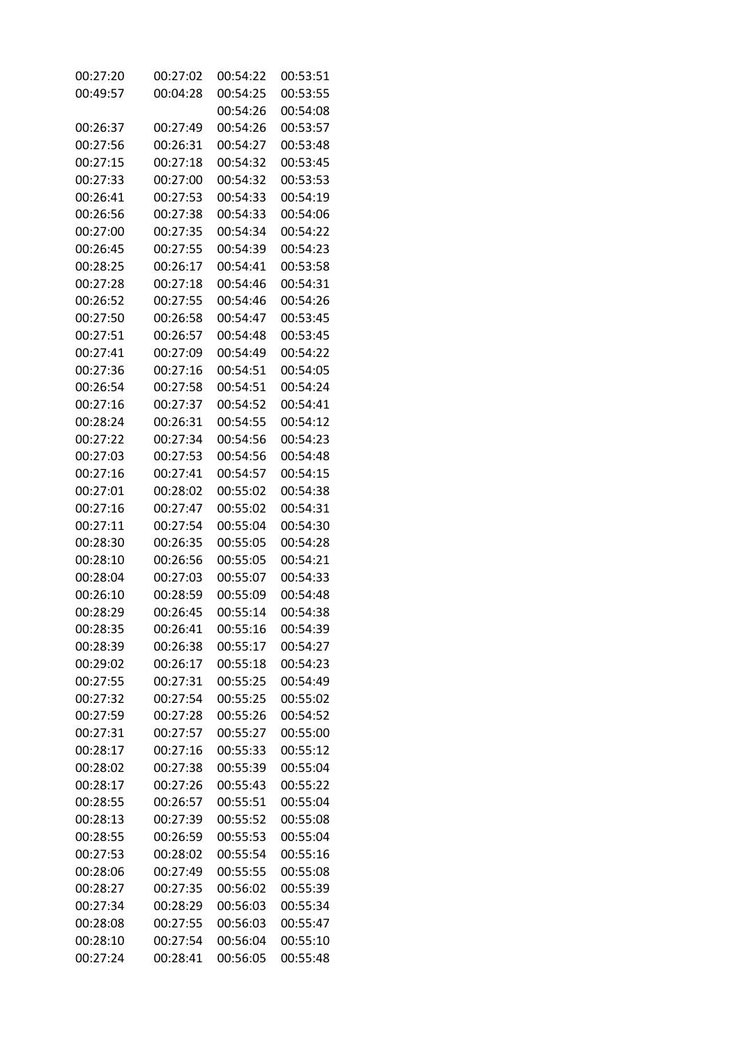| 00:27:20             | 00:27:02 | 00:54:22             | 00:53:51 |
|----------------------|----------|----------------------|----------|
| 00:49:57             | 00:04:28 | 00:54:25             | 00:53:55 |
|                      |          | 00:54:26             | 00:54:08 |
| 00:26:37             | 00:27:49 | 00:54:26             | 00:53:57 |
| 00:27:56             | 00:26:31 | 00:54:27             | 00:53:48 |
| 00:27:15             | 00:27:18 | 00:54:32             | 00:53:45 |
| 00:27:33             | 00:27:00 | 00:54:32             | 00:53:53 |
| 00:26:41             | 00:27:53 | 00:54:33             | 00:54:19 |
| 00:26:56             | 00:27:38 | 00:54:33             | 00:54:06 |
| 00:27:00             | 00:27:35 | 00:54:34             | 00:54:22 |
| 00:26:45             | 00:27:55 | 00:54:39             | 00:54:23 |
| 00:28:25             | 00:26:17 | 00:54:41             | 00:53:58 |
| 00:27:28             | 00:27:18 | 00:54:46             | 00:54:31 |
| 00:26:52             | 00:27:55 | 00:54:46             | 00:54:26 |
| 00:27:50             | 00:26:58 | 00:54:47             | 00:53:45 |
| 00:27:51             | 00:26:57 | 00:54:48             | 00:53:45 |
| 00:27:41             | 00:27:09 | 00:54:49             | 00:54:22 |
| 00:27:36             | 00:27:16 | 00:54:51             | 00:54:05 |
| 00:26:54             | 00:27:58 | 00:54:51             | 00:54:24 |
|                      |          |                      |          |
| 00:27:16<br>00:28:24 | 00:27:37 | 00:54:52<br>00:54:55 | 00:54:41 |
|                      | 00:26:31 |                      | 00:54:12 |
| 00:27:22             | 00:27:34 | 00:54:56             | 00:54:23 |
| 00:27:03             | 00:27:53 | 00:54:56             | 00:54:48 |
| 00:27:16             | 00:27:41 | 00:54:57             | 00:54:15 |
| 00:27:01             | 00:28:02 | 00:55:02             | 00:54:38 |
| 00:27:16             | 00:27:47 | 00:55:02             | 00:54:31 |
| 00:27:11             | 00:27:54 | 00:55:04             | 00:54:30 |
| 00:28:30             | 00:26:35 | 00:55:05             | 00:54:28 |
| 00:28:10             | 00:26:56 | 00:55:05             | 00:54:21 |
| 00:28:04             | 00:27:03 | 00:55:07             | 00:54:33 |
| 00:26:10             | 00:28:59 | 00:55:09             | 00:54:48 |
| 00:28:29             | 00:26:45 | 00:55:14             | 00:54:38 |
| 00:28:35             | 00:26:41 | 00:55:16             | 00:54:39 |
| 00:28:39             | 00:26:38 | 00:55:17             | 00:54:27 |
| 00:29:02             | 00:26:17 | 00:55:18             | 00:54:23 |
| 00:27:55             | 00:27:31 | 00:55:25             | 00:54:49 |
| 00:27:32             | 00:27:54 | 00:55:25             | 00:55:02 |
| 00:27:59             | 00:27:28 | 00:55:26             | 00:54:52 |
| 00:27:31             | 00:27:57 | 00:55:27             | 00:55:00 |
| 00:28:17             | 00:27:16 | 00:55:33             | 00:55:12 |
| 00:28:02             | 00:27:38 | 00:55:39             | 00:55:04 |
| 00:28:17             | 00:27:26 | 00:55:43             | 00:55:22 |
| 00:28:55             | 00:26:57 | 00:55:51             | 00:55:04 |
| 00:28:13             | 00:27:39 | 00:55:52             | 00:55:08 |
| 00:28:55             | 00:26:59 | 00:55:53             | 00:55:04 |
| 00:27:53             | 00:28:02 | 00:55:54             | 00:55:16 |
| 00:28:06             | 00:27:49 | 00:55:55             | 00:55:08 |
| 00:28:27             | 00:27:35 | 00:56:02             | 00:55:39 |
| 00:27:34             | 00:28:29 | 00:56:03             | 00:55:34 |
| 00:28:08             | 00:27:55 | 00:56:03             | 00:55:47 |
| 00:28:10             | 00:27:54 | 00:56:04             | 00:55:10 |
| 00:27:24             | 00:28:41 | 00:56:05             | 00:55:48 |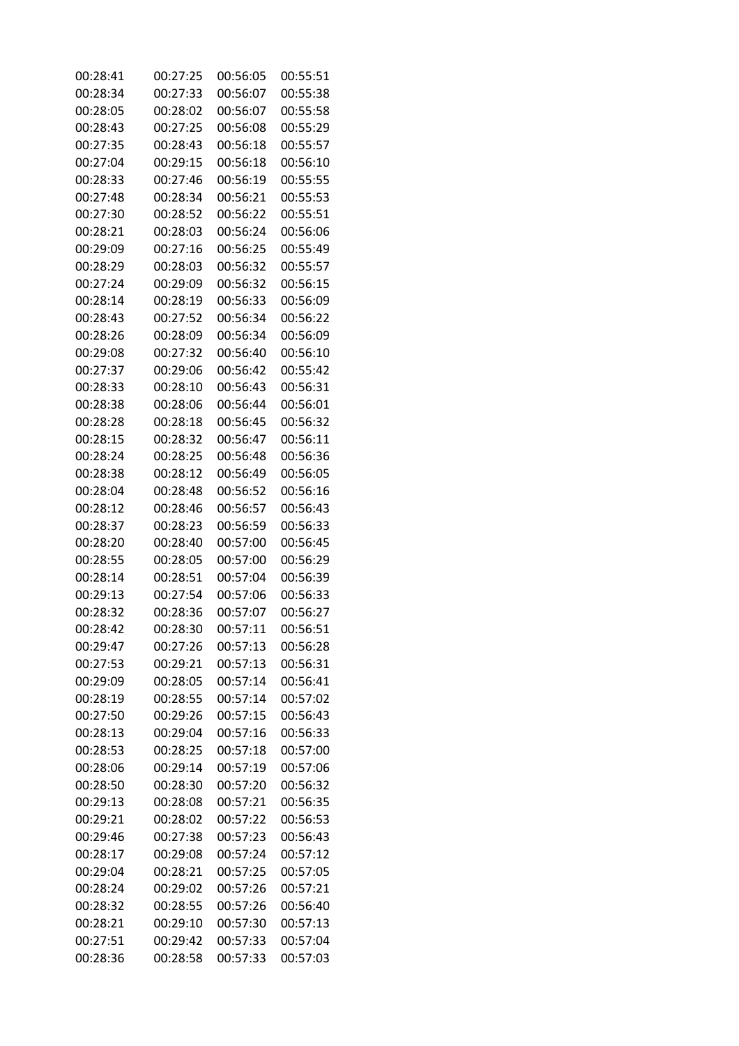| 00:28:41 | 00:27:25 | 00:56:05 | 00:55:51 |
|----------|----------|----------|----------|
| 00:28:34 | 00:27:33 | 00:56:07 | 00:55:38 |
| 00:28:05 | 00:28:02 | 00:56:07 | 00:55:58 |
| 00:28:43 | 00:27:25 | 00:56:08 | 00:55:29 |
| 00:27:35 | 00:28:43 | 00:56:18 | 00:55:57 |
| 00:27:04 | 00:29:15 | 00:56:18 | 00:56:10 |
| 00:28:33 | 00:27:46 | 00:56:19 | 00:55:55 |
| 00:27:48 | 00:28:34 | 00:56:21 | 00:55:53 |
| 00:27:30 | 00:28:52 | 00:56:22 | 00:55:51 |
| 00:28:21 | 00:28:03 | 00:56:24 | 00:56:06 |
| 00:29:09 | 00:27:16 | 00:56:25 | 00:55:49 |
| 00:28:29 | 00:28:03 | 00:56:32 | 00:55:57 |
| 00:27:24 | 00:29:09 | 00:56:32 | 00:56:15 |
| 00:28:14 | 00:28:19 | 00:56:33 | 00:56:09 |
| 00:28:43 | 00:27:52 | 00:56:34 | 00:56:22 |
| 00:28:26 | 00:28:09 | 00:56:34 | 00:56:09 |
| 00:29:08 | 00:27:32 | 00:56:40 | 00:56:10 |
| 00:27:37 | 00:29:06 | 00:56:42 | 00:55:42 |
| 00:28:33 | 00:28:10 | 00:56:43 | 00:56:31 |
| 00:28:38 | 00:28:06 | 00:56:44 | 00:56:01 |
| 00:28:28 | 00:28:18 | 00:56:45 | 00:56:32 |
| 00:28:15 | 00:28:32 | 00:56:47 | 00:56:11 |
| 00:28:24 | 00:28:25 | 00:56:48 | 00:56:36 |
| 00:28:38 | 00:28:12 | 00:56:49 | 00:56:05 |
| 00:28:04 | 00:28:48 | 00:56:52 | 00:56:16 |
| 00:28:12 | 00:28:46 | 00:56:57 | 00:56:43 |
| 00:28:37 | 00:28:23 | 00:56:59 | 00:56:33 |
| 00:28:20 | 00:28:40 | 00:57:00 | 00:56:45 |
| 00:28:55 | 00:28:05 | 00:57:00 | 00:56:29 |
| 00:28:14 | 00:28:51 | 00:57:04 | 00:56:39 |
| 00:29:13 | 00:27:54 | 00:57:06 | 00:56:33 |
| 00:28:32 | 00:28:36 | 00:57:07 | 00:56:27 |
| 00:28:42 | 00:28:30 | 00:57:11 | 00:56:51 |
| 00:29:47 | 00:27:26 | 00:57:13 | 00:56:28 |
| 00:27:53 | 00:29:21 | 00:57:13 | 00:56:31 |
| 00:29:09 | 00:28:05 | 00:57:14 | 00:56:41 |
| 00:28:19 | 00:28:55 | 00:57:14 | 00:57:02 |
| 00:27:50 | 00:29:26 | 00:57:15 | 00:56:43 |
| 00:28:13 | 00:29:04 | 00:57:16 | 00:56:33 |
| 00:28:53 | 00:28:25 | 00:57:18 | 00:57:00 |
| 00:28:06 | 00:29:14 | 00:57:19 | 00:57:06 |
| 00:28:50 | 00:28:30 | 00:57:20 | 00:56:32 |
| 00:29:13 | 00:28:08 | 00:57:21 | 00:56:35 |
| 00:29:21 | 00:28:02 | 00:57:22 | 00:56:53 |
| 00:29:46 | 00:27:38 | 00:57:23 | 00:56:43 |
| 00:28:17 | 00:29:08 | 00:57:24 | 00:57:12 |
| 00:29:04 | 00:28:21 | 00:57:25 | 00:57:05 |
| 00:28:24 | 00:29:02 | 00:57:26 | 00:57:21 |
| 00:28:32 | 00:28:55 | 00:57:26 | 00:56:40 |
| 00:28:21 | 00:29:10 | 00:57:30 | 00:57:13 |
| 00:27:51 | 00:29:42 | 00:57:33 | 00:57:04 |
| 00:28:36 | 00:28:58 | 00:57:33 | 00:57:03 |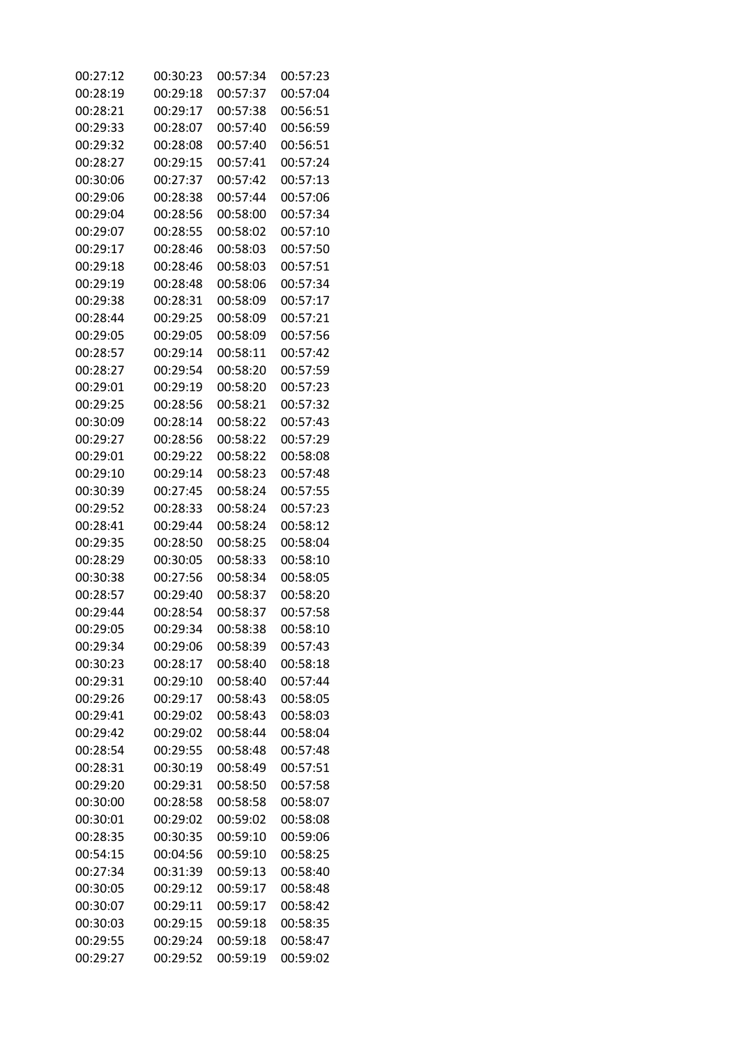| 00:27:12 | 00:30:23 | 00:57:34 | 00:57:23 |
|----------|----------|----------|----------|
| 00:28:19 | 00:29:18 | 00:57:37 | 00:57:04 |
| 00:28:21 | 00:29:17 | 00:57:38 | 00:56:51 |
| 00:29:33 | 00:28:07 | 00:57:40 | 00:56:59 |
| 00:29:32 | 00:28:08 | 00:57:40 | 00:56:51 |
| 00:28:27 | 00:29:15 | 00:57:41 | 00:57:24 |
| 00:30:06 | 00:27:37 | 00:57:42 | 00:57:13 |
| 00:29:06 | 00:28:38 | 00:57:44 | 00:57:06 |
| 00:29:04 | 00:28:56 | 00:58:00 | 00:57:34 |
| 00:29:07 | 00:28:55 | 00:58:02 | 00:57:10 |
| 00:29:17 | 00:28:46 | 00:58:03 | 00:57:50 |
| 00:29:18 | 00:28:46 | 00:58:03 | 00:57:51 |
| 00:29:19 | 00:28:48 | 00:58:06 | 00:57:34 |
| 00:29:38 | 00:28:31 | 00:58:09 | 00:57:17 |
| 00:28:44 | 00:29:25 | 00:58:09 | 00:57:21 |
| 00:29:05 | 00:29:05 | 00:58:09 | 00:57:56 |
| 00:28:57 | 00:29:14 | 00:58:11 | 00:57:42 |
| 00:28:27 | 00:29:54 | 00:58:20 | 00:57:59 |
| 00:29:01 | 00:29:19 | 00:58:20 | 00:57:23 |
| 00:29:25 | 00:28:56 | 00:58:21 | 00:57:32 |
| 00:30:09 | 00:28:14 | 00:58:22 | 00:57:43 |
| 00:29:27 | 00:28:56 | 00:58:22 | 00:57:29 |
| 00:29:01 | 00:29:22 | 00:58:22 | 00:58:08 |
| 00:29:10 | 00:29:14 | 00:58:23 | 00:57:48 |
| 00:30:39 | 00:27:45 | 00:58:24 | 00:57:55 |
| 00:29:52 | 00:28:33 | 00:58:24 | 00:57:23 |
| 00:28:41 | 00:29:44 | 00:58:24 | 00:58:12 |
| 00:29:35 | 00:28:50 | 00:58:25 | 00:58:04 |
| 00:28:29 | 00:30:05 | 00:58:33 | 00:58:10 |
| 00:30:38 | 00:27:56 | 00:58:34 | 00:58:05 |
| 00:28:57 | 00:29:40 | 00:58:37 | 00:58:20 |
| 00:29:44 | 00:28:54 | 00:58:37 | 00:57:58 |
| 00:29:05 | 00:29:34 | 00:58:38 | 00:58:10 |
| 00:29:34 | 00:29:06 | 00:58:39 | 00:57:43 |
| 00:30:23 | 00:28:17 | 00:58:40 | 00:58:18 |
| 00:29:31 | 00:29:10 | 00:58:40 | 00:57:44 |
| 00:29:26 | 00:29:17 | 00:58:43 | 00:58:05 |
| 00:29:41 | 00:29:02 | 00:58:43 | 00:58:03 |
| 00:29:42 | 00:29:02 | 00:58:44 | 00:58:04 |
| 00:28:54 | 00:29:55 | 00:58:48 | 00:57:48 |
| 00:28:31 | 00:30:19 | 00:58:49 | 00:57:51 |
| 00:29:20 | 00:29:31 | 00:58:50 | 00:57:58 |
| 00:30:00 | 00:28:58 | 00:58:58 | 00:58:07 |
| 00:30:01 | 00:29:02 | 00:59:02 | 00:58:08 |
| 00:28:35 | 00:30:35 | 00:59:10 | 00:59:06 |
| 00:54:15 | 00:04:56 | 00:59:10 | 00:58:25 |
| 00:27:34 | 00:31:39 | 00:59:13 | 00:58:40 |
| 00:30:05 | 00:29:12 | 00:59:17 | 00:58:48 |
| 00:30:07 | 00:29:11 | 00:59:17 | 00:58:42 |
| 00:30:03 | 00:29:15 | 00:59:18 | 00:58:35 |
| 00:29:55 | 00:29:24 | 00:59:18 | 00:58:47 |
| 00:29:27 | 00:29:52 | 00:59:19 | 00:59:02 |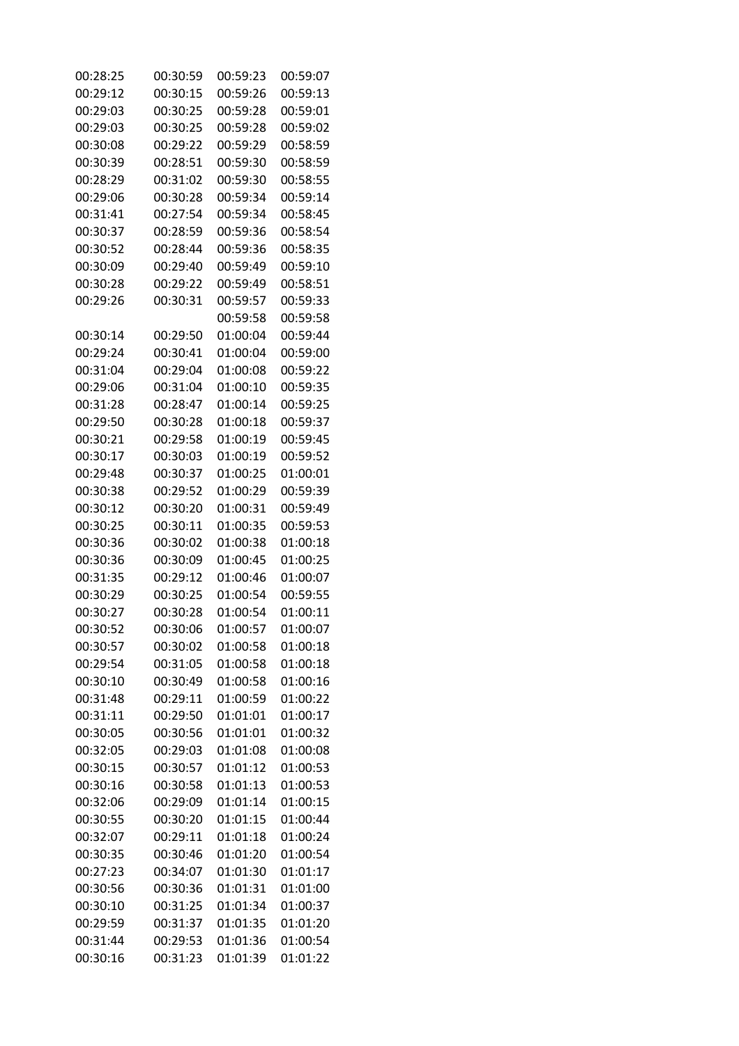| 00:28:25 | 00:30:59 | 00:59:23 | 00:59:07 |
|----------|----------|----------|----------|
| 00:29:12 | 00:30:15 | 00:59:26 | 00:59:13 |
| 00:29:03 | 00:30:25 | 00:59:28 | 00:59:01 |
| 00:29:03 | 00:30:25 | 00:59:28 | 00:59:02 |
| 00:30:08 | 00:29:22 | 00:59:29 | 00:58:59 |
| 00:30:39 | 00:28:51 | 00:59:30 | 00:58:59 |
| 00:28:29 | 00:31:02 | 00:59:30 | 00:58:55 |
| 00:29:06 | 00:30:28 | 00:59:34 | 00:59:14 |
| 00:31:41 | 00:27:54 | 00:59:34 | 00:58:45 |
| 00:30:37 | 00:28:59 | 00:59:36 | 00:58:54 |
| 00:30:52 | 00:28:44 | 00:59:36 | 00:58:35 |
| 00:30:09 | 00:29:40 | 00:59:49 | 00:59:10 |
| 00:30:28 | 00:29:22 | 00:59:49 | 00:58:51 |
| 00:29:26 | 00:30:31 | 00:59:57 | 00:59:33 |
|          |          | 00:59:58 | 00:59:58 |
| 00:30:14 | 00:29:50 | 01:00:04 | 00:59:44 |
| 00:29:24 | 00:30:41 | 01:00:04 | 00:59:00 |
| 00:31:04 | 00:29:04 | 01:00:08 | 00:59:22 |
| 00:29:06 | 00:31:04 | 01:00:10 | 00:59:35 |
| 00:31:28 | 00:28:47 | 01:00:14 | 00:59:25 |
| 00:29:50 | 00:30:28 | 01:00:18 | 00:59:37 |
| 00:30:21 | 00:29:58 | 01:00:19 | 00:59:45 |
| 00:30:17 | 00:30:03 | 01:00:19 | 00:59:52 |
| 00:29:48 | 00:30:37 | 01:00:25 | 01:00:01 |
| 00:30:38 | 00:29:52 | 01:00:29 | 00:59:39 |
| 00:30:12 | 00:30:20 | 01:00:31 | 00:59:49 |
| 00:30:25 | 00:30:11 | 01:00:35 | 00:59:53 |
| 00:30:36 | 00:30:02 | 01:00:38 | 01:00:18 |
| 00:30:36 | 00:30:09 | 01:00:45 | 01:00:25 |
| 00:31:35 | 00:29:12 | 01:00:46 | 01:00:07 |
| 00:30:29 | 00:30:25 | 01:00:54 | 00:59:55 |
| 00:30:27 | 00:30:28 | 01:00:54 | 01:00:11 |
| 00:30:52 | 00:30:06 | 01:00:57 | 01:00:07 |
| 00:30:57 | 00:30:02 | 01:00:58 | 01:00:18 |
| 00:29:54 | 00:31:05 | 01:00:58 | 01:00:18 |
| 00:30:10 | 00:30:49 | 01:00:58 | 01:00:16 |
| 00:31:48 | 00:29:11 | 01:00:59 | 01:00:22 |
| 00:31:11 | 00:29:50 | 01:01:01 | 01:00:17 |
| 00:30:05 | 00:30:56 | 01:01:01 | 01:00:32 |
| 00:32:05 | 00:29:03 | 01:01:08 | 01:00:08 |
| 00:30:15 | 00:30:57 | 01:01:12 | 01:00:53 |
| 00:30:16 | 00:30:58 | 01:01:13 | 01:00:53 |
| 00:32:06 | 00:29:09 | 01:01:14 | 01:00:15 |
| 00:30:55 | 00:30:20 | 01:01:15 | 01:00:44 |
| 00:32:07 | 00:29:11 | 01:01:18 | 01:00:24 |
| 00:30:35 | 00:30:46 | 01:01:20 | 01:00:54 |
| 00:27:23 | 00:34:07 | 01:01:30 | 01:01:17 |
| 00:30:56 | 00:30:36 | 01:01:31 | 01:01:00 |
| 00:30:10 | 00:31:25 | 01:01:34 | 01:00:37 |
| 00:29:59 | 00:31:37 | 01:01:35 | 01:01:20 |
| 00:31:44 | 00:29:53 | 01:01:36 | 01:00:54 |
| 00:30:16 | 00:31:23 | 01:01:39 | 01:01:22 |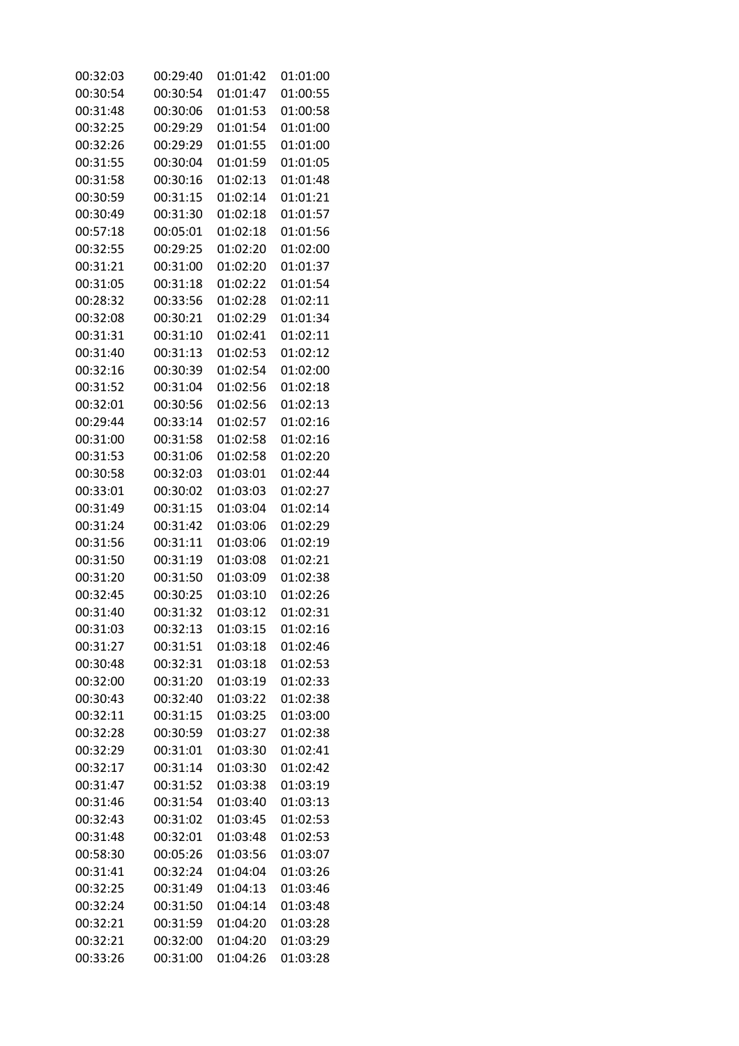| 00:32:03 | 00:29:40 | 01:01:42 | 01:01:00 |
|----------|----------|----------|----------|
| 00:30:54 | 00:30:54 | 01:01:47 | 01:00:55 |
| 00:31:48 | 00:30:06 | 01:01:53 | 01:00:58 |
| 00:32:25 | 00:29:29 | 01:01:54 | 01:01:00 |
| 00:32:26 | 00:29:29 | 01:01:55 | 01:01:00 |
| 00:31:55 | 00:30:04 | 01:01:59 | 01:01:05 |
| 00:31:58 | 00:30:16 | 01:02:13 | 01:01:48 |
| 00:30:59 | 00:31:15 | 01:02:14 | 01:01:21 |
| 00:30:49 | 00:31:30 | 01:02:18 | 01:01:57 |
| 00:57:18 | 00:05:01 | 01:02:18 | 01:01:56 |
| 00:32:55 | 00:29:25 | 01:02:20 | 01:02:00 |
| 00:31:21 | 00:31:00 | 01:02:20 | 01:01:37 |
| 00:31:05 | 00:31:18 | 01:02:22 | 01:01:54 |
| 00:28:32 | 00:33:56 | 01:02:28 | 01:02:11 |
| 00:32:08 | 00:30:21 | 01:02:29 | 01:01:34 |
| 00:31:31 | 00:31:10 | 01:02:41 | 01:02:11 |
| 00:31:40 | 00:31:13 | 01:02:53 | 01:02:12 |
| 00:32:16 | 00:30:39 | 01:02:54 | 01:02:00 |
| 00:31:52 | 00:31:04 | 01:02:56 | 01:02:18 |
| 00:32:01 | 00:30:56 | 01:02:56 | 01:02:13 |
| 00:29:44 | 00:33:14 | 01:02:57 | 01:02:16 |
| 00:31:00 | 00:31:58 | 01:02:58 | 01:02:16 |
| 00:31:53 | 00:31:06 | 01:02:58 | 01:02:20 |
| 00:30:58 | 00:32:03 | 01:03:01 | 01:02:44 |
| 00:33:01 | 00:30:02 | 01:03:03 | 01:02:27 |
| 00:31:49 | 00:31:15 | 01:03:04 | 01:02:14 |
| 00:31:24 | 00:31:42 | 01:03:06 | 01:02:29 |
| 00:31:56 | 00:31:11 | 01:03:06 | 01:02:19 |
| 00:31:50 | 00:31:19 | 01:03:08 | 01:02:21 |
| 00:31:20 | 00:31:50 | 01:03:09 | 01:02:38 |
| 00:32:45 | 00:30:25 | 01:03:10 | 01:02:26 |
| 00:31:40 | 00:31:32 | 01:03:12 | 01:02:31 |
| 00:31:03 | 00:32:13 | 01:03:15 | 01:02:16 |
| 00:31:27 | 00:31:51 | 01:03:18 | 01:02:46 |
| 00:30:48 | 00:32:31 | 01:03:18 | 01:02:53 |
| 00:32:00 | 00:31:20 | 01:03:19 | 01:02:33 |
| 00:30:43 | 00:32:40 | 01:03:22 | 01:02:38 |
| 00:32:11 | 00:31:15 | 01:03:25 | 01:03:00 |
| 00:32:28 | 00:30:59 | 01:03:27 | 01:02:38 |
| 00:32:29 | 00:31:01 | 01:03:30 | 01:02:41 |
| 00:32:17 | 00:31:14 | 01:03:30 | 01:02:42 |
| 00:31:47 | 00:31:52 | 01:03:38 | 01:03:19 |
| 00:31:46 | 00:31:54 | 01:03:40 | 01:03:13 |
| 00:32:43 | 00:31:02 | 01:03:45 | 01:02:53 |
| 00:31:48 | 00:32:01 | 01:03:48 | 01:02:53 |
| 00:58:30 | 00:05:26 | 01:03:56 | 01:03:07 |
| 00:31:41 | 00:32:24 | 01:04:04 | 01:03:26 |
| 00:32:25 | 00:31:49 | 01:04:13 | 01:03:46 |
| 00:32:24 | 00:31:50 | 01:04:14 | 01:03:48 |
| 00:32:21 | 00:31:59 | 01:04:20 | 01:03:28 |
| 00:32:21 | 00:32:00 | 01:04:20 | 01:03:29 |
| 00:33:26 | 00:31:00 | 01:04:26 | 01:03:28 |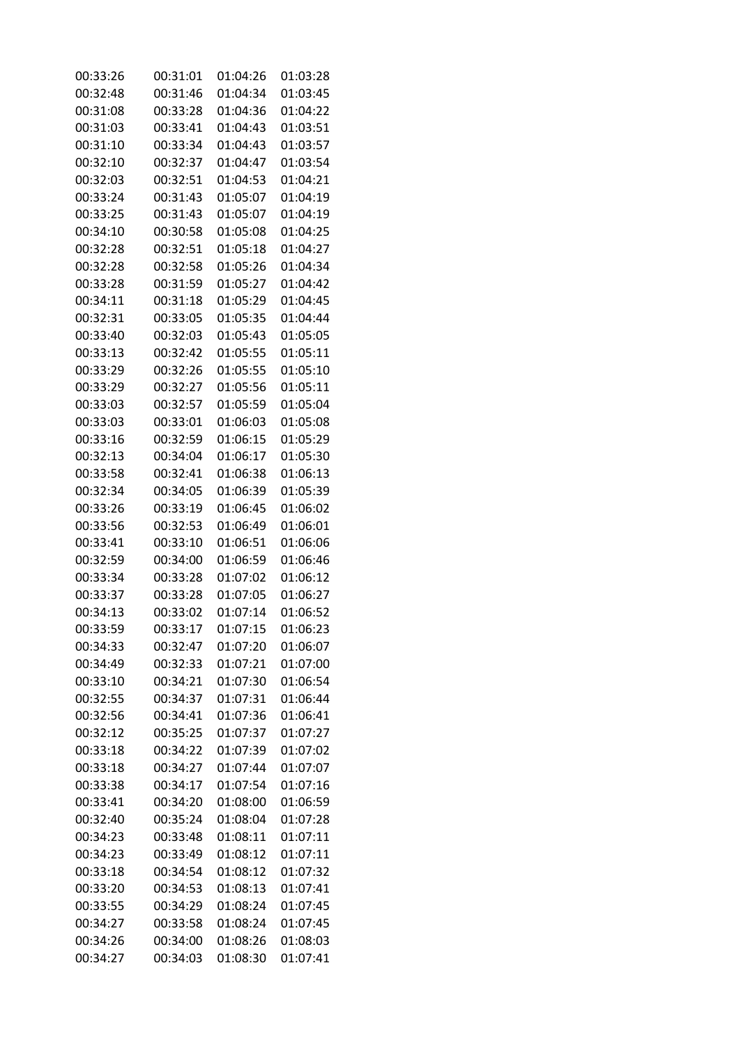| 00:33:26 | 00:31:01 | 01:04:26 | 01:03:28 |
|----------|----------|----------|----------|
| 00:32:48 | 00:31:46 | 01:04:34 | 01:03:45 |
| 00:31:08 | 00:33:28 | 01:04:36 | 01:04:22 |
| 00:31:03 | 00:33:41 | 01:04:43 | 01:03:51 |
| 00:31:10 | 00:33:34 | 01:04:43 | 01:03:57 |
| 00:32:10 | 00:32:37 | 01:04:47 | 01:03:54 |
| 00:32:03 | 00:32:51 | 01:04:53 | 01:04:21 |
| 00:33:24 | 00:31:43 | 01:05:07 | 01:04:19 |
| 00:33:25 | 00:31:43 | 01:05:07 | 01:04:19 |
| 00:34:10 | 00:30:58 | 01:05:08 | 01:04:25 |
| 00:32:28 | 00:32:51 | 01:05:18 | 01:04:27 |
| 00:32:28 | 00:32:58 | 01:05:26 | 01:04:34 |
| 00:33:28 | 00:31:59 | 01:05:27 | 01:04:42 |
| 00:34:11 | 00:31:18 | 01:05:29 | 01:04:45 |
| 00:32:31 | 00:33:05 | 01:05:35 | 01:04:44 |
| 00:33:40 | 00:32:03 | 01:05:43 | 01:05:05 |
| 00:33:13 | 00:32:42 | 01:05:55 | 01:05:11 |
| 00:33:29 | 00:32:26 | 01:05:55 | 01:05:10 |
| 00:33:29 | 00:32:27 | 01:05:56 | 01:05:11 |
| 00:33:03 | 00:32:57 | 01:05:59 | 01:05:04 |
| 00:33:03 | 00:33:01 | 01:06:03 | 01:05:08 |
| 00:33:16 | 00:32:59 | 01:06:15 | 01:05:29 |
| 00:32:13 | 00:34:04 | 01:06:17 | 01:05:30 |
| 00:33:58 | 00:32:41 | 01:06:38 | 01:06:13 |
| 00:32:34 | 00:34:05 | 01:06:39 | 01:05:39 |
| 00:33:26 | 00:33:19 | 01:06:45 | 01:06:02 |
| 00:33:56 | 00:32:53 | 01:06:49 | 01:06:01 |
| 00:33:41 | 00:33:10 | 01:06:51 | 01:06:06 |
| 00:32:59 | 00:34:00 | 01:06:59 | 01:06:46 |
| 00:33:34 | 00:33:28 | 01:07:02 | 01:06:12 |
| 00:33:37 | 00:33:28 | 01:07:05 | 01:06:27 |
| 00:34:13 | 00:33:02 | 01:07:14 | 01:06:52 |
| 00:33:59 | 00:33:17 | 01:07:15 | 01:06:23 |
| 00:34:33 | 00:32:47 | 01:07:20 | 01:06:07 |
| 00:34:49 | 00:32:33 | 01:07:21 | 01:07:00 |
| 00:33:10 | 00:34:21 | 01:07:30 | 01:06:54 |
| 00:32:55 | 00:34:37 | 01:07:31 | 01:06:44 |
| 00:32:56 | 00:34:41 | 01:07:36 | 01:06:41 |
| 00:32:12 | 00:35:25 | 01:07:37 | 01:07:27 |
| 00:33:18 | 00:34:22 | 01:07:39 | 01:07:02 |
| 00:33:18 | 00:34:27 | 01:07:44 | 01:07:07 |
| 00:33:38 | 00:34:17 | 01:07:54 | 01:07:16 |
| 00:33:41 | 00:34:20 | 01:08:00 | 01:06:59 |
| 00:32:40 | 00:35:24 | 01:08:04 | 01:07:28 |
| 00:34:23 | 00:33:48 | 01:08:11 | 01:07:11 |
| 00:34:23 | 00:33:49 | 01:08:12 | 01:07:11 |
| 00:33:18 | 00:34:54 | 01:08:12 | 01:07:32 |
| 00:33:20 | 00:34:53 | 01:08:13 | 01:07:41 |
| 00:33:55 | 00:34:29 | 01:08:24 | 01:07:45 |
| 00:34:27 | 00:33:58 | 01:08:24 | 01:07:45 |
| 00:34:26 | 00:34:00 | 01:08:26 | 01:08:03 |
| 00:34:27 | 00:34:03 | 01:08:30 | 01:07:41 |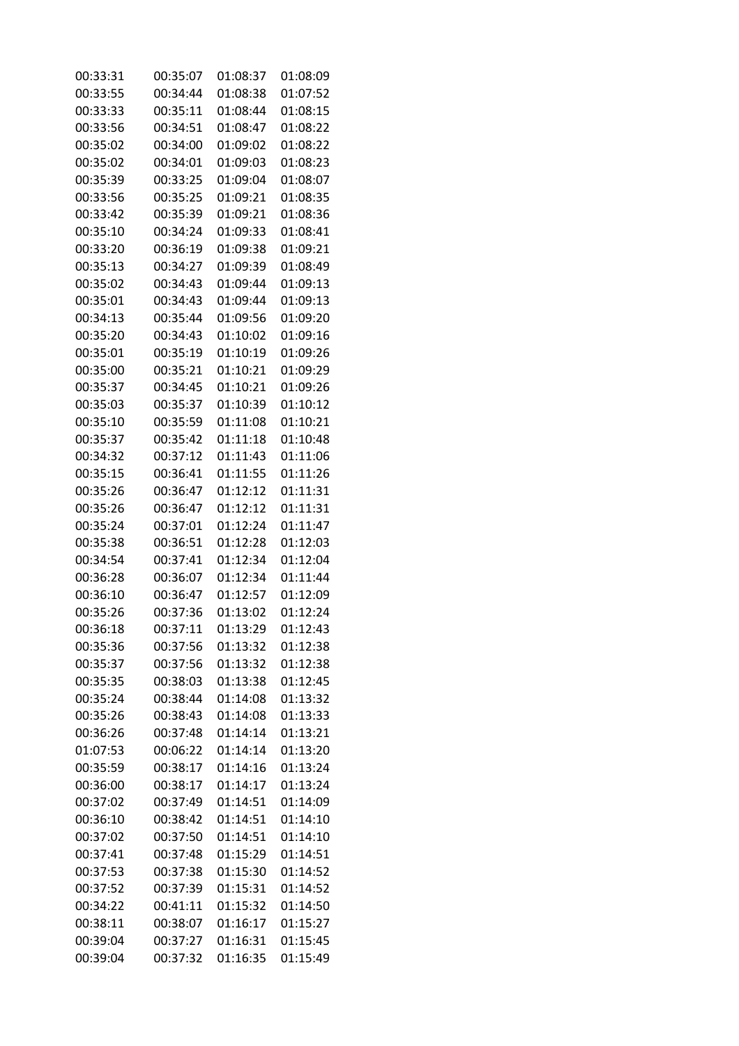| 00:33:31 | 00:35:07 | 01:08:37 | 01:08:09 |
|----------|----------|----------|----------|
| 00:33:55 | 00:34:44 | 01:08:38 | 01:07:52 |
| 00:33:33 | 00:35:11 | 01:08:44 | 01:08:15 |
| 00:33:56 | 00:34:51 | 01:08:47 | 01:08:22 |
| 00:35:02 | 00:34:00 | 01:09:02 | 01:08:22 |
| 00:35:02 | 00:34:01 | 01:09:03 | 01:08:23 |
| 00:35:39 | 00:33:25 | 01:09:04 | 01:08:07 |
| 00:33:56 | 00:35:25 | 01:09:21 | 01:08:35 |
| 00:33:42 | 00:35:39 | 01:09:21 | 01:08:36 |
| 00:35:10 | 00:34:24 | 01:09:33 | 01:08:41 |
| 00:33:20 | 00:36:19 | 01:09:38 | 01:09:21 |
| 00:35:13 | 00:34:27 | 01:09:39 | 01:08:49 |
| 00:35:02 | 00:34:43 | 01:09:44 | 01:09:13 |
| 00:35:01 | 00:34:43 | 01:09:44 | 01:09:13 |
| 00:34:13 | 00:35:44 | 01:09:56 | 01:09:20 |
| 00:35:20 | 00:34:43 | 01:10:02 | 01:09:16 |
| 00:35:01 | 00:35:19 | 01:10:19 | 01:09:26 |
| 00:35:00 | 00:35:21 | 01:10:21 | 01:09:29 |
| 00:35:37 | 00:34:45 | 01:10:21 | 01:09:26 |
| 00:35:03 | 00:35:37 | 01:10:39 | 01:10:12 |
| 00:35:10 | 00:35:59 | 01:11:08 | 01:10:21 |
| 00:35:37 | 00:35:42 | 01:11:18 | 01:10:48 |
| 00:34:32 | 00:37:12 | 01:11:43 | 01:11:06 |
| 00:35:15 | 00:36:41 | 01:11:55 | 01:11:26 |
| 00:35:26 | 00:36:47 | 01:12:12 | 01:11:31 |
| 00:35:26 | 00:36:47 | 01:12:12 | 01:11:31 |
| 00:35:24 | 00:37:01 | 01:12:24 | 01:11:47 |
| 00:35:38 | 00:36:51 | 01:12:28 | 01:12:03 |
| 00:34:54 | 00:37:41 | 01:12:34 | 01:12:04 |
| 00:36:28 | 00:36:07 | 01:12:34 | 01:11:44 |
| 00:36:10 | 00:36:47 | 01:12:57 | 01:12:09 |
| 00:35:26 | 00:37:36 | 01:13:02 | 01:12:24 |
| 00:36:18 | 00:37:11 | 01:13:29 | 01:12:43 |
| 00:35:36 | 00:37:56 | 01:13:32 | 01:12:38 |
| 00:35:37 | 00:37:56 | 01:13:32 | 01:12:38 |
| 00:35:35 | 00:38:03 | 01:13:38 | 01:12:45 |
| 00:35:24 | 00:38:44 | 01:14:08 | 01:13:32 |
| 00:35:26 | 00:38:43 | 01:14:08 | 01:13:33 |
| 00:36:26 | 00:37:48 | 01:14:14 | 01:13:21 |
| 01:07:53 | 00:06:22 | 01:14:14 | 01:13:20 |
| 00:35:59 | 00:38:17 | 01:14:16 | 01:13:24 |
| 00:36:00 | 00:38:17 | 01:14:17 | 01:13:24 |
| 00:37:02 | 00:37:49 | 01:14:51 | 01:14:09 |
| 00:36:10 | 00:38:42 | 01:14:51 | 01:14:10 |
| 00:37:02 | 00:37:50 | 01:14:51 | 01:14:10 |
| 00:37:41 | 00:37:48 | 01:15:29 | 01:14:51 |
| 00:37:53 | 00:37:38 | 01:15:30 | 01:14:52 |
| 00:37:52 | 00:37:39 | 01:15:31 | 01:14:52 |
| 00:34:22 | 00:41:11 | 01:15:32 | 01:14:50 |
| 00:38:11 | 00:38:07 | 01:16:17 | 01:15:27 |
| 00:39:04 | 00:37:27 | 01:16:31 | 01:15:45 |
| 00:39:04 | 00:37:32 | 01:16:35 | 01:15:49 |
|          |          |          |          |